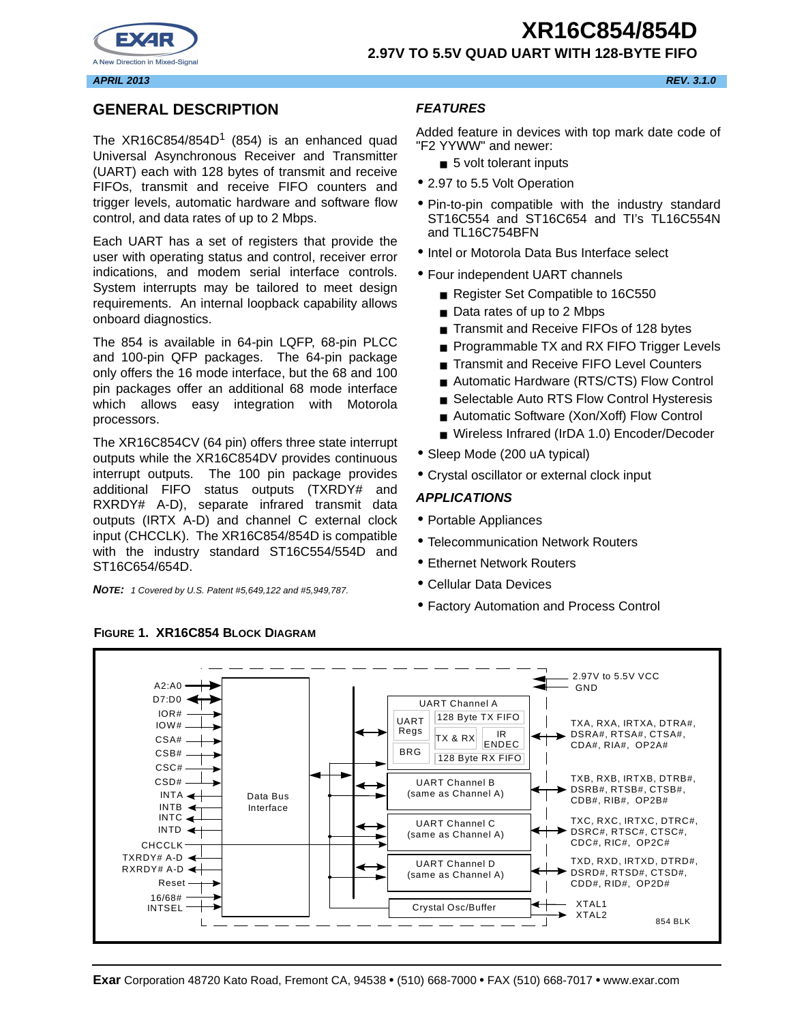



#### **APRIL 2013 REV. 3.1.0**

### **GENERAL DESCRIPTION**

The  $XR16C854/854D<sup>1</sup>$  (854) is an enhanced quad Universal Asynchronous Receiver and Transmitter (UART) each with 128 bytes of transmit and receive FIFOs, transmit and receive FIFO counters and trigger levels, automatic hardware and software flow control, and data rates of up to 2 Mbps.

Each UART has a set of registers that provide the user with operating status and control, receiver error indications, and modem serial interface controls. System interrupts may be tailored to meet design requirements. An internal loopback capability allows onboard diagnostics.

The 854 is available in 64-pin LQFP, 68-pin PLCC and 100-pin QFP packages. The 64-pin package only offers the 16 mode interface, but the 68 and 100 pin packages offer an additional 68 mode interface which allows easy integration with Motorola processors.

The XR16C854CV (64 pin) offers three state interrupt outputs while the XR16C854DV provides continuous interrupt outputs. The 100 pin package provides additional FIFO status outputs (TXRDY# and RXRDY# A-D), separate infrared transmit data outputs (IRTX A-D) and channel C external clock input (CHCCLK). The XR16C854/854D is compatible with the industry standard ST16C554/554D and ST16C654/654D.

**NOTE:** 1 Covered by U.S. Patent #5,649,122 and #5,949,787.

#### **FEATURES**

Added feature in devices with top mark date code of "F2 YYWW" and newer:

- 5 volt tolerant inputs
- 2.97 to 5.5 Volt Operation
- Pin-to-pin compatible with the industry standard ST16C554 and ST16C654 and TI's TL16C554N and TL16C754BFN
- Intel or Motorola Data Bus Interface select
- Four independent UART channels
	- Register Set Compatible to 16C550
	- Data rates of up to 2 Mbps
	- Transmit and Receive FIFOs of 128 bytes
	- Programmable TX and RX FIFO Trigger Levels
	- Transmit and Receive FIFO Level Counters
	- Automatic Hardware (RTS/CTS) Flow Control
	- Selectable Auto RTS Flow Control Hysteresis
	- Automatic Software (Xon/Xoff) Flow Control
	- Wireless Infrared (IrDA 1.0) Encoder/Decoder
- Sleep Mode (200 uA typical)
- Crystal oscillator or external clock input

#### **APPLICATIONS**

- Portable Appliances
- Telecommunication Network Routers
- Ethernet Network Routers
- Cellular Data Devices
- Factory Automation and Process Control



#### **FIGURE 1. XR16C854 BLOCK DIAGRAM**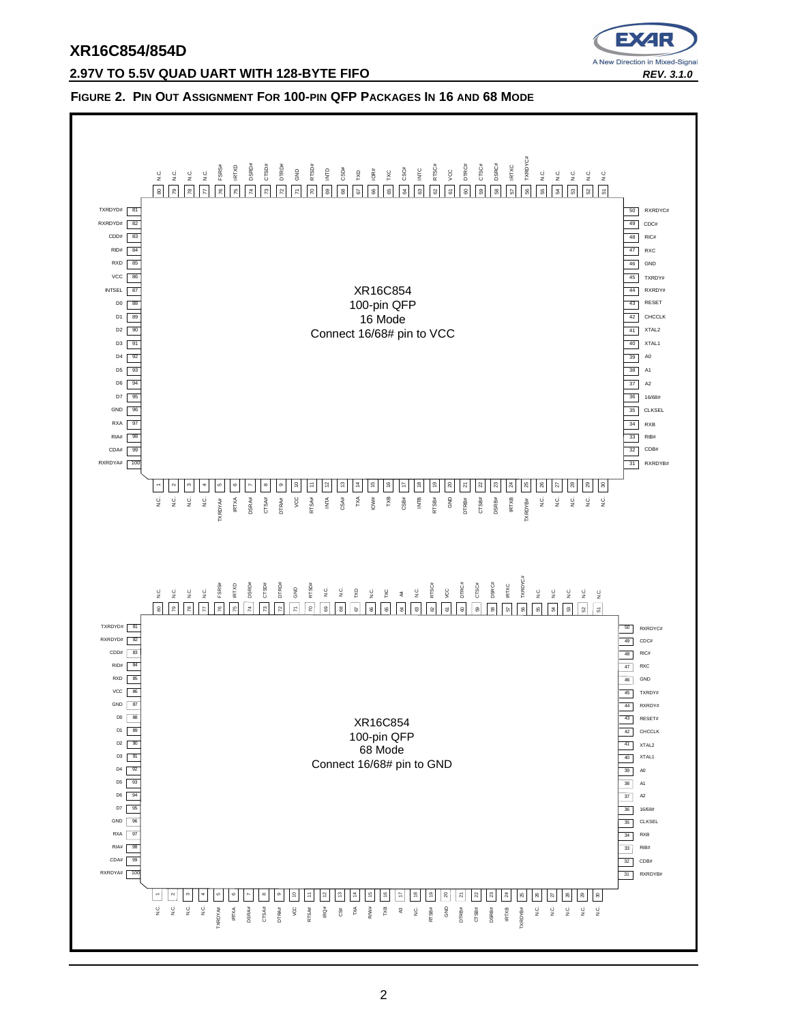



#### **FIGURE 2. PIN OUT ASSIGNMENT FOR 100-PIN QFP PACKAGES IN 16 AND 68 MODE**

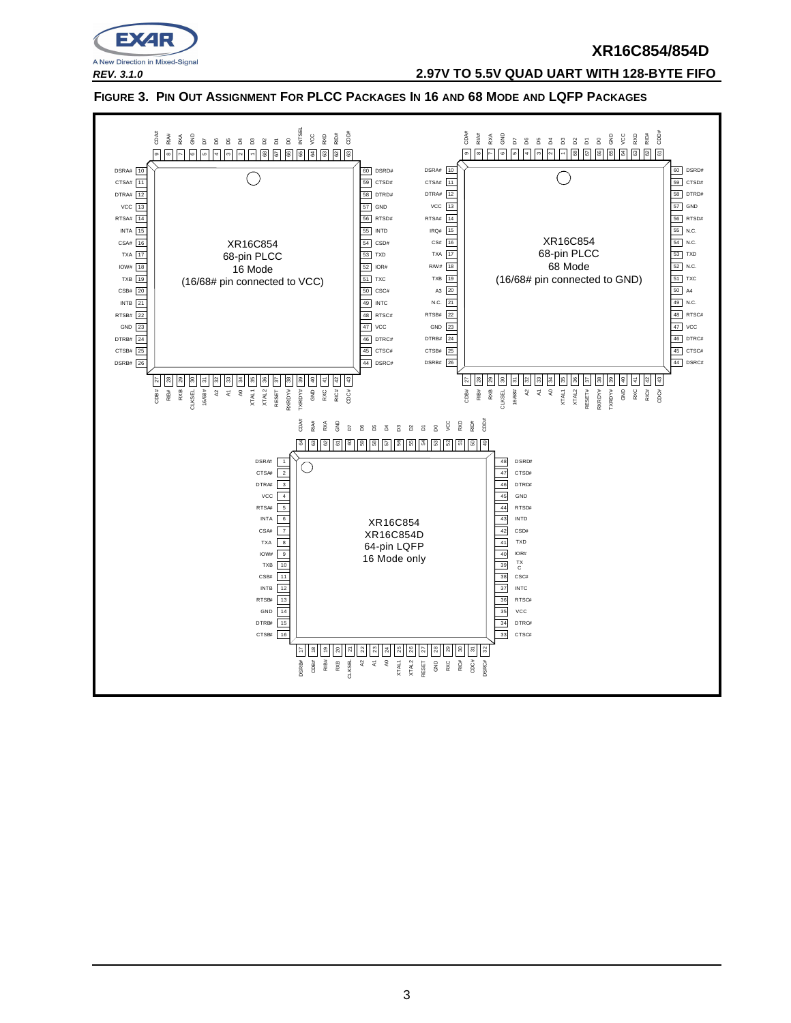

**REV. 3.1.0 2.97V TO 5.5V QUAD UART WITH 128-BYTE FIFO**

FIGURE 3. PIN OUT ASSIGNMENT FOR PLCC PACKAGES IN 16 AND 68 MODE AND LQFP PACKAGES

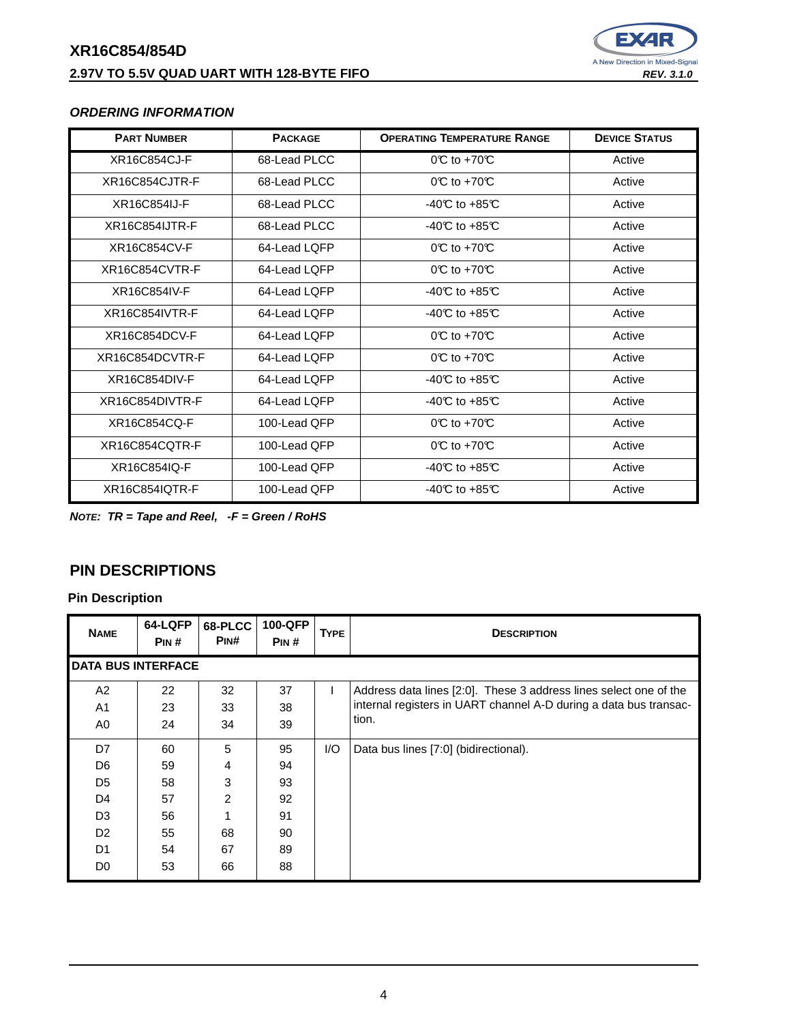### **XR16C854/854D 2.97V TO 5.5V QUAD UART WITH 128-BYTE FIFO REV. 3.1.0 REV. 3.1.0**



### **ORDERING INFORMATION**

| <b>PART NUMBER</b> | <b>PACKAGE</b> | <b>OPERATING TEMPERATURE RANGE</b>       | <b>DEVICE STATUS</b> |
|--------------------|----------------|------------------------------------------|----------------------|
| XR16C854CJ-F       | 68-Lead PLCC   | $OC$ to +70 $C$                          | Active               |
| XR16C854CJTR-F     | 68-Lead PLCC   | $0^\circ\text{C}$ to +70 $\circ\text{C}$ | Active               |
| XR16C854IJ-F       | 68-Lead PLCC   | $-40C$ to $+85C$                         | Active               |
| XR16C854IJTR-F     | 68-Lead PLCC   | $-40C$ to $+85C$                         | Active               |
| XR16C854CV-F       | 64-Lead LOFP   | $0^\circ \text{C}$ to +70 $\circ$        | Active               |
| XR16C854CVTR-F     | 64-Lead LOFP   | $OC$ to +70 $C$                          | Active               |
| XR16C854IV-F       | 64-Lead LQFP   | -40 $C$ to +85 $C$                       | Active               |
| XR16C854IVTR-F     | 64-Lead LOFP   | $-40C$ to $+85C$                         | Active               |
| XR16C854DCV-F      | 64-Lead LOFP   | $0^\circ \text{C}$ to +70 $\circ$        | Active               |
| XR16C854DCVTR-F    | 64-Lead LOFP   | $0^\circ$ to +70 $^\circ$                | Active               |
| XR16C854DIV-F      | 64-Lead LOFP   | $-40C$ to $+85C$                         | Active               |
| XR16C854DIVTR-F    | 64-Lead LOFP   | $-40C$ to $+85C$                         | Active               |
| XR16C854CQ-F       | 100-Lead OFP   | $0^\circ\text{C}$ to +70 $\circ\text{C}$ | Active               |
| XR16C854CQTR-F     | 100-Lead QFP   | $OC$ to +70 $C$                          | Active               |
| XR16C854IQ-F       | 100-Lead OFP   | $-40C$ to $+85C$                         | Active               |
| XR16C854IQTR-F     | 100-Lead QFP   | $-40C$ to $+85C$                         | Active               |

**NOTE: TR = Tape and Reel, -F = Green / RoHS**

## **PIN DESCRIPTIONS**

| <b>NAME</b>    | 64-LQFP<br>PIN#           | 68-PLCC<br>PINH | 100-QFP<br>PIN# | <b>TYPE</b> | <b>DESCRIPTION</b>                                                |  |  |
|----------------|---------------------------|-----------------|-----------------|-------------|-------------------------------------------------------------------|--|--|
|                | <b>DATA BUS INTERFACE</b> |                 |                 |             |                                                                   |  |  |
| A2             | 22                        | 32              | 37              | Ι.          | Address data lines [2:0]. These 3 address lines select one of the |  |  |
| A <sub>1</sub> | 23                        | 33              | 38              |             | internal registers in UART channel A-D during a data bus transac- |  |  |
| A0             | 24                        | 34              | 39              |             | tion.                                                             |  |  |
| D7             | 60                        | 5               | 95              | I/O         | Data bus lines [7:0] (bidirectional).                             |  |  |
| D <sub>6</sub> | 59                        | 4               | 94              |             |                                                                   |  |  |
| D <sub>5</sub> | 58                        | 3               | 93              |             |                                                                   |  |  |
| D <sub>4</sub> | 57                        | 2               | 92              |             |                                                                   |  |  |
| D <sub>3</sub> | 56                        | 1               | 91              |             |                                                                   |  |  |
| D <sub>2</sub> | 55                        | 68              | 90              |             |                                                                   |  |  |
| D <sub>1</sub> | 54                        | 67              | 89              |             |                                                                   |  |  |
| D <sub>0</sub> | 53                        | 66              | 88              |             |                                                                   |  |  |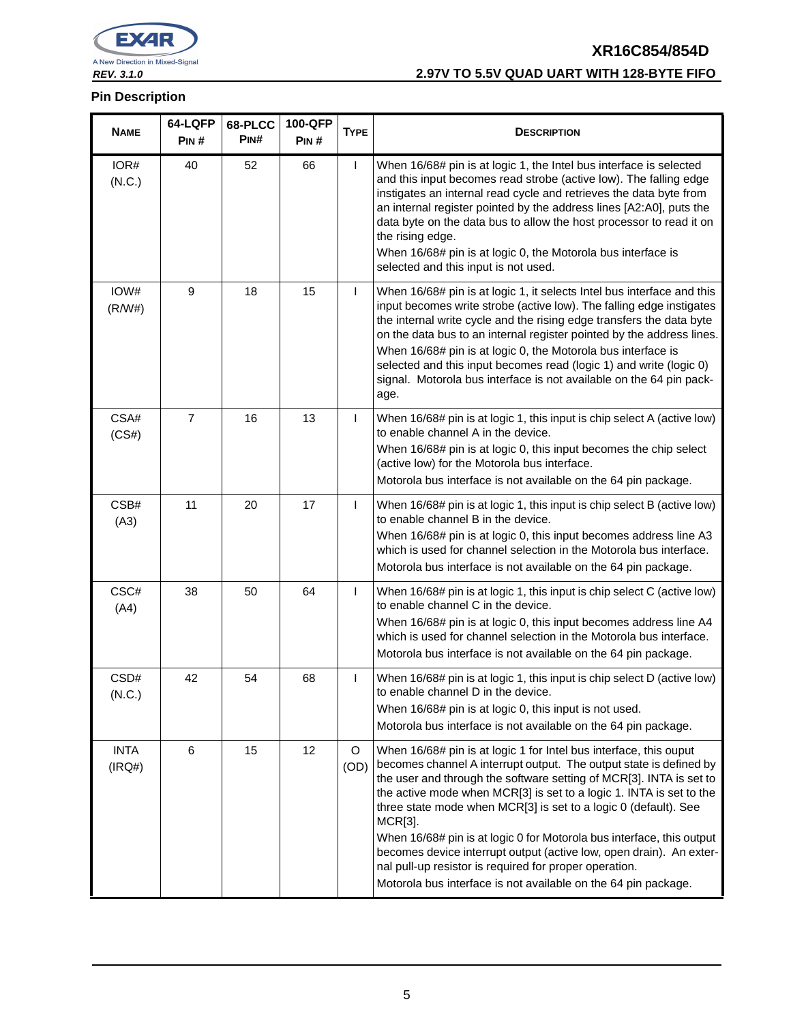

### **REV. 3.1.0 2.97V TO 5.5V QUAD UART WITH 128-BYTE FIFO**

| <b>NAME</b>           | 64-LQFP<br>PIN# | 68-PLCC<br>PINH | 100-QFP<br>PIN# | <b>TYPE</b>     | <b>DESCRIPTION</b>                                                                                                                                                                                                                                                                                                                                                                                                                                                                                                                                                                                                                              |
|-----------------------|-----------------|-----------------|-----------------|-----------------|-------------------------------------------------------------------------------------------------------------------------------------------------------------------------------------------------------------------------------------------------------------------------------------------------------------------------------------------------------------------------------------------------------------------------------------------------------------------------------------------------------------------------------------------------------------------------------------------------------------------------------------------------|
| IOR#<br>(N.C.)        | 40              | 52              | 66              | $\mathsf{I}$    | When 16/68# pin is at logic 1, the Intel bus interface is selected<br>and this input becomes read strobe (active low). The falling edge<br>instigates an internal read cycle and retrieves the data byte from<br>an internal register pointed by the address lines [A2:A0], puts the<br>data byte on the data bus to allow the host processor to read it on<br>the rising edge.<br>When 16/68# pin is at logic 0, the Motorola bus interface is<br>selected and this input is not used.                                                                                                                                                         |
| IOW#<br>(R/W#)        | 9               | 18              | 15              | $\mathsf{I}$    | When 16/68# pin is at logic 1, it selects Intel bus interface and this<br>input becomes write strobe (active low). The falling edge instigates<br>the internal write cycle and the rising edge transfers the data byte<br>on the data bus to an internal register pointed by the address lines.<br>When 16/68# pin is at logic 0, the Motorola bus interface is<br>selected and this input becomes read (logic 1) and write (logic 0)<br>signal. Motorola bus interface is not available on the 64 pin pack-<br>age.                                                                                                                            |
| CSA#<br>(CS#)         | $\overline{7}$  | 16              | 13              | $\mathsf{I}$    | When 16/68# pin is at logic 1, this input is chip select A (active low)<br>to enable channel A in the device.<br>When 16/68# pin is at logic 0, this input becomes the chip select<br>(active low) for the Motorola bus interface.<br>Motorola bus interface is not available on the 64 pin package.                                                                                                                                                                                                                                                                                                                                            |
| CSB#<br>(A3)          | 11              | 20              | 17              | $\mathbf{I}$    | When 16/68# pin is at logic 1, this input is chip select B (active low)<br>to enable channel B in the device.<br>When 16/68# pin is at logic 0, this input becomes address line A3<br>which is used for channel selection in the Motorola bus interface.<br>Motorola bus interface is not available on the 64 pin package.                                                                                                                                                                                                                                                                                                                      |
| CSC#<br>(A4)          | 38              | 50              | 64              | $\mathbf{I}$    | When 16/68# pin is at logic 1, this input is chip select C (active low)<br>to enable channel C in the device.<br>When 16/68# pin is at logic 0, this input becomes address line A4<br>which is used for channel selection in the Motorola bus interface.<br>Motorola bus interface is not available on the 64 pin package.                                                                                                                                                                                                                                                                                                                      |
| CSD#<br>(N.C.)        | 42              | 54              | 68              | $\mathsf{I}$    | When 16/68# pin is at logic 1, this input is chip select D (active low)<br>to enable channel D in the device.<br>When 16/68# pin is at logic 0, this input is not used.<br>Motorola bus interface is not available on the 64 pin package.                                                                                                                                                                                                                                                                                                                                                                                                       |
| <b>INTA</b><br>(IRQ#) | 6               | 15              | 12              | $\circ$<br>(OD) | When 16/68# pin is at logic 1 for Intel bus interface, this ouput<br>becomes channel A interrupt output. The output state is defined by<br>the user and through the software setting of MCR[3]. INTA is set to<br>the active mode when MCR[3] is set to a logic 1. INTA is set to the<br>three state mode when MCR[3] is set to a logic 0 (default). See<br>MCR[3].<br>When 16/68# pin is at logic 0 for Motorola bus interface, this output<br>becomes device interrupt output (active low, open drain). An exter-<br>nal pull-up resistor is required for proper operation.<br>Motorola bus interface is not available on the 64 pin package. |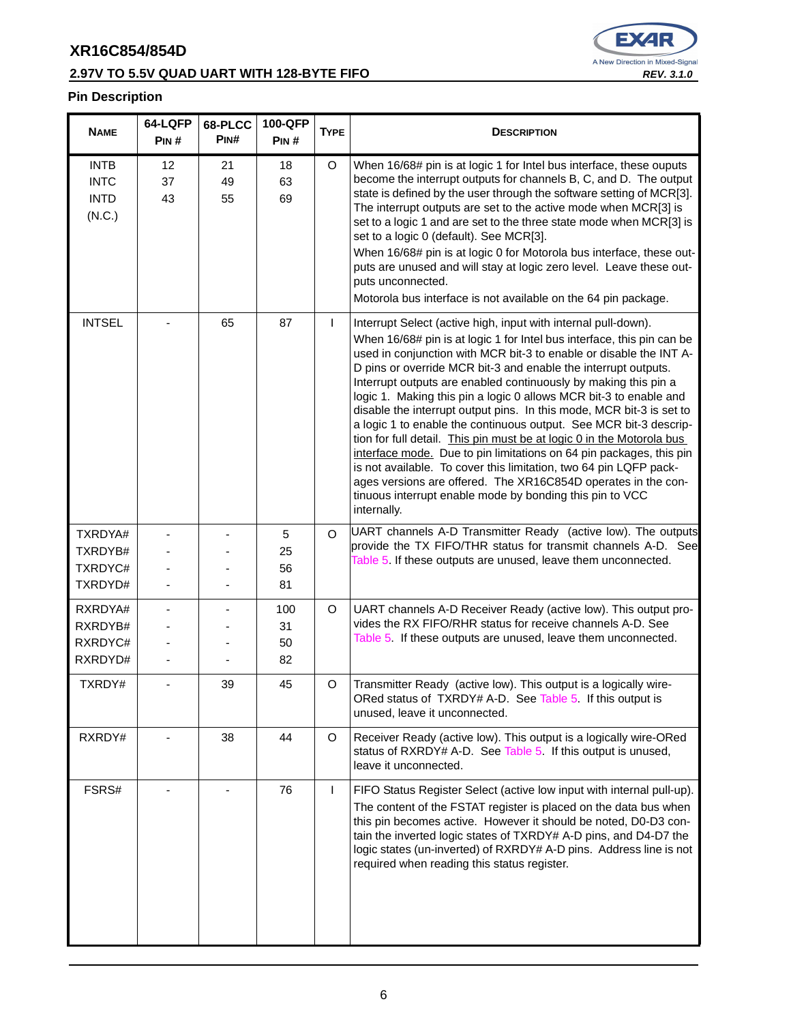### **2.97V TO 5.5V QUAD UART WITH 128-BYTE FIFO REV. 3.1.0 REV. 3.1.0**



| <b>NAME</b>                                         | 64-LQFP<br>PIN# | 68-PLCC<br>PIN# | <b>100-QFP</b><br>PIN# | <b>TYPE</b>  | <b>DESCRIPTION</b>                                                                                                                                                                                                                                                                                                                                                                                                                                                                                                                                                                                                                                                                                                                                                                                                                                                                                                                     |
|-----------------------------------------------------|-----------------|-----------------|------------------------|--------------|----------------------------------------------------------------------------------------------------------------------------------------------------------------------------------------------------------------------------------------------------------------------------------------------------------------------------------------------------------------------------------------------------------------------------------------------------------------------------------------------------------------------------------------------------------------------------------------------------------------------------------------------------------------------------------------------------------------------------------------------------------------------------------------------------------------------------------------------------------------------------------------------------------------------------------------|
| <b>INTB</b><br><b>INTC</b><br><b>INTD</b><br>(N.C.) | 12<br>37<br>43  | 21<br>49<br>55  | 18<br>63<br>69         | O            | When 16/68# pin is at logic 1 for Intel bus interface, these ouputs<br>become the interrupt outputs for channels B, C, and D. The output<br>state is defined by the user through the software setting of MCR[3].<br>The interrupt outputs are set to the active mode when MCR[3] is<br>set to a logic 1 and are set to the three state mode when MCR[3] is<br>set to a logic 0 (default). See MCR[3].<br>When 16/68# pin is at logic 0 for Motorola bus interface, these out-<br>puts are unused and will stay at logic zero level. Leave these out-<br>puts unconnected.<br>Motorola bus interface is not available on the 64 pin package.                                                                                                                                                                                                                                                                                            |
| <b>INTSEL</b>                                       |                 | 65              | 87                     | $\mathsf{I}$ | Interrupt Select (active high, input with internal pull-down).<br>When 16/68# pin is at logic 1 for Intel bus interface, this pin can be<br>used in conjunction with MCR bit-3 to enable or disable the INT A-<br>D pins or override MCR bit-3 and enable the interrupt outputs.<br>Interrupt outputs are enabled continuously by making this pin a<br>logic 1. Making this pin a logic 0 allows MCR bit-3 to enable and<br>disable the interrupt output pins. In this mode, MCR bit-3 is set to<br>a logic 1 to enable the continuous output. See MCR bit-3 descrip-<br>tion for full detail. This pin must be at logic 0 in the Motorola bus<br>interface mode. Due to pin limitations on 64 pin packages, this pin<br>is not available. To cover this limitation, two 64 pin LQFP pack-<br>ages versions are offered. The XR16C854D operates in the con-<br>tinuous interrupt enable mode by bonding this pin to VCC<br>internally. |
| TXRDYA#<br>TXRDYB#<br>TXRDYC#<br>TXRDYD#            |                 |                 | 5<br>25<br>56<br>81    | $\Omega$     | UART channels A-D Transmitter Ready (active low). The outputs<br>provide the TX FIFO/THR status for transmit channels A-D. See<br>Table 5. If these outputs are unused, leave them unconnected.                                                                                                                                                                                                                                                                                                                                                                                                                                                                                                                                                                                                                                                                                                                                        |
| RXRDYA#<br>RXRDYB#<br>RXRDYC#<br>RXRDYD#            |                 |                 | 100<br>31<br>50<br>82  | O            | UART channels A-D Receiver Ready (active low). This output pro-<br>vides the RX FIFO/RHR status for receive channels A-D. See<br>Table 5. If these outputs are unused, leave them unconnected.                                                                                                                                                                                                                                                                                                                                                                                                                                                                                                                                                                                                                                                                                                                                         |
| TXRDY#                                              |                 | 39              | 45                     | O            | Transmitter Ready (active low). This output is a logically wire-<br>ORed status of TXRDY# A-D. See Table 5. If this output is<br>unused, leave it unconnected.                                                                                                                                                                                                                                                                                                                                                                                                                                                                                                                                                                                                                                                                                                                                                                         |
| RXRDY#                                              |                 | 38              | 44                     | $\circ$      | Receiver Ready (active low). This output is a logically wire-ORed<br>status of RXRDY# A-D. See Table 5 If this output is unused,<br>leave it unconnected.                                                                                                                                                                                                                                                                                                                                                                                                                                                                                                                                                                                                                                                                                                                                                                              |
| FSRS#                                               |                 |                 | 76                     | $\mathsf{I}$ | FIFO Status Register Select (active low input with internal pull-up).<br>The content of the FSTAT register is placed on the data bus when<br>this pin becomes active. However it should be noted, D0-D3 con-<br>tain the inverted logic states of TXRDY# A-D pins, and D4-D7 the<br>logic states (un-inverted) of RXRDY# A-D pins. Address line is not<br>required when reading this status register.                                                                                                                                                                                                                                                                                                                                                                                                                                                                                                                                  |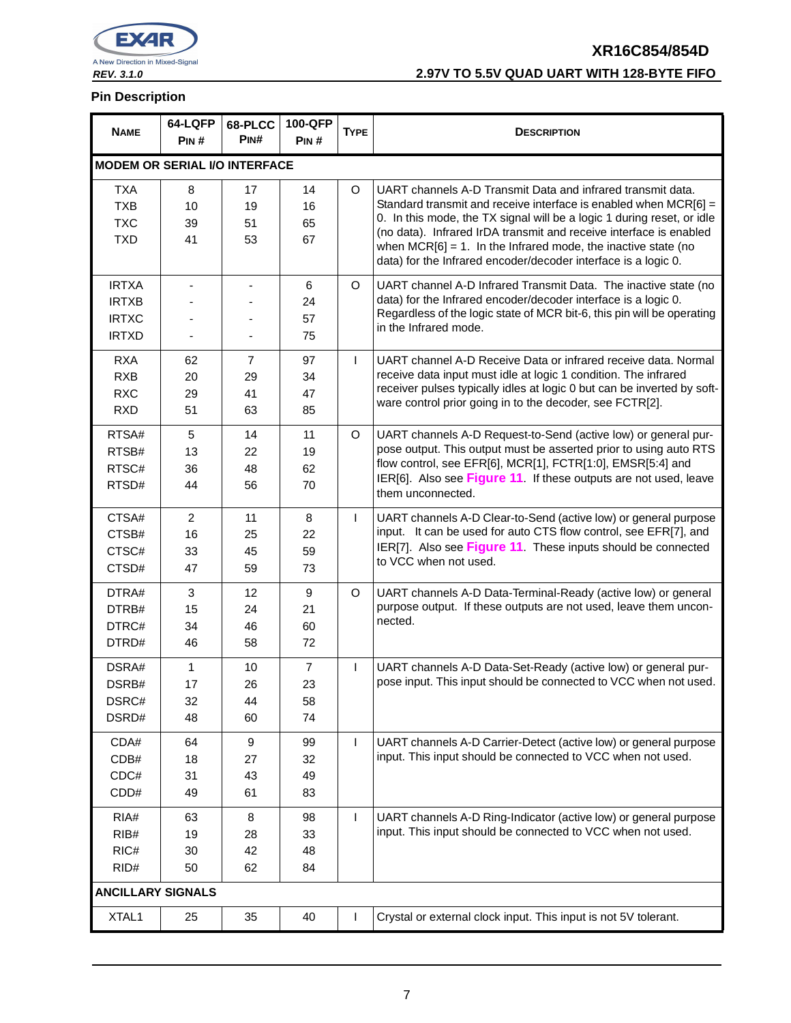

### **REV. 3.1.0 2.97V TO 5.5V QUAD UART WITH 128-BYTE FIFO**

| <b>NAME</b>                          | 64-LQFP        | 68-PLCC          | <b>100-QFP</b> | <b>TYPE</b>  |                                                                                                                                    |  |
|--------------------------------------|----------------|------------------|----------------|--------------|------------------------------------------------------------------------------------------------------------------------------------|--|
|                                      | PIN#           | PIN#             | PIN#           |              | <b>DESCRIPTION</b>                                                                                                                 |  |
| <b>MODEM OR SERIAL I/O INTERFACE</b> |                |                  |                |              |                                                                                                                                    |  |
| <b>TXA</b>                           | 8              | 17               | 14             | O            | UART channels A-D Transmit Data and infrared transmit data.                                                                        |  |
| <b>TXB</b>                           | 10             | 19               | 16             |              | Standard transmit and receive interface is enabled when MCR[6] =                                                                   |  |
| <b>TXC</b>                           | 39             | 51               | 65             |              | 0. In this mode, the TX signal will be a logic 1 during reset, or idle                                                             |  |
| <b>TXD</b>                           | 41             | 53               | 67             |              | (no data). Infrared IrDA transmit and receive interface is enabled                                                                 |  |
|                                      |                |                  |                |              | when $MCR[6] = 1$ . In the Infrared mode, the inactive state (no<br>data) for the Infrared encoder/decoder interface is a logic 0. |  |
| <b>IRTXA</b>                         |                |                  | 6              | $\circ$      | UART channel A-D Infrared Transmit Data. The inactive state (no                                                                    |  |
| <b>IRTXB</b>                         |                |                  | 24             |              | data) for the Infrared encoder/decoder interface is a logic 0.                                                                     |  |
| <b>IRTXC</b>                         |                |                  | 57             |              | Regardless of the logic state of MCR bit-6, this pin will be operating                                                             |  |
| <b>IRTXD</b>                         |                |                  | 75             |              | in the Infrared mode.                                                                                                              |  |
| <b>RXA</b>                           | 62             | $\overline{7}$   | 97             | $\mathbf{I}$ | UART channel A-D Receive Data or infrared receive data. Normal                                                                     |  |
| <b>RXB</b>                           | 20             | 29               | 34             |              | receive data input must idle at logic 1 condition. The infrared                                                                    |  |
| <b>RXC</b>                           | 29             | 41               | 47             |              | receiver pulses typically idles at logic 0 but can be inverted by soft-                                                            |  |
| <b>RXD</b>                           | 51             | 63               | 85             |              | ware control prior going in to the decoder, see FCTR[2].                                                                           |  |
| RTSA#                                | 5              | 14               | 11             | O            | UART channels A-D Request-to-Send (active low) or general pur-                                                                     |  |
| RTSB#                                | 13             | 22               | 19             |              | pose output. This output must be asserted prior to using auto RTS                                                                  |  |
| RTSC#                                | 36             | 48               | 62             |              | flow control, see EFR[6], MCR[1], FCTR[1:0], EMSR[5:4] and                                                                         |  |
| RTSD#                                | 44             | 56               | 70             |              | IER[6]. Also see Figure 11. If these outputs are not used, leave<br>them unconnected.                                              |  |
| CTSA#                                | $\overline{2}$ | 11               | 8              | $\mathsf{I}$ | UART channels A-D Clear-to-Send (active low) or general purpose                                                                    |  |
| CTSB#                                | 16             | 25               | 22             |              | input. It can be used for auto CTS flow control, see EFR[7], and                                                                   |  |
| CTSC#                                | 33             | 45               | 59             |              | IER[7]. Also see Figure 11. These inputs should be connected                                                                       |  |
| CTSD#                                | 47             | 59               | 73             |              | to VCC when not used.                                                                                                              |  |
| DTRA#                                | 3              | 12               | 9              | $\circ$      | UART channels A-D Data-Terminal-Ready (active low) or general                                                                      |  |
| DTRB#                                | 15             | 24               | 21             |              | purpose output. If these outputs are not used, leave them uncon-                                                                   |  |
| DTRC#                                | 34             | 46               | 60             |              | nected.                                                                                                                            |  |
| DTRD#                                | 46             | 58               | 72             |              |                                                                                                                                    |  |
| DSRA#                                | $\mathbf{1}$   | 10               | $\overline{7}$ | $\mathsf{I}$ | UART channels A-D Data-Set-Ready (active low) or general pur-                                                                      |  |
| DSRB#                                | 17             | 26               | 23             |              | pose input. This input should be connected to VCC when not used.                                                                   |  |
| DSRC#                                | 32             | 44               | 58             |              |                                                                                                                                    |  |
| DSRD#                                | 48             | 60               | 74             |              |                                                                                                                                    |  |
| CDA#                                 | 64             | $\boldsymbol{9}$ | 99             | $\mathsf{I}$ | UART channels A-D Carrier-Detect (active low) or general purpose                                                                   |  |
| CDB#                                 | 18             | 27               | 32             |              | input. This input should be connected to VCC when not used.                                                                        |  |
| CDC#                                 | 31             | 43               | 49             |              |                                                                                                                                    |  |
| CDD#                                 | 49             | 61               | 83             |              |                                                                                                                                    |  |
| RIA#                                 | 63             | 8                | 98             | $\mathsf{I}$ | UART channels A-D Ring-Indicator (active low) or general purpose                                                                   |  |
| RIB#                                 | 19             | 28               | 33             |              | input. This input should be connected to VCC when not used.                                                                        |  |
| RIC#                                 | 30             | 42               | 48             |              |                                                                                                                                    |  |
| RID#                                 | 50             | 62               | 84             |              |                                                                                                                                    |  |
| <b>ANCILLARY SIGNALS</b>             |                |                  |                |              |                                                                                                                                    |  |
| XTAL1                                | 25             | 35               | 40             | I            | Crystal or external clock input. This input is not 5V tolerant.                                                                    |  |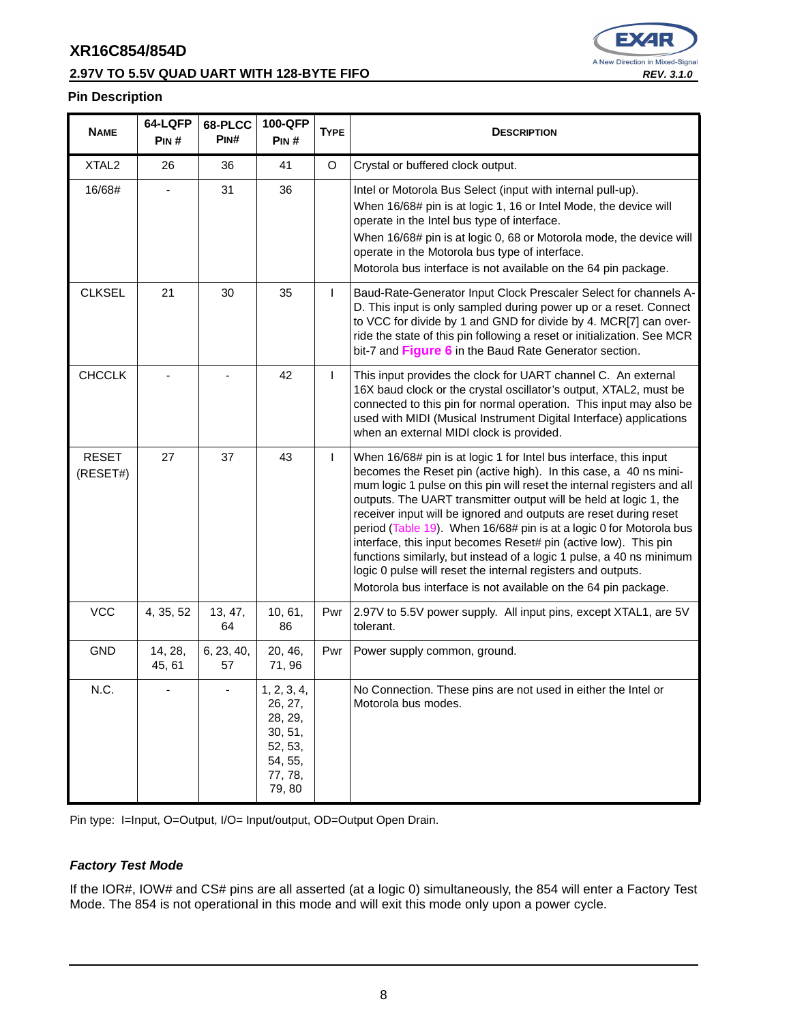#### **2.97V TO 5.5V QUAD UART WITH 128-BYTE FIFO REV. 3.1.0 REV. 3.1.0**



#### **Pin Description**

| <b>NAME</b>              | 64-LQFP<br>PIN#   | 68-PLCC<br>P <sub>IN</sub> # | 100-QFP<br>PIN#                                                                        | <b>TYPE</b>  | <b>DESCRIPTION</b>                                                                                                                                                                                                                                                                                                                                                                                                                                                                                                                                                                                                                                                                                             |
|--------------------------|-------------------|------------------------------|----------------------------------------------------------------------------------------|--------------|----------------------------------------------------------------------------------------------------------------------------------------------------------------------------------------------------------------------------------------------------------------------------------------------------------------------------------------------------------------------------------------------------------------------------------------------------------------------------------------------------------------------------------------------------------------------------------------------------------------------------------------------------------------------------------------------------------------|
| XTAL <sub>2</sub>        | 26                | 36                           | 41                                                                                     | O            | Crystal or buffered clock output.                                                                                                                                                                                                                                                                                                                                                                                                                                                                                                                                                                                                                                                                              |
| 16/68#                   |                   | 31                           | 36                                                                                     |              | Intel or Motorola Bus Select (input with internal pull-up).<br>When 16/68# pin is at logic 1, 16 or Intel Mode, the device will<br>operate in the Intel bus type of interface.<br>When 16/68# pin is at logic 0, 68 or Motorola mode, the device will<br>operate in the Motorola bus type of interface.<br>Motorola bus interface is not available on the 64 pin package.                                                                                                                                                                                                                                                                                                                                      |
| <b>CLKSEL</b>            | 21                | 30                           | 35                                                                                     | $\mathsf{L}$ | Baud-Rate-Generator Input Clock Prescaler Select for channels A-<br>D. This input is only sampled during power up or a reset. Connect<br>to VCC for divide by 1 and GND for divide by 4. MCR[7] can over-<br>ride the state of this pin following a reset or initialization. See MCR<br>bit-7 and Figure 6 in the Baud Rate Generator section.                                                                                                                                                                                                                                                                                                                                                                 |
| <b>CHCCLK</b>            |                   |                              | 42                                                                                     | $\mathsf{L}$ | This input provides the clock for UART channel C. An external<br>16X baud clock or the crystal oscillator's output, XTAL2, must be<br>connected to this pin for normal operation. This input may also be<br>used with MIDI (Musical Instrument Digital Interface) applications<br>when an external MIDI clock is provided.                                                                                                                                                                                                                                                                                                                                                                                     |
| <b>RESET</b><br>(RESET#) | 27                | 37                           | 43                                                                                     | L            | When 16/68# pin is at logic 1 for Intel bus interface, this input<br>becomes the Reset pin (active high). In this case, a 40 ns mini-<br>mum logic 1 pulse on this pin will reset the internal registers and all<br>outputs. The UART transmitter output will be held at logic 1, the<br>receiver input will be ignored and outputs are reset during reset<br>period (Table 19). When 16/68# pin is at a logic 0 for Motorola bus<br>interface, this input becomes Reset# pin (active low). This pin<br>functions similarly, but instead of a logic 1 pulse, a 40 ns minimum<br>logic 0 pulse will reset the internal registers and outputs.<br>Motorola bus interface is not available on the 64 pin package. |
| <b>VCC</b>               | 4, 35, 52         | 13, 47,<br>64                | 10, 61,<br>86                                                                          | Pwr          | 2.97V to 5.5V power supply. All input pins, except XTAL1, are 5V<br>tolerant.                                                                                                                                                                                                                                                                                                                                                                                                                                                                                                                                                                                                                                  |
| <b>GND</b>               | 14, 28,<br>45, 61 | 6, 23, 40,<br>57             | 20, 46,<br>71,96                                                                       | Pwr          | Power supply common, ground.                                                                                                                                                                                                                                                                                                                                                                                                                                                                                                                                                                                                                                                                                   |
| N.C.                     |                   |                              | 1, 2, 3, 4,<br>26, 27,<br>28, 29,<br>30, 51,<br>52, 53,<br>54, 55,<br>77, 78,<br>79,80 |              | No Connection. These pins are not used in either the Intel or<br>Motorola bus modes.                                                                                                                                                                                                                                                                                                                                                                                                                                                                                                                                                                                                                           |

Pin type: I=Input, O=Output, I/O= Input/output, OD=Output Open Drain.

#### **Factory Test Mode**

If the IOR#, IOW# and CS# pins are all asserted (at a logic 0) simultaneously, the 854 will enter a Factory Test Mode. The 854 is not operational in this mode and will exit this mode only upon a power cycle.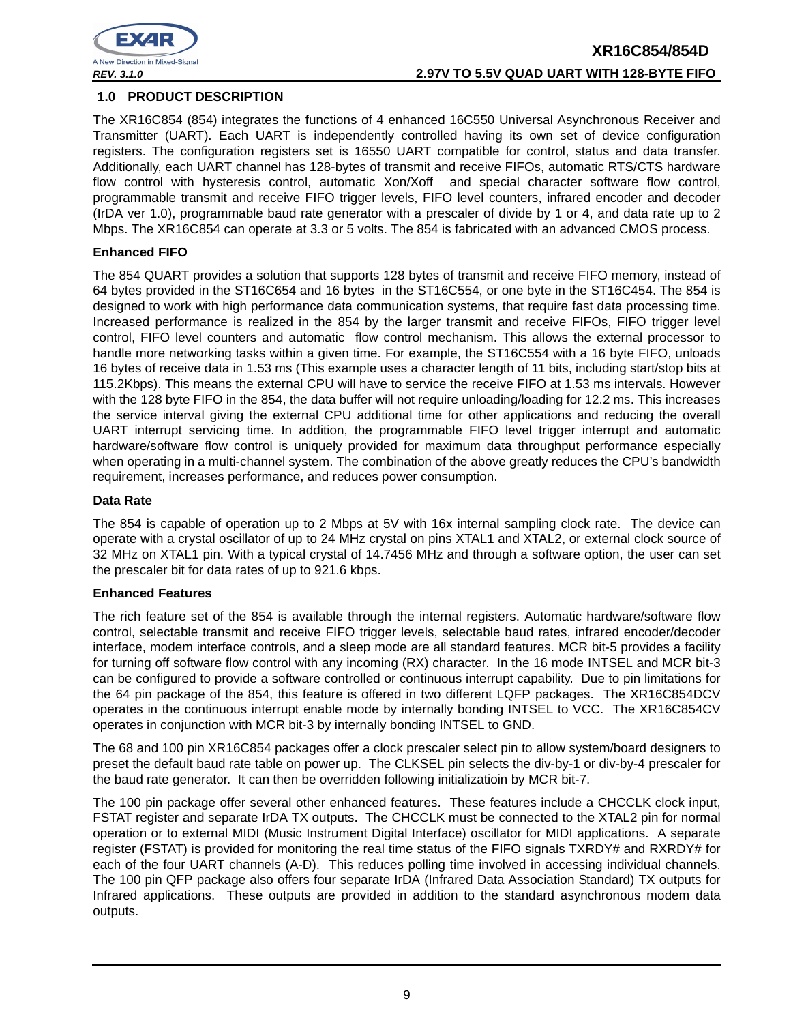

#### **1.0 PRODUCT DESCRIPTION**

The XR16C854 (854) integrates the functions of 4 enhanced 16C550 Universal Asynchronous Receiver and Transmitter (UART). Each UART is independently controlled having its own set of device configuration registers. The configuration registers set is 16550 UART compatible for control, status and data transfer. Additionally, each UART channel has 128-bytes of transmit and receive FIFOs, automatic RTS/CTS hardware flow control with hysteresis control, automatic Xon/Xoff and special character software flow control, programmable transmit and receive FIFO trigger levels, FIFO level counters, infrared encoder and decoder (IrDA ver 1.0), programmable baud rate generator with a prescaler of divide by 1 or 4, and data rate up to 2 Mbps. The XR16C854 can operate at 3.3 or 5 volts. The 854 is fabricated with an advanced CMOS process.

#### **Enhanced FIFO**

The 854 QUART provides a solution that supports 128 bytes of transmit and receive FIFO memory, instead of 64 bytes provided in the ST16C654 and 16 bytes in the ST16C554, or one byte in the ST16C454. The 854 is designed to work with high performance data communication systems, that require fast data processing time. Increased performance is realized in the 854 by the larger transmit and receive FIFOs, FIFO trigger level control, FIFO level counters and automatic flow control mechanism. This allows the external processor to handle more networking tasks within a given time. For example, the ST16C554 with a 16 byte FIFO, unloads 16 bytes of receive data in 1.53 ms (This example uses a character length of 11 bits, including start/stop bits at 115.2Kbps). This means the external CPU will have to service the receive FIFO at 1.53 ms intervals. However with the 128 byte FIFO in the 854, the data buffer will not require unloading/loading for 12.2 ms. This increases the service interval giving the external CPU additional time for other applications and reducing the overall UART interrupt servicing time. In addition, the programmable FIFO level trigger interrupt and automatic hardware/software flow control is uniquely provided for maximum data throughput performance especially when operating in a multi-channel system. The combination of the above greatly reduces the CPU's bandwidth requirement, increases performance, and reduces power consumption.

#### **Data Rate**

The 854 is capable of operation up to 2 Mbps at 5V with 16x internal sampling clock rate. The device can operate with a crystal oscillator of up to 24 MHz crystal on pins XTAL1 and XTAL2, or external clock source of 32 MHz on XTAL1 pin. With a typical crystal of 14.7456 MHz and through a software option, the user can set the prescaler bit for data rates of up to 921.6 kbps.

#### **Enhanced Features**

The rich feature set of the 854 is available through the internal registers. Automatic hardware/software flow control, selectable transmit and receive FIFO trigger levels, selectable baud rates, infrared encoder/decoder interface, modem interface controls, and a sleep mode are all standard features. MCR bit-5 provides a facility for turning off software flow control with any incoming (RX) character. In the 16 mode INTSEL and MCR bit-3 can be configured to provide a software controlled or continuous interrupt capability. Due to pin limitations for the 64 pin package of the 854, this feature is offered in two different LQFP packages. The XR16C854DCV operates in the continuous interrupt enable mode by internally bonding INTSEL to VCC. The XR16C854CV operates in conjunction with MCR bit-3 by internally bonding INTSEL to GND.

The 68 and 100 pin XR16C854 packages offer a clock prescaler select pin to allow system/board designers to preset the default baud rate table on power up. The CLKSEL pin selects the div-by-1 or div-by-4 prescaler for the baud rate generator. It can then be overridden following initializatioin by MCR bit-7.

The 100 pin package offer several other enhanced features. These features include a CHCCLK clock input, FSTAT register and separate IrDA TX outputs. The CHCCLK must be connected to the XTAL2 pin for normal operation or to external MIDI (Music Instrument Digital Interface) oscillator for MIDI applications. A separate register (FSTAT) is provided for monitoring the real time status of the FIFO signals TXRDY# and RXRDY# for each of the four UART channels (A-D). This reduces polling time involved in accessing individual channels. The 100 pin QFP package also offers four separate IrDA (Infrared Data Association Standard) TX outputs for Infrared applications. These outputs are provided in addition to the standard asynchronous modem data outputs.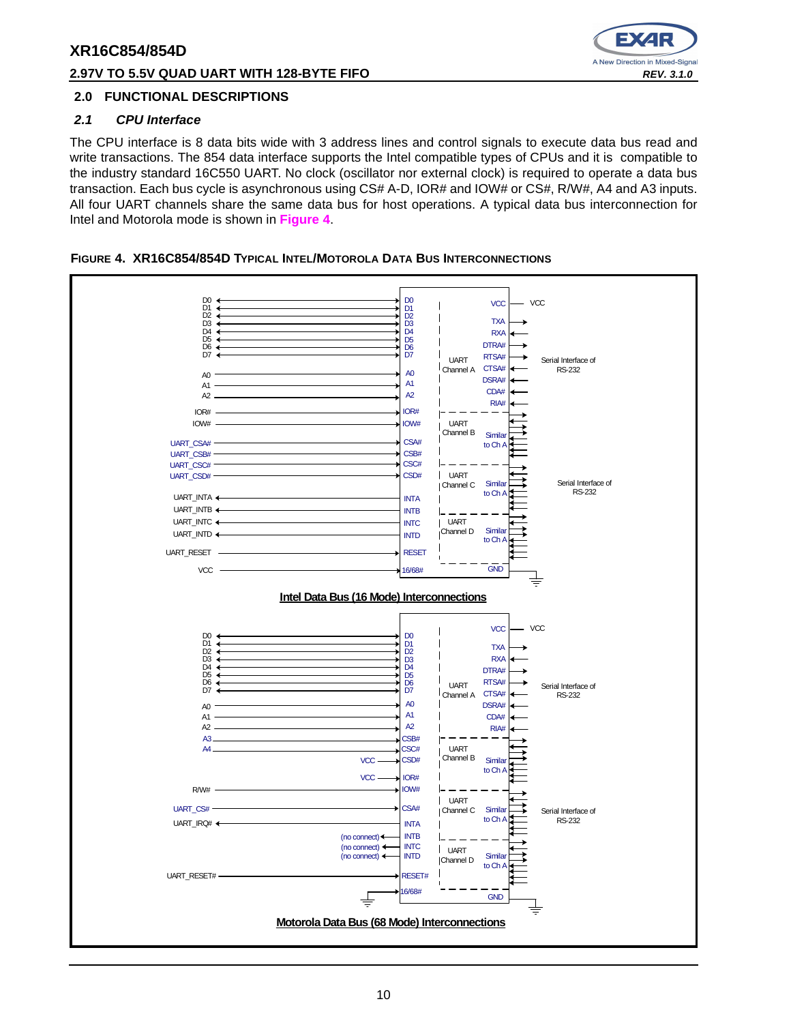#### **2.97V TO 5.5V QUAD UART WITH 128-BYTE FIFO REV. 3.1.0**



#### **2.0 FUNCTIONAL DESCRIPTIONS**

#### **2.1 CPU Interface**

The CPU interface is 8 data bits wide with 3 address lines and control signals to execute data bus read and write transactions. The 854 data interface supports the Intel compatible types of CPUs and it is compatible to the industry standard 16C550 UART. No clock (oscillator nor external clock) is required to operate a data bus transaction. Each bus cycle is asynchronous using CS# A-D, IOR# and IOW# or CS#, R/W#, A4 and A3 inputs. All four UART channels share the same data bus for host operations. A typical data bus interconnection for Intel and Motorola mode is shown in **Figure 4**.



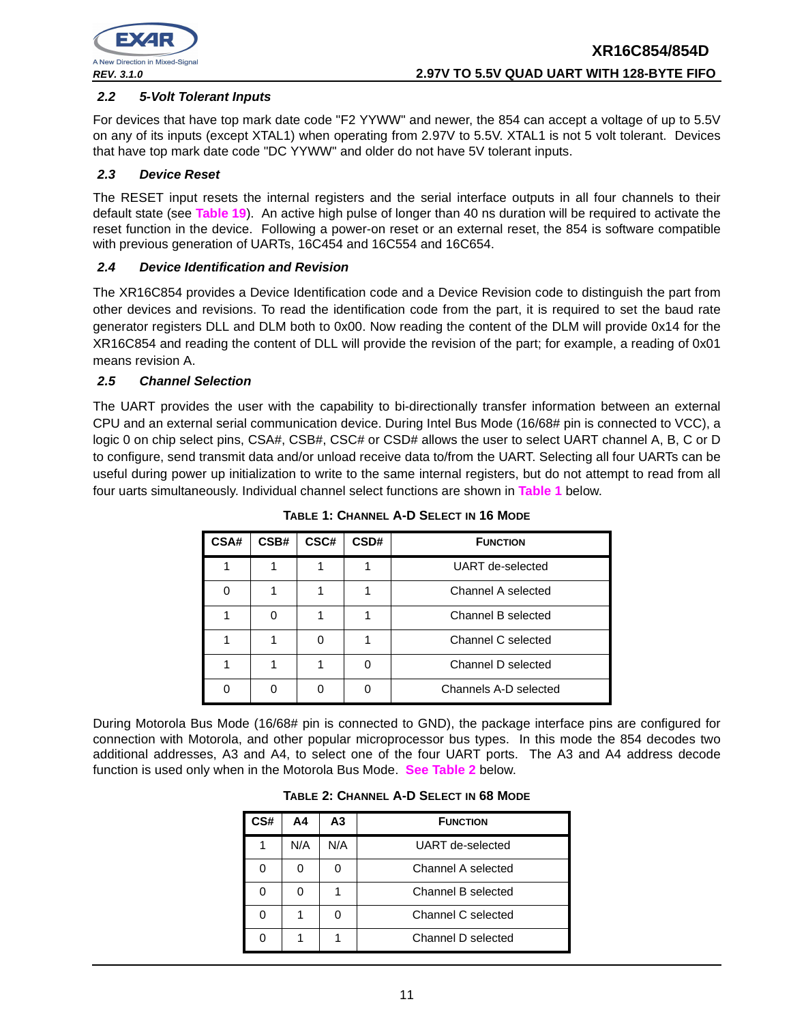

#### **2.2 5-Volt Tolerant Inputs**

For devices that have top mark date code "F2 YYWW" and newer, the 854 can accept a voltage of up to 5.5V on any of its inputs (except XTAL1) when operating from 2.97V to 5.5V. XTAL1 is not 5 volt tolerant. Devices that have top mark date code "DC YYWW" and older do not have 5V tolerant inputs.

#### **2.3 Device Reset**

The RESET input resets the internal registers and the serial interface outputs in all four channels to their default state (see **Table 19**). An active high pulse of longer than 40 ns duration will be required to activate the reset function in the device. Following a power-on reset or an external reset, the 854 is software compatible with previous generation of UARTs, 16C454 and 16C554 and 16C654.

#### **2.4 Device Identification and Revision**

The XR16C854 provides a Device Identification code and a Device Revision code to distinguish the part from other devices and revisions. To read the identification code from the part, it is required to set the baud rate generator registers DLL and DLM both to 0x00. Now reading the content of the DLM will provide 0x14 for the XR16C854 and reading the content of DLL will provide the revision of the part; for example, a reading of 0x01 means revision A.

#### **2.5 Channel Selection**

The UART provides the user with the capability to bi-directionally transfer information between an external CPU and an external serial communication device. During Intel Bus Mode (16/68# pin is connected to VCC), a logic 0 on chip select pins, CSA#, CSB#, CSC# or CSD# allows the user to select UART channel A, B, C or D to configure, send transmit data and/or unload receive data to/from the UART. Selecting all four UARTs can be useful during power up initialization to write to the same internal registers, but do not attempt to read from all four uarts simultaneously. Individual channel select functions are shown in **Table 1** below.

| CSA# | CSB# | CSC# | CSD# | <b>FUNCTION</b>       |
|------|------|------|------|-----------------------|
|      |      |      |      | UART de-selected      |
| O    |      |      |      | Channel A selected    |
|      |      |      |      | Channel B selected    |
|      |      |      |      | Channel C selected    |
|      |      |      |      | Channel D selected    |
|      |      |      |      | Channels A-D selected |

**TABLE 1: CHANNEL A-D SELECT IN 16 MODE**

During Motorola Bus Mode (16/68# pin is connected to GND), the package interface pins are configured for connection with Motorola, and other popular microprocessor bus types. In this mode the 854 decodes two additional addresses, A3 and A4, to select one of the four UART ports. The A3 and A4 address decode function is used only when in the Motorola Bus Mode. **See Table 2** below.

| TABLE 2: CHANNEL A-D SELECT IN 68 MODE |  |  |  |
|----------------------------------------|--|--|--|
|----------------------------------------|--|--|--|

| CS# | Α4  | A3  | <b>FUNCTION</b>    |
|-----|-----|-----|--------------------|
|     | N/A | N/A | UART de-selected   |
|     |     |     | Channel A selected |
|     |     |     | Channel B selected |
|     |     |     | Channel C selected |
|     |     |     | Channel D selected |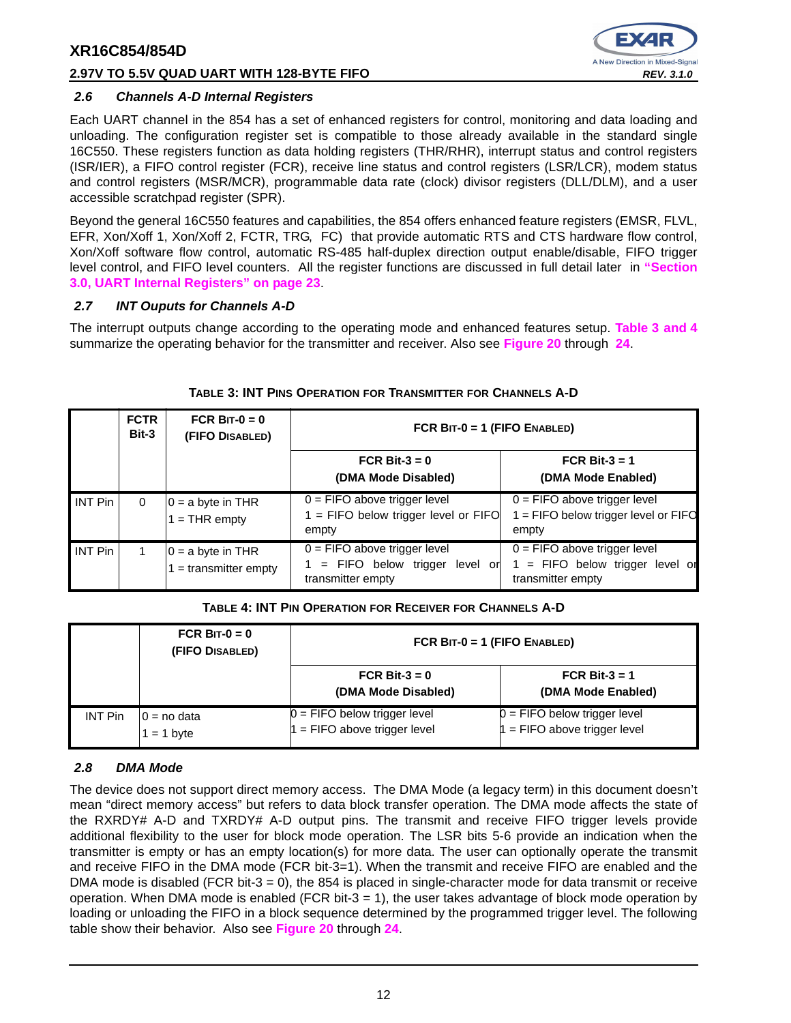#### **2.97V TO 5.5V QUAD UART WITH 128-BYTE FIFO REV. 3.1.0**



#### **2.6 Channels A-D Internal Registers**

Each UART channel in the 854 has a set of enhanced registers for control, monitoring and data loading and unloading. The configuration register set is compatible to those already available in the standard single 16C550. These registers function as data holding registers (THR/RHR), interrupt status and control registers (ISR/IER), a FIFO control register (FCR), receive line status and control registers (LSR/LCR), modem status and control registers (MSR/MCR), programmable data rate (clock) divisor registers (DLL/DLM), and a user accessible scratchpad register (SPR).

Beyond the general 16C550 features and capabilities, the 854 offers enhanced feature registers (EMSR, FLVL, EFR, Xon/Xoff 1, Xon/Xoff 2, FCTR, TRG, FC) that provide automatic RTS and CTS hardware flow control, Xon/Xoff software flow control, automatic RS-485 half-duplex direction output enable/disable, FIFO trigger level control, and FIFO level counters. All the register functions are discussed in full detail later in **"Section 3.0, UART Internal Registers" on page 23**.

#### **2.7 INT Ouputs for Channels A-D**

The interrupt outputs change according to the operating mode and enhanced features setup. **Table 3 and 4** summarize the operating behavior for the transmitter and receiver. Also see **Figure 20** through **24**.

|                | <b>FCTR</b><br>Bit-3 | FCR BIT- $0 = 0$<br>(FIFO DISABLED)          | FCR BIT-0 = 1 (FIFO ENABLED)                                                                    |                                                                                        |  |  |
|----------------|----------------------|----------------------------------------------|-------------------------------------------------------------------------------------------------|----------------------------------------------------------------------------------------|--|--|
|                |                      |                                              | FCR Bit-3 = $0$<br>(DMA Mode Disabled)                                                          | FCR Bit-3 = $1$<br>(DMA Mode Enabled)                                                  |  |  |
| <b>INT Pin</b> | $\Omega$             | $0 = a$ byte in THR<br>$=$ THR empty         | $0 =$ FIFO above trigger level<br>$1 =$ FIFO below trigger level or FIFO<br>empty               | $0 =$ FIFO above trigger level<br>1 = FIFO below trigger level or FIFO<br>empty        |  |  |
| <b>INT Pin</b> |                      | $0 = a$ byte in THR<br>$=$ transmitter empty | $\overline{0}$ = FIFO above trigger level<br>= FIFO below trigger level or<br>transmitter empty | $0 =$ FIFO above trigger level<br>1 = FIFO below trigger level or<br>transmitter empty |  |  |

#### **TABLE 3: INT PINS OPERATION FOR TRANSMITTER FOR CHANNELS A-D**

#### **TABLE 4: INT PIN OPERATION FOR RECEIVER FOR CHANNELS A-D**

|                | FCR BIT- $0 = 0$<br>(FIFO DISABLED) | FCR BIT-0 = 1 (FIFO ENABLED)                                     |                                                                  |
|----------------|-------------------------------------|------------------------------------------------------------------|------------------------------------------------------------------|
|                |                                     | FCR Bit- $3 = 0$<br>(DMA Mode Disabled)                          | FCR Bit-3 $=$ 1<br>(DMA Mode Enabled)                            |
| <b>INT Pin</b> | $0 = no$ data<br>$= 1$ byte         | $0 =$ FIFO below trigger level<br>$1 =$ FIFO above trigger level | $0 =$ FIFO below trigger level<br>$1 =$ FIFO above trigger level |

#### **2.8 DMA Mode**

The device does not support direct memory access. The DMA Mode (a legacy term) in this document doesn't mean "direct memory access" but refers to data block transfer operation. The DMA mode affects the state of the RXRDY# A-D and TXRDY# A-D output pins. The transmit and receive FIFO trigger levels provide additional flexibility to the user for block mode operation. The LSR bits 5-6 provide an indication when the transmitter is empty or has an empty location(s) for more data. The user can optionally operate the transmit and receive FIFO in the DMA mode (FCR bit-3=1). When the transmit and receive FIFO are enabled and the DMA mode is disabled (FCR bit-3 = 0), the 854 is placed in single-character mode for data transmit or receive operation. When DMA mode is enabled (FCR bit-3  $=$  1), the user takes advantage of block mode operation by loading or unloading the FIFO in a block sequence determined by the programmed trigger level. The following table show their behavior. Also see **Figure 20** through **24**.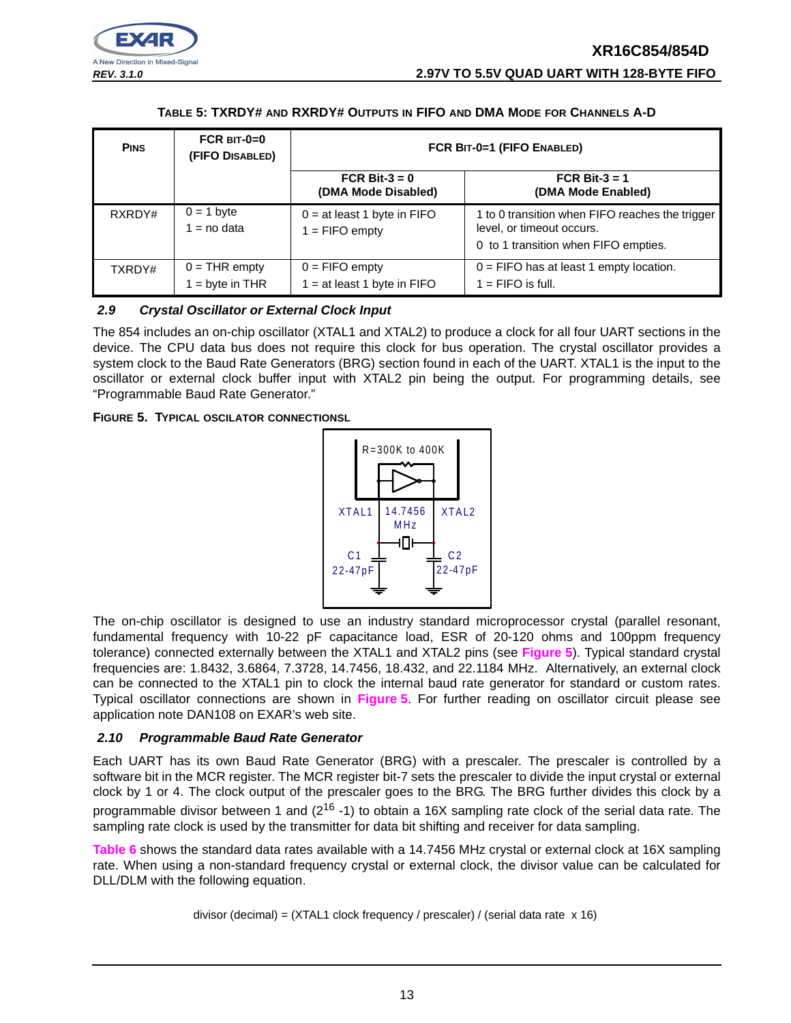

#### **TABLE 5: TXRDY# AND RXRDY# OUTPUTS IN FIFO AND DMA MODE FOR CHANNELS A-D**

| <b>PINS</b> | $FCR$ BIT-0=0<br>(FIFO DISABLED)   | FCR BIT-0=1 (FIFO ENABLED)                        |                                                                                                                      |  |  |  |
|-------------|------------------------------------|---------------------------------------------------|----------------------------------------------------------------------------------------------------------------------|--|--|--|
|             |                                    | FCR Bit- $3 = 0$<br>(DMA Mode Disabled)           | FCR Bit-3 = $1$<br>(DMA Mode Enabled)                                                                                |  |  |  |
| RXRDY#      | $0 = 1$ byte<br>$=$ no data        | $0 = at least 1 byte in FIFO$<br>$1 =$ FIFO empty | 1 to 0 transition when FIFO reaches the trigger<br>level, or timeout occurs.<br>0 to 1 transition when FIFO empties. |  |  |  |
| TXRDY#      | $0 = THR$ empty<br>$=$ byte in THR | $0 =$ FIFO empty<br>$1 = at least 1 byte in FIFO$ | $0 =$ FIFO has at least 1 empty location.<br>$1 =$ FIFO is full.                                                     |  |  |  |

#### **2.9 Crystal Oscillator or External Clock Input**

The 854 includes an on-chip oscillator (XTAL1 and XTAL2) to produce a clock for all four UART sections in the device. The CPU data bus does not require this clock for bus operation. The crystal oscillator provides a system clock to the Baud Rate Generators (BRG) section found in each of the UART. XTAL1 is the input to the oscillator or external clock buffer input with XTAL2 pin being the output. For programming details, see "Programmable Baud Rate Generator."

**FIGURE 5. TYPICAL OSCILATOR CONNECTIONSL**



The on-chip oscillator is designed to use an industry standard microprocessor crystal (parallel resonant, fundamental frequency with 10-22 pF capacitance load, ESR of 20-120 ohms and 100ppm frequency tolerance) connected externally between the XTAL1 and XTAL2 pins (see **Figure 5**). Typical standard crystal frequencies are: 1.8432, 3.6864, 7.3728, 14.7456, 18.432, and 22.1184 MHz. Alternatively, an external clock can be connected to the XTAL1 pin to clock the internal baud rate generator for standard or custom rates. Typical oscillator connections are shown in **Figure 5**. For further reading on oscillator circuit please see application note DAN108 on EXAR's web site.

#### **2.10 Programmable Baud Rate Generator**

Each UART has its own Baud Rate Generator (BRG) with a prescaler. The prescaler is controlled by a software bit in the MCR register. The MCR register bit-7 sets the prescaler to divide the input crystal or external clock by 1 or 4. The clock output of the prescaler goes to the BRG. The BRG further divides this clock by a programmable divisor between 1 and  $(2^{16} - 1)$  to obtain a 16X sampling rate clock of the serial data rate. The sampling rate clock is used by the transmitter for data bit shifting and receiver for data sampling.

**Table 6** shows the standard data rates available with a 14.7456 MHz crystal or external clock at 16X sampling rate. When using a non-standard frequency crystal or external clock, the divisor value can be calculated for DLL/DLM with the following equation.

divisor (decimal) = (XTAL1 clock frequency / prescaler) / (serial data rate x 16)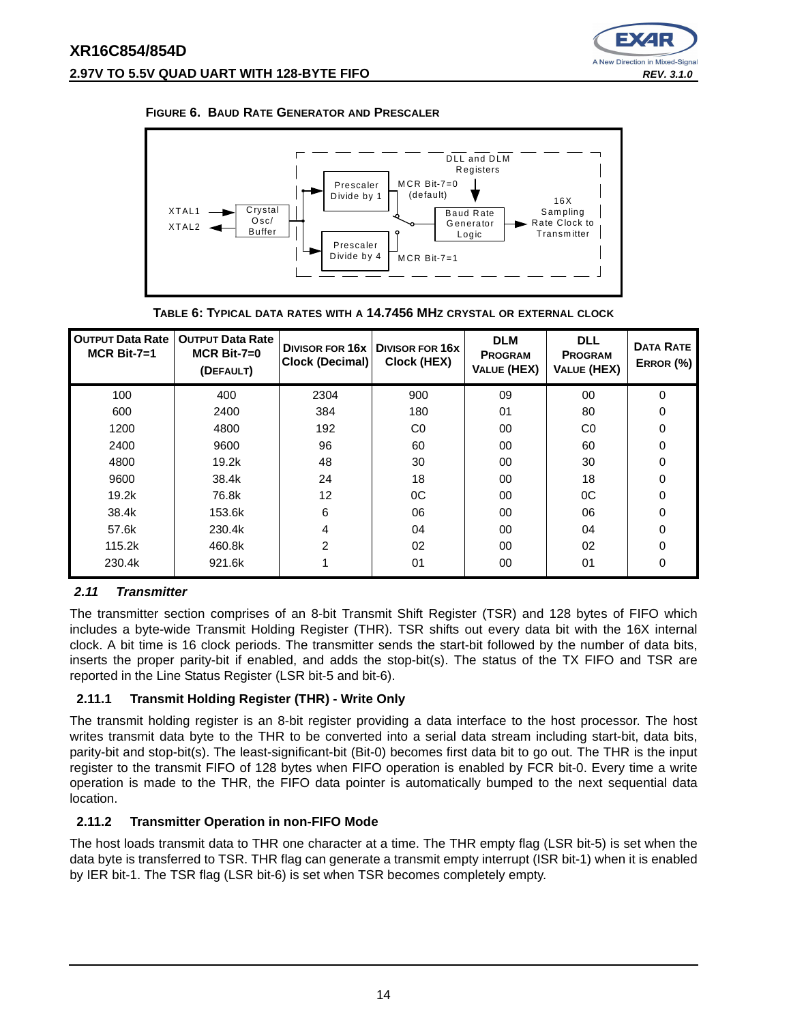







| <b>OUTPUT Data Rate</b><br>$MCR$ Bit-7=1 | <b>OUTPUT Data Rate</b><br>$MCR$ Bit-7=0<br>(DEFAULT) | <b>DIVISOR FOR 16x</b><br>Clock (Decimal) | <b>DIVISOR FOR 16X</b><br>Clock (HEX) | <b>DLM</b><br><b>PROGRAM</b><br><b>VALUE (HEX)</b> | <b>DLL</b><br><b>PROGRAM</b><br><b>VALUE (HEX)</b> | <b>DATA RATE</b><br>ERROR (%) |
|------------------------------------------|-------------------------------------------------------|-------------------------------------------|---------------------------------------|----------------------------------------------------|----------------------------------------------------|-------------------------------|
| 100                                      | 400                                                   | 2304                                      | 900                                   | 09                                                 | 00                                                 | 0                             |
| 600                                      | 2400                                                  | 384                                       | 180                                   | 01                                                 | 80                                                 | 0                             |
| 1200                                     | 4800                                                  | 192                                       | C <sub>0</sub>                        | 00                                                 | C <sub>0</sub>                                     | 0                             |
| 2400                                     | 9600                                                  | 96                                        | 60                                    | 00                                                 | 60                                                 | 0                             |
| 4800                                     | 19.2k                                                 | 48                                        | 30                                    | 00                                                 | 30                                                 | $\Omega$                      |
| 9600                                     | 38.4k                                                 | 24                                        | 18                                    | 00                                                 | 18                                                 | $\Omega$                      |
| 19.2k                                    | 76.8k                                                 | 12                                        | 0C                                    | 00                                                 | 0C                                                 | 0                             |
| 38.4k                                    | 153.6k                                                | 6                                         | 06                                    | 00                                                 | 06                                                 | 0                             |
| 57.6k                                    | 230.4k                                                | 4                                         | 04                                    | 00                                                 | 04                                                 | $\Omega$                      |
| 115.2k                                   | 460.8k                                                | 2                                         | 02                                    | 00                                                 | 02                                                 | $\Omega$                      |
| 230.4k                                   | 921.6k                                                |                                           | 01                                    | 00                                                 | 01                                                 | 0                             |

#### **2.11 Transmitter**

The transmitter section comprises of an 8-bit Transmit Shift Register (TSR) and 128 bytes of FIFO which includes a byte-wide Transmit Holding Register (THR). TSR shifts out every data bit with the 16X internal clock. A bit time is 16 clock periods. The transmitter sends the start-bit followed by the number of data bits, inserts the proper parity-bit if enabled, and adds the stop-bit(s). The status of the TX FIFO and TSR are reported in the Line Status Register (LSR bit-5 and bit-6).

#### **2.11.1 Transmit Holding Register (THR) - Write Only**

The transmit holding register is an 8-bit register providing a data interface to the host processor. The host writes transmit data byte to the THR to be converted into a serial data stream including start-bit, data bits, parity-bit and stop-bit(s). The least-significant-bit (Bit-0) becomes first data bit to go out. The THR is the input register to the transmit FIFO of 128 bytes when FIFO operation is enabled by FCR bit-0. Every time a write operation is made to the THR, the FIFO data pointer is automatically bumped to the next sequential data location.

#### **2.11.2 Transmitter Operation in non-FIFO Mode**

The host loads transmit data to THR one character at a time. The THR empty flag (LSR bit-5) is set when the data byte is transferred to TSR. THR flag can generate a transmit empty interrupt (ISR bit-1) when it is enabled by IER bit-1. The TSR flag (LSR bit-6) is set when TSR becomes completely empty.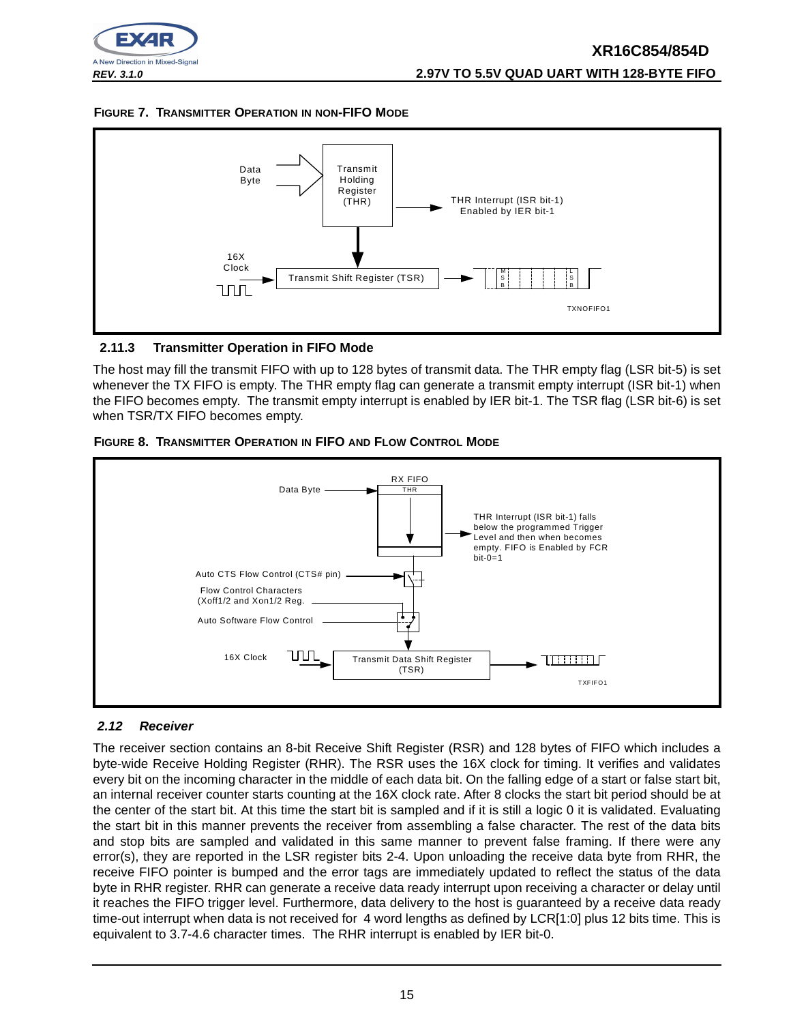

#### **FIGURE 7. TRANSMITTER OPERATION IN NON-FIFO MODE**



#### **2.11.3 Transmitter Operation in FIFO Mode**

The host may fill the transmit FIFO with up to 128 bytes of transmit data. The THR empty flag (LSR bit-5) is set whenever the TX FIFO is empty. The THR empty flag can generate a transmit empty interrupt (ISR bit-1) when the FIFO becomes empty. The transmit empty interrupt is enabled by IER bit-1. The TSR flag (LSR bit-6) is set when TSR/TX FIFO becomes empty.



#### **FIGURE 8. TRANSMITTER OPERATION IN FIFO AND FLOW CONTROL MODE**

#### **2.12 Receiver**

The receiver section contains an 8-bit Receive Shift Register (RSR) and 128 bytes of FIFO which includes a byte-wide Receive Holding Register (RHR). The RSR uses the 16X clock for timing. It verifies and validates every bit on the incoming character in the middle of each data bit. On the falling edge of a start or false start bit, an internal receiver counter starts counting at the 16X clock rate. After 8 clocks the start bit period should be at the center of the start bit. At this time the start bit is sampled and if it is still a logic 0 it is validated. Evaluating the start bit in this manner prevents the receiver from assembling a false character. The rest of the data bits and stop bits are sampled and validated in this same manner to prevent false framing. If there were any error(s), they are reported in the LSR register bits 2-4. Upon unloading the receive data byte from RHR, the receive FIFO pointer is bumped and the error tags are immediately updated to reflect the status of the data byte in RHR register. RHR can generate a receive data ready interrupt upon receiving a character or delay until it reaches the FIFO trigger level. Furthermore, data delivery to the host is guaranteed by a receive data ready time-out interrupt when data is not received for 4 word lengths as defined by LCR[1:0] plus 12 bits time. This is equivalent to 3.7-4.6 character times. The RHR interrupt is enabled by IER bit-0.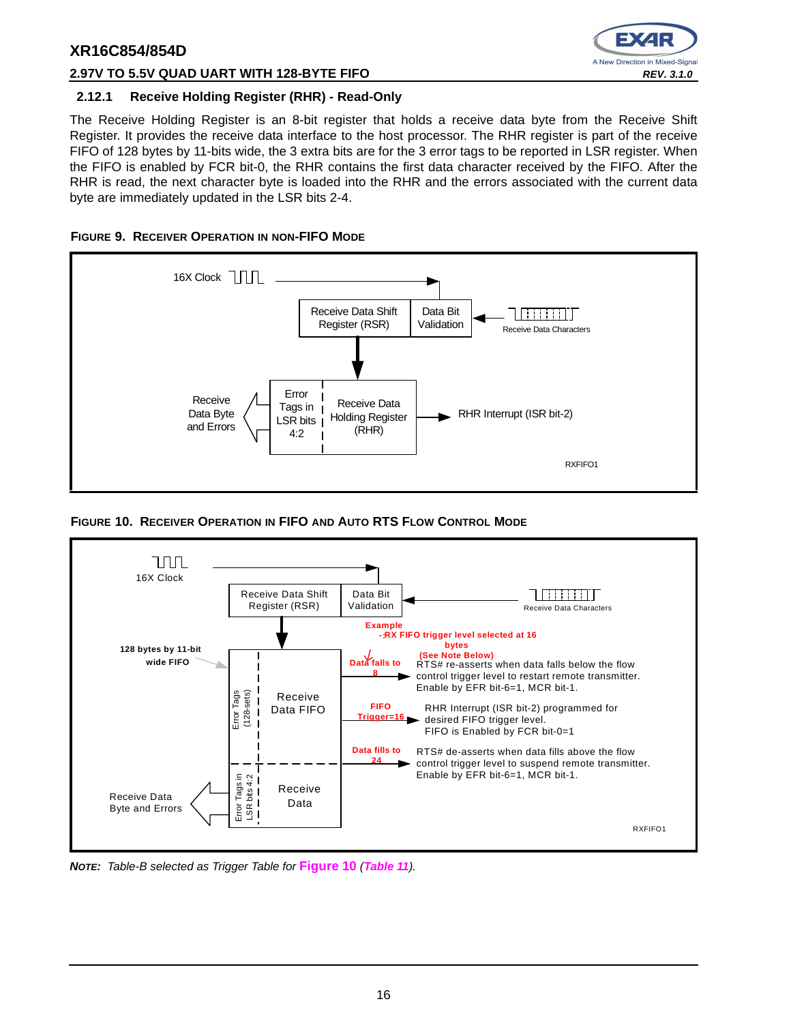

#### **2.97V TO 5.5V QUAD UART WITH 128-BYTE FIFO REV. 3.1.0**

#### **2.12.1 Receive Holding Register (RHR) - Read-Only**

The Receive Holding Register is an 8-bit register that holds a receive data byte from the Receive Shift Register. It provides the receive data interface to the host processor. The RHR register is part of the receive FIFO of 128 bytes by 11-bits wide, the 3 extra bits are for the 3 error tags to be reported in LSR register. When the FIFO is enabled by FCR bit-0, the RHR contains the first data character received by the FIFO. After the RHR is read, the next character byte is loaded into the RHR and the errors associated with the current data byte are immediately updated in the LSR bits 2-4.





**FIGURE 10. RECEIVER OPERATION IN FIFO AND AUTO RTS FLOW CONTROL MODE**



**NOTE:** Table-B selected as Trigger Table for **Figure 10** (**Table 11**).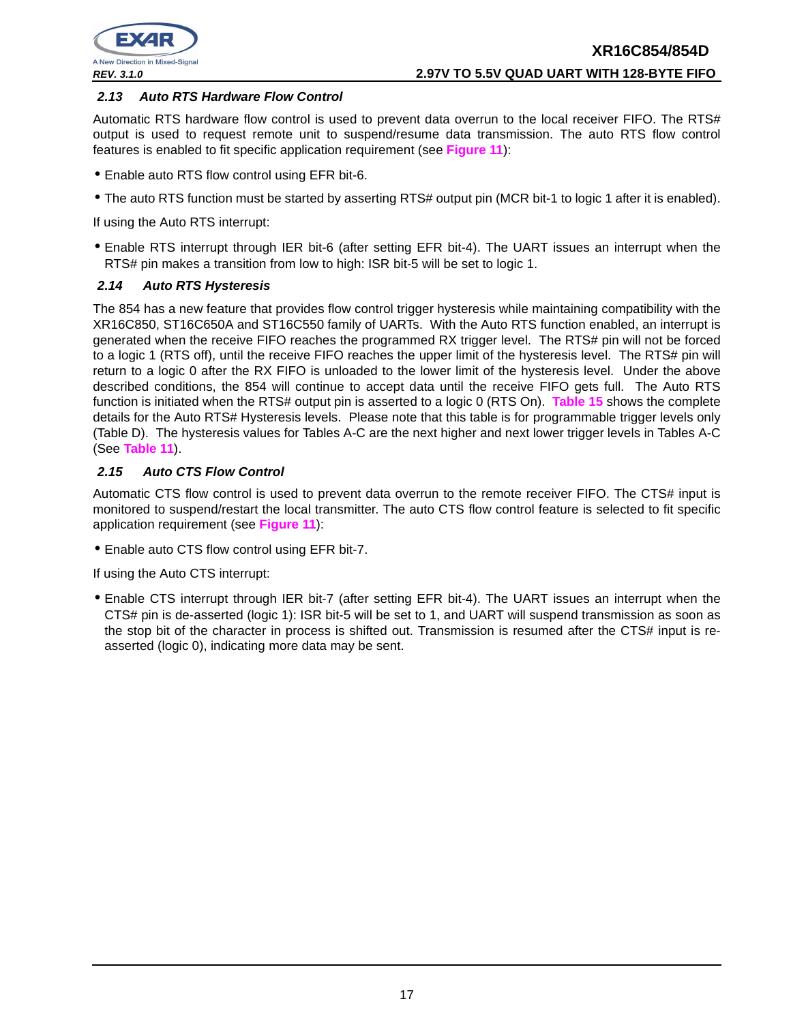

#### **2.13 Auto RTS Hardware Flow Control**

Automatic RTS hardware flow control is used to prevent data overrun to the local receiver FIFO. The RTS# output is used to request remote unit to suspend/resume data transmission. The auto RTS flow control features is enabled to fit specific application requirement (see **Figure 11**):

- Enable auto RTS flow control using EFR bit-6.
- The auto RTS function must be started by asserting RTS# output pin (MCR bit-1 to logic 1 after it is enabled).

If using the Auto RTS interrupt:

• Enable RTS interrupt through IER bit-6 (after setting EFR bit-4). The UART issues an interrupt when the RTS# pin makes a transition from low to high: ISR bit-5 will be set to logic 1.

#### **2.14 Auto RTS Hysteresis**

The 854 has a new feature that provides flow control trigger hysteresis while maintaining compatibility with the XR16C850, ST16C650A and ST16C550 family of UARTs. With the Auto RTS function enabled, an interrupt is generated when the receive FIFO reaches the programmed RX trigger level. The RTS# pin will not be forced to a logic 1 (RTS off), until the receive FIFO reaches the upper limit of the hysteresis level. The RTS# pin will return to a logic 0 after the RX FIFO is unloaded to the lower limit of the hysteresis level. Under the above described conditions, the 854 will continue to accept data until the receive FIFO gets full. The Auto RTS function is initiated when the RTS# output pin is asserted to a logic 0 (RTS On). **Table 15** shows the complete details for the Auto RTS# Hysteresis levels. Please note that this table is for programmable trigger levels only (Table D). The hysteresis values for Tables A-C are the next higher and next lower trigger levels in Tables A-C (See **Table 11**).

#### **2.15 Auto CTS Flow Control**

Automatic CTS flow control is used to prevent data overrun to the remote receiver FIFO. The CTS# input is monitored to suspend/restart the local transmitter. The auto CTS flow control feature is selected to fit specific application requirement (see **Figure 11**):

• Enable auto CTS flow control using EFR bit-7.

If using the Auto CTS interrupt:

• Enable CTS interrupt through IER bit-7 (after setting EFR bit-4). The UART issues an interrupt when the CTS# pin is de-asserted (logic 1): ISR bit-5 will be set to 1, and UART will suspend transmission as soon as the stop bit of the character in process is shifted out. Transmission is resumed after the CTS# input is reasserted (logic 0), indicating more data may be sent.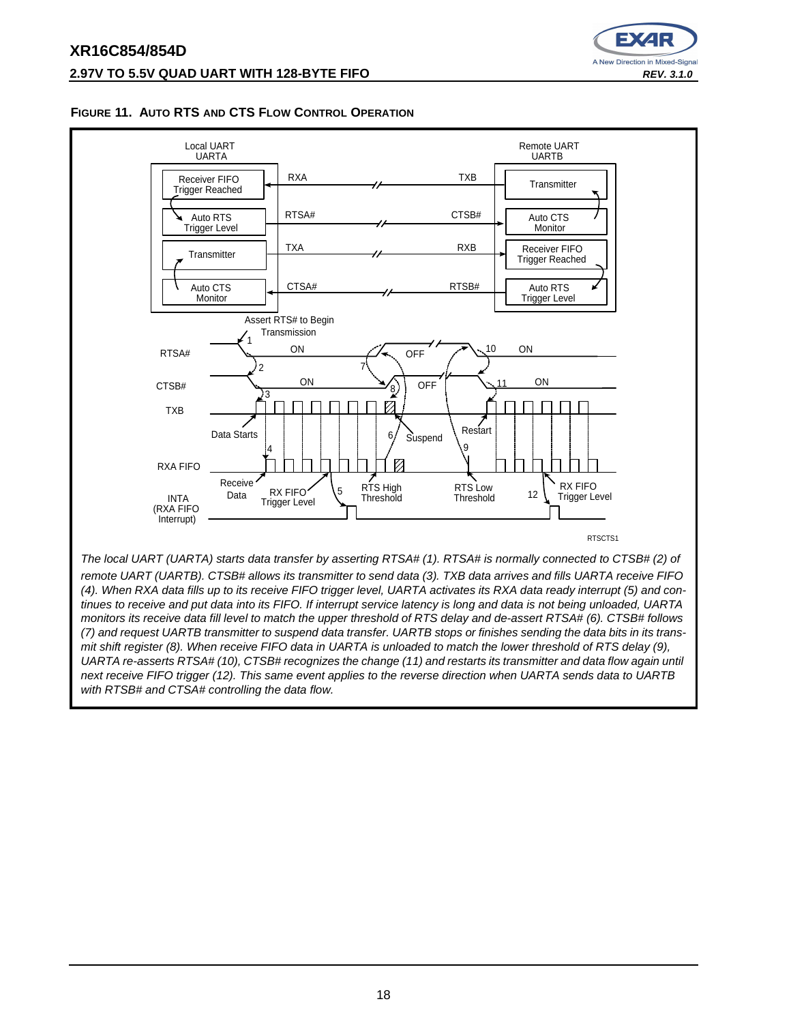### **XR16C854/854D 2.97V TO 5.5V QUAD UART WITH 128-BYTE FIFO REV. 3.1.0**



#### **FIGURE 11. AUTO RTS AND CTS FLOW CONTROL OPERATION**



monitors its receive data fill level to match the upper threshold of RTS delay and de-assert RTSA# (6). CTSB# follows (7) and request UARTB transmitter to suspend data transfer. UARTB stops or finishes sending the data bits in its transmit shift register (8). When receive FIFO data in UARTA is unloaded to match the lower threshold of RTS delay (9), UARTA re-asserts RTSA# (10), CTSB# recognizes the change (11) and restarts its transmitter and data flow again until next receive FIFO trigger (12). This same event applies to the reverse direction when UARTA sends data to UARTB with RTSB# and CTSA# controlling the data flow.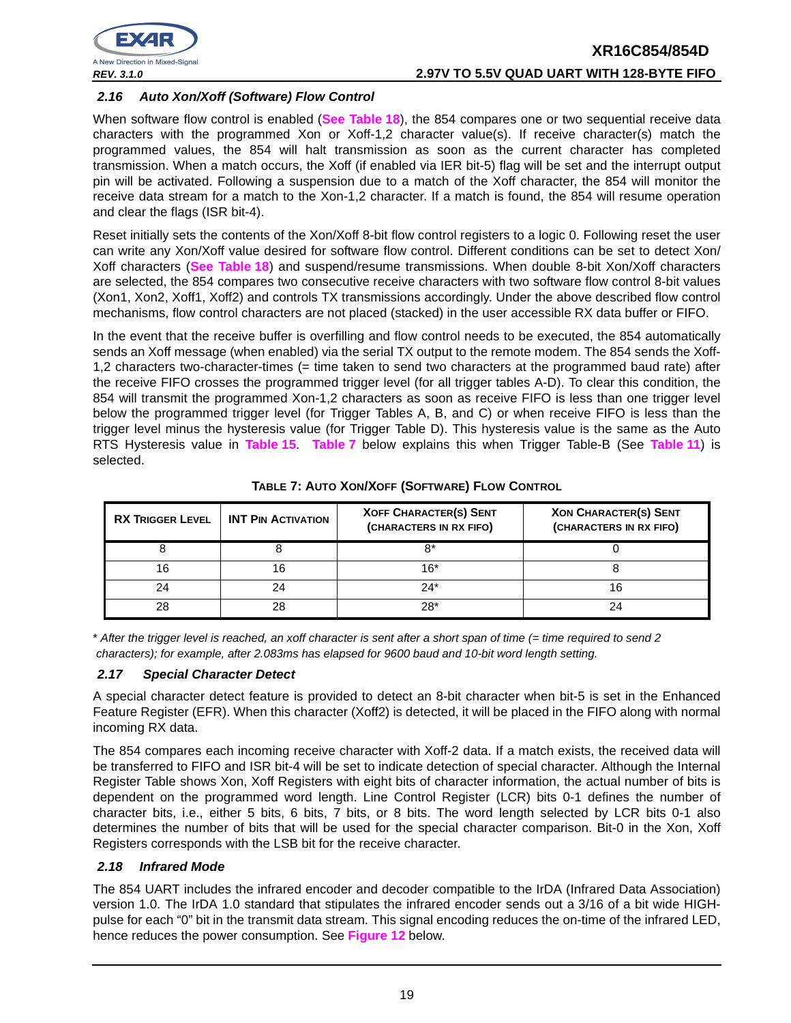

#### **2.16 Auto Xon/Xoff (Software) Flow Control**

When software flow control is enabled (**See Table 18**), the 854 compares one or two sequential receive data characters with the programmed Xon or Xoff-1,2 character value(s). If receive character(s) match the programmed values, the 854 will halt transmission as soon as the current character has completed transmission. When a match occurs, the Xoff (if enabled via IER bit-5) flag will be set and the interrupt output pin will be activated. Following a suspension due to a match of the Xoff character, the 854 will monitor the receive data stream for a match to the Xon-1,2 character. If a match is found, the 854 will resume operation and clear the flags (ISR bit-4).

Reset initially sets the contents of the Xon/Xoff 8-bit flow control registers to a logic 0. Following reset the user can write any Xon/Xoff value desired for software flow control. Different conditions can be set to detect Xon/ Xoff characters (**See Table 18**) and suspend/resume transmissions. When double 8-bit Xon/Xoff characters are selected, the 854 compares two consecutive receive characters with two software flow control 8-bit values (Xon1, Xon2, Xoff1, Xoff2) and controls TX transmissions accordingly. Under the above described flow control mechanisms, flow control characters are not placed (stacked) in the user accessible RX data buffer or FIFO.

In the event that the receive buffer is overfilling and flow control needs to be executed, the 854 automatically sends an Xoff message (when enabled) via the serial TX output to the remote modem. The 854 sends the Xoff-1,2 characters two-character-times (= time taken to send two characters at the programmed baud rate) after the receive FIFO crosses the programmed trigger level (for all trigger tables A-D). To clear this condition, the 854 will transmit the programmed Xon-1,2 characters as soon as receive FIFO is less than one trigger level below the programmed trigger level (for Trigger Tables A, B, and C) or when receive FIFO is less than the trigger level minus the hysteresis value (for Trigger Table D). This hysteresis value is the same as the Auto RTS Hysteresis value in **Table 15**. **Table 7** below explains this when Trigger Table-B (See **Table 11**) is selected.

| <b>RX TRIGGER LEVEL</b> | <b>INT PIN ACTIVATION</b> | <b>XOFF CHARACTER(S) SENT</b><br>(CHARACTERS IN RX FIFO) | <b>XON CHARACTER(S) SENT</b><br>(CHARACTERS IN RX FIFO) |
|-------------------------|---------------------------|----------------------------------------------------------|---------------------------------------------------------|
|                         |                           | 8*                                                       |                                                         |
| 16                      |                           | $16*$                                                    |                                                         |
| 24                      | 24                        | $24*$                                                    |                                                         |
| 28                      | 28                        | $28*$                                                    |                                                         |

**TABLE 7: AUTO XON/XOFF (SOFTWARE) FLOW CONTROL**

\* After the trigger level is reached, an xoff character is sent after a short span of time (= time required to send 2 characters); for example, after 2.083ms has elapsed for 9600 baud and 10-bit word length setting.

#### **2.17 Special Character Detect**

A special character detect feature is provided to detect an 8-bit character when bit-5 is set in the Enhanced Feature Register (EFR). When this character (Xoff2) is detected, it will be placed in the FIFO along with normal incoming RX data.

The 854 compares each incoming receive character with Xoff-2 data. If a match exists, the received data will be transferred to FIFO and ISR bit-4 will be set to indicate detection of special character. Although the Internal Register Table shows Xon, Xoff Registers with eight bits of character information, the actual number of bits is dependent on the programmed word length. Line Control Register (LCR) bits 0-1 defines the number of character bits, i.e., either 5 bits, 6 bits, 7 bits, or 8 bits. The word length selected by LCR bits 0-1 also determines the number of bits that will be used for the special character comparison. Bit-0 in the Xon, Xoff Registers corresponds with the LSB bit for the receive character.

#### **2.18 Infrared Mode**

The 854 UART includes the infrared encoder and decoder compatible to the IrDA (Infrared Data Association) version 1.0. The IrDA 1.0 standard that stipulates the infrared encoder sends out a 3/16 of a bit wide HIGHpulse for each "0" bit in the transmit data stream. This signal encoding reduces the on-time of the infrared LED, hence reduces the power consumption. See **Figure 12** below.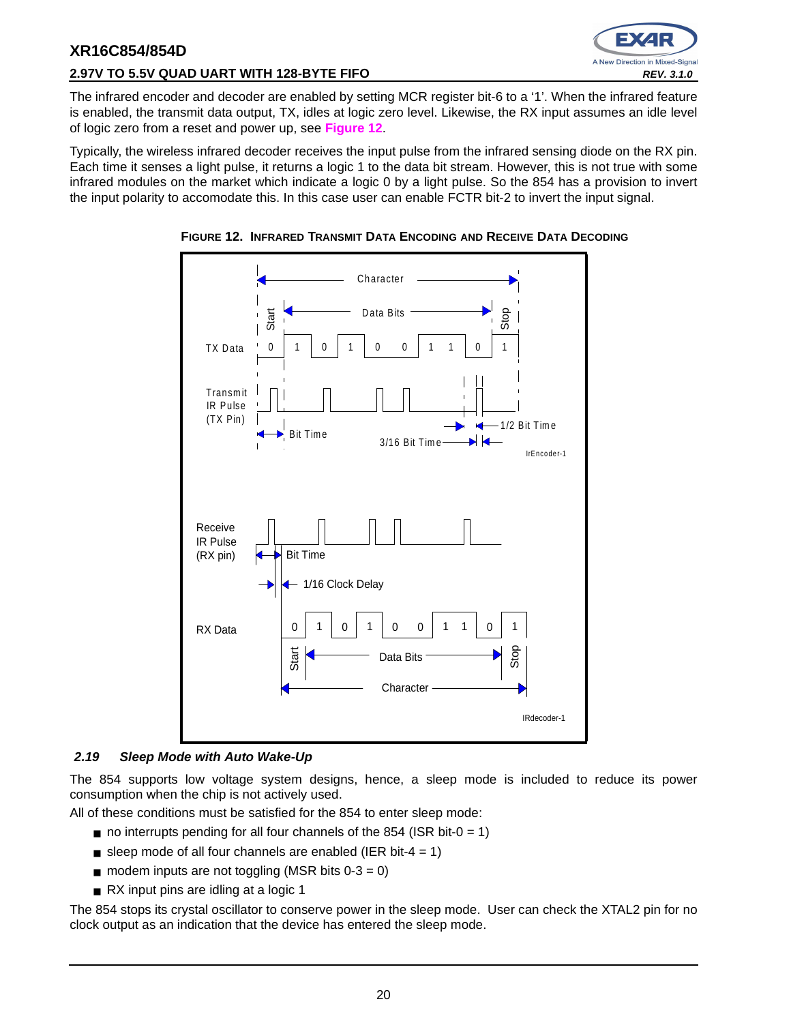



The infrared encoder and decoder are enabled by setting MCR register bit-6 to a '1'. When the infrared feature is enabled, the transmit data output, TX, idles at logic zero level. Likewise, the RX input assumes an idle level of logic zero from a reset and power up, see **Figure 12**.

Typically, the wireless infrared decoder receives the input pulse from the infrared sensing diode on the RX pin. Each time it senses a light pulse, it returns a logic 1 to the data bit stream. However, this is not true with some infrared modules on the market which indicate a logic 0 by a light pulse. So the 854 has a provision to invert the input polarity to accomodate this. In this case user can enable FCTR bit-2 to invert the input signal.





#### **2.19 Sleep Mode with Auto Wake-Up**

The 854 supports low voltage system designs, hence, a sleep mode is included to reduce its power consumption when the chip is not actively used.

All of these conditions must be satisfied for the 854 to enter sleep mode:

- $\blacksquare$  no interrupts pending for all four channels of the 854 (ISR bit-0 = 1)
- sleep mode of all four channels are enabled (IER bit-4 = 1)
- $\blacksquare$  modem inputs are not toggling (MSR bits  $0-3=0$ )
- RX input pins are idling at a logic 1

The 854 stops its crystal oscillator to conserve power in the sleep mode. User can check the XTAL2 pin for no clock output as an indication that the device has entered the sleep mode.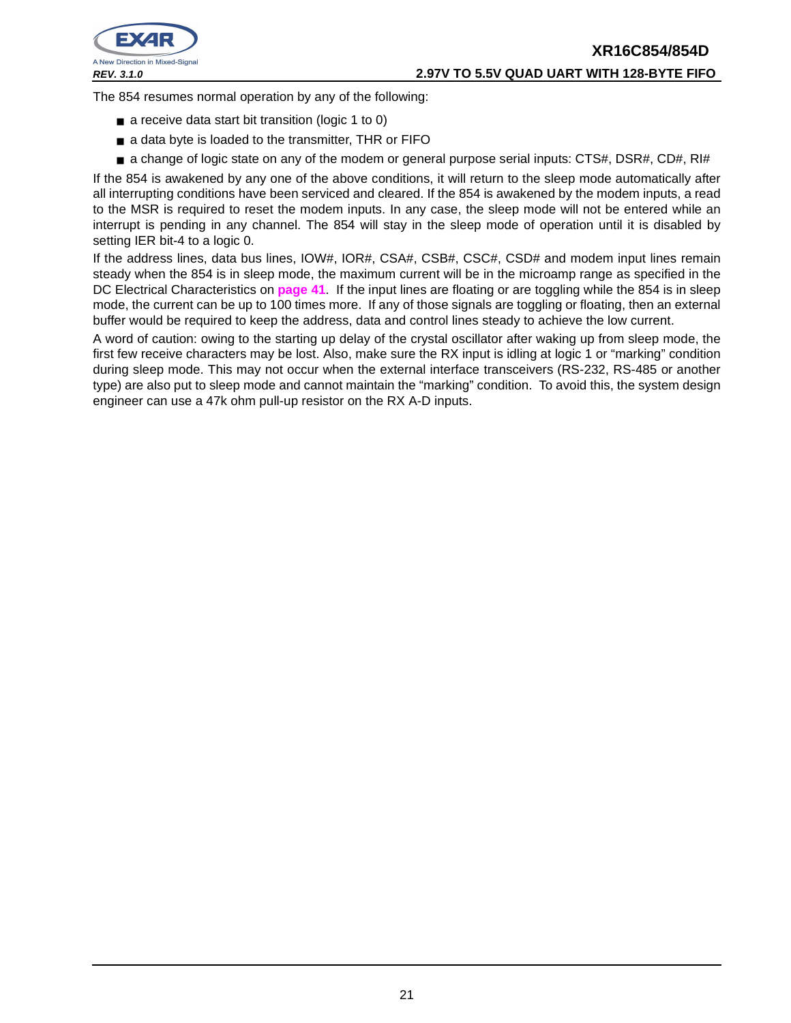

### **XR16C854/854D REV. 3.1.0 2.97V TO 5.5V QUAD UART WITH 128-BYTE FIFO**

The 854 resumes normal operation by any of the following:

- a receive data start bit transition (logic 1 to 0)
- a data byte is loaded to the transmitter, THR or FIFO
- a change of logic state on any of the modem or general purpose serial inputs: CTS#, DSR#, CD#, RI#

If the 854 is awakened by any one of the above conditions, it will return to the sleep mode automatically after all interrupting conditions have been serviced and cleared. If the 854 is awakened by the modem inputs, a read to the MSR is required to reset the modem inputs. In any case, the sleep mode will not be entered while an interrupt is pending in any channel. The 854 will stay in the sleep mode of operation until it is disabled by setting IER bit-4 to a logic 0.

If the address lines, data bus lines, IOW#, IOR#, CSA#, CSB#, CSC#, CSD# and modem input lines remain steady when the 854 is in sleep mode, the maximum current will be in the microamp range as specified in the DC Electrical Characteristics on **page 41**. If the input lines are floating or are toggling while the 854 is in sleep mode, the current can be up to 100 times more. If any of those signals are toggling or floating, then an external buffer would be required to keep the address, data and control lines steady to achieve the low current.

A word of caution: owing to the starting up delay of the crystal oscillator after waking up from sleep mode, the first few receive characters may be lost. Also, make sure the RX input is idling at logic 1 or "marking" condition during sleep mode. This may not occur when the external interface transceivers (RS-232, RS-485 or another type) are also put to sleep mode and cannot maintain the "marking" condition. To avoid this, the system design engineer can use a 47k ohm pull-up resistor on the RX A-D inputs.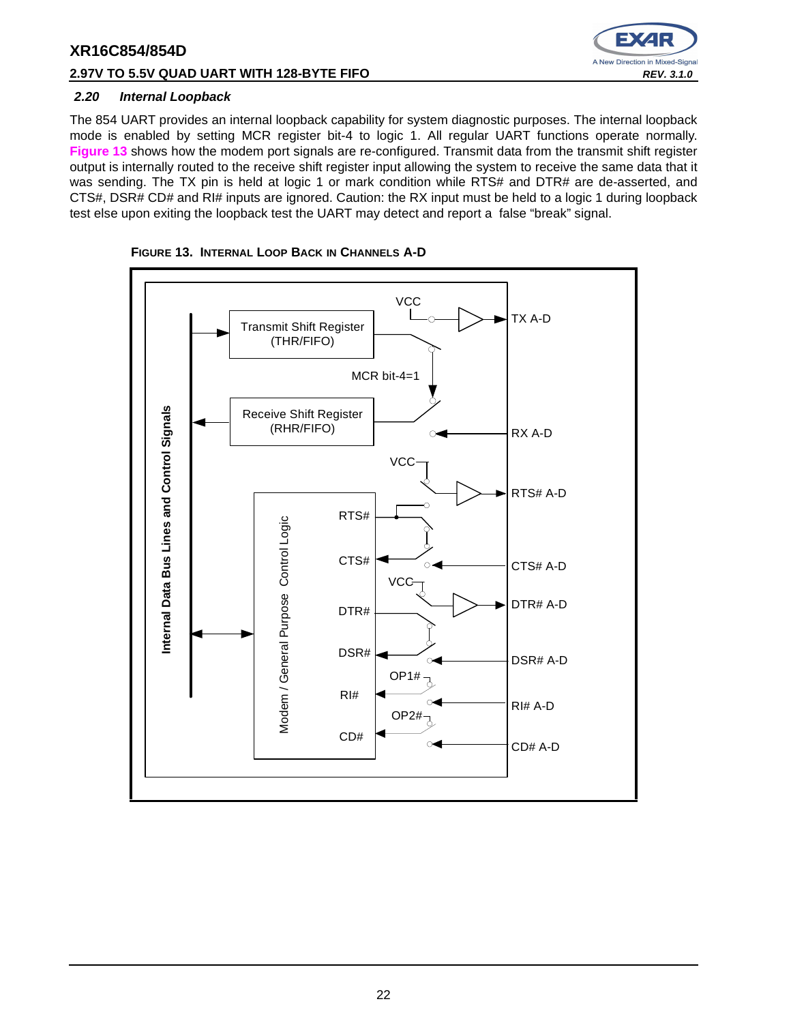#### **2.97V TO 5.5V QUAD UART WITH 128-BYTE FIFO REV. 3.1.0 REV. 3.1.0**



#### **2.20 Internal Loopback**

The 854 UART provides an internal loopback capability for system diagnostic purposes. The internal loopback mode is enabled by setting MCR register bit-4 to logic 1. All regular UART functions operate normally. **Figure 13** shows how the modem port signals are re-configured. Transmit data from the transmit shift register output is internally routed to the receive shift register input allowing the system to receive the same data that it was sending. The TX pin is held at logic 1 or mark condition while RTS# and DTR# are de-asserted, and CTS#, DSR# CD# and RI# inputs are ignored. Caution: the RX input must be held to a logic 1 during loopback test else upon exiting the loopback test the UART may detect and report a false "break" signal.



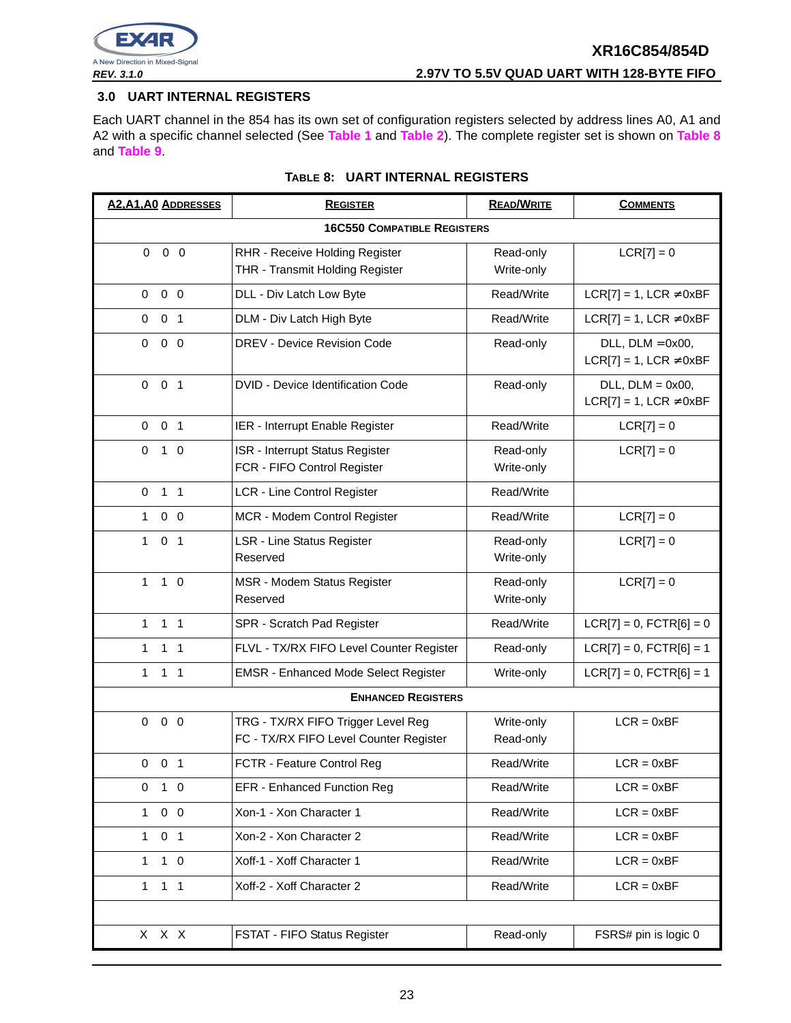

#### **3.0 UART INTERNAL REGISTERS**

Each UART channel in the 854 has its own set of configuration registers selected by address lines A0, A1 and A2 with a specific channel selected (See **Table 1** and **Table 2**). The complete register set is shown on **Table 8** and **Table 9**.

| <b>A2, A1, A0 ADDRESSES</b>    | <b>REGISTER</b>                                                              | <b>READ/WRITE</b>                                        | <b>COMMENTS</b>                                          |
|--------------------------------|------------------------------------------------------------------------------|----------------------------------------------------------|----------------------------------------------------------|
|                                | <b>16C550 COMPATIBLE REGISTERS</b>                                           |                                                          |                                                          |
| $0\quad 0$<br>$\mathbf 0$      | RHR - Receive Holding Register                                               | Read-only                                                | $LCR[7] = 0$                                             |
|                                | THR - Transmit Holding Register                                              | Write-only                                               |                                                          |
| $0\quad 0\quad 0$              | DLL - Div Latch Low Byte                                                     | Read/Write                                               | $LCR[7] = 1$ , $LCR \neq 0xBF$                           |
| 0 <sub>1</sub><br>$\mathbf 0$  | DLM - Div Latch High Byte                                                    | Read/Write                                               | $LCR[7] = 1$ , $LCR \neq 0xBF$                           |
| $\mathbf 0$<br>$0\quad 0$      | DREV - Device Revision Code                                                  | Read-only                                                | $DLL$ , $DLM = 0x00$ ,<br>$LCR[7] = 1$ , LCR $\neq$ 0xBF |
| 0 <sub>1</sub><br>$\mathbf 0$  | <b>DVID - Device Identification Code</b>                                     | $DLL$ , $DLM = 0x00$ ,<br>$LCR[7] = 1$ , $LCR \neq 0xBF$ |                                                          |
| $0 \t 0 \t 1$                  | IER - Interrupt Enable Register                                              | Read/Write                                               | $LCR[7] = 0$                                             |
| $\mathbf 0$<br>$1\quad0$       | ISR - Interrupt Status Register<br>FCR - FIFO Control Register               | Read-only<br>Write-only                                  | $LCR[7] = 0$                                             |
| $\mathbf 0$<br>$1 \quad 1$     | LCR - Line Control Register                                                  | Read/Write                                               |                                                          |
| $0\quad 0$<br>$\mathbf{1}$     | MCR - Modem Control Register                                                 | Read/Write                                               | $LCR[7] = 0$                                             |
| 0 <sub>1</sub><br>1            | <b>LSR - Line Status Register</b><br>Reserved                                | Read-only<br>Write-only                                  | $LCR[7] = 0$                                             |
| 1<br>$1\quad$ 0                | MSR - Modem Status Register<br>Reserved                                      | Read-only<br>Write-only                                  | $LCR[7] = 0$                                             |
| $1 \quad 1$<br>1.              | SPR - Scratch Pad Register                                                   | Read/Write                                               | $LCR[7] = 0$ , $FCTR[6] = 0$                             |
| $\mathbf{1}$<br>1 <sub>1</sub> | FLVL - TX/RX FIFO Level Counter Register                                     | Read-only                                                | $LCR[7] = 0$ , $FCTR[6] = 1$                             |
| 1<br>$1 \quad 1$               | <b>EMSR - Enhanced Mode Select Register</b>                                  | Write-only                                               | $LCR[7] = 0$ , $FCTR[6] = 1$                             |
|                                | <b>ENHANCED REGISTERS</b>                                                    |                                                          |                                                          |
| $0\quad 0$<br>$\mathbf 0$      | TRG - TX/RX FIFO Trigger Level Reg<br>FC - TX/RX FIFO Level Counter Register | Write-only<br>Read-only                                  | $LCR = 0xBF$                                             |
| $0$ 0 1                        | FCTR - Feature Control Reg                                                   | Read/Write                                               | $LCR = 0xBF$                                             |
| $1\quad0$<br>$\mathbf 0$       | <b>EFR - Enhanced Function Reg</b>                                           | Read/Write                                               | $LCR = 0xBF$                                             |
| $0\quad 0$<br>$\mathbf{1}$     | Xon-1 - Xon Character 1                                                      | Read/Write                                               | $LCR = 0xBF$                                             |
| 0 <sub>1</sub><br>$\mathbf{1}$ | Xon-2 - Xon Character 2                                                      | Read/Write                                               | $LCR = 0xBF$                                             |
| $1\quad 0$<br>1                | Xoff-1 - Xoff Character 1                                                    | Read/Write                                               | $LCR = 0xBF$                                             |
| 1 <sub>1</sub><br>$\mathbf{1}$ | Xoff-2 - Xoff Character 2                                                    | Read/Write                                               | $LCR = 0xBF$                                             |
|                                |                                                                              |                                                          |                                                          |
| X X X                          | FSTAT - FIFO Status Register                                                 | Read-only                                                | FSRS# pin is logic 0                                     |

#### **TABLE 8: UART INTERNAL REGISTERS**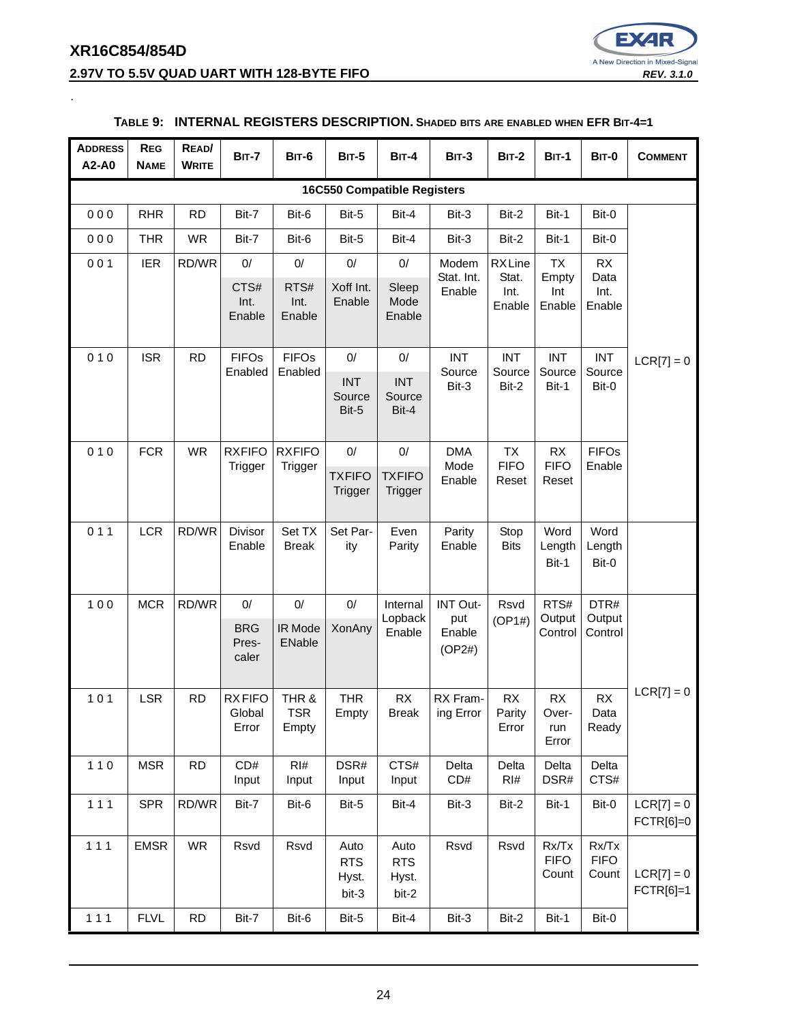### **XR16C854/854D 2.97V TO 5.5V QUAD UART WITH 128-BYTE FIFO REV. 3.1.0 REV. 3.1.0**

.



#### **ADDRESS A2-A0 REG NAME READ/ WRITE BIT-7 BIT-6 BIT-5 BIT-4 BIT-3 BIT-2 BIT-1 BIT-0 COMMENT 16C550 Compatible Registers** 0 0 0 | RHR | RD | Bit-7 | Bit-6 | Bit-5 | Bit-4 | Bit-3 | Bit-2 | Bit-1 | Bit-0  $LCR[7] = 0$ 0 0 0 | THR | WR | Bit-7 | Bit-6 | Bit-5 | Bit-4 | Bit-3 | Bit-2 | Bit-1 | Bit-0 0 0 1 | IER | RD/WR | 0 | 0 | 0 | 0 | 0 | 0 | Modem Stat. Int. Enable RX Line Stat. Int. Enable TX Empty Int Enable RX Data Int. Enable CTS# Int. Enable RTS# Int. Enable Xoff Int. Enable Sleep Mode Enable  $010$  SR RD FIFOS Enabled FIFOs Enabled 0/ 0/ INT Source Bit-3 INT Source Bit-2 INT Source Bit-1 INT Source INT | INT | Bit-3 | Bit-2 | Bit-1 | Bit-0 Source Bit-5 INT Source Bit-4 0 10 FCR WR RXFIFO **Trigger RXFIFO Trigger** 0/ 0/ DMA Mode Enable TX **FIFO** Reset RX **FIFO** Reset FIFOs Enable **TXFIFO Trigger TXFIFO Trigger** 0 1 1 LCR RD/WR Divisor Enable Set TX Break Set Parity Even Parity Parity Enable Stop **Bits** Word Length Bit-1 Word Length Bit-0 100 | MCR  $|RD/WR|$  0/ | 0/ | 0/ | Internal Lopback Enable INT Output Enable (OP2#) Rsvd (OP1#) RTS# **Output Control** DTR# **Output Control**  $LCR[7] = 0$ **BRG** Prescaler IR Mode ENable XonAny  $101$  LSR RD RX FIFO **Global** Error THR & TSR Empty THR Empty RX Break RX Framing Error RX Parity Error RX Overrun Error RX Data Ready 1 1 0 | MSR | RD | CD# Input RI# Input DSR# Input CTS# Input Delta CD# Delta RI# Delta DSR# Delta CTS# 1 1 1 | SPR | RD/WR | Bit-7 | Bit-6 | Bit-5 | Bit-4 | Bit-3 | Bit-2 | Bit-1 | Bit-0 | LCR[7] = 0 FCTR[6]=0 111 | EMSR | WR | Rsvd | Rsvd | Auto

#### **TABLE 9: INTERNAL REGISTERS DESCRIPTION. SHADED BITS ARE ENABLED WHEN EFR BIT-4=1**

Auto RTS Hyst. bit-2 Rsvd Rsvd Rx/Tx

FIFO **Count**  Rx/Tx FIFO

Count  $LCR[7] = 0$ 

FCTR[6]=1

RTS Hyst. bit-3

1 1 1 | FLVL | RD | Bit-7 | Bit-6 | Bit-5 | Bit-4 | Bit-3 | Bit-2 | Bit-1 | Bit-0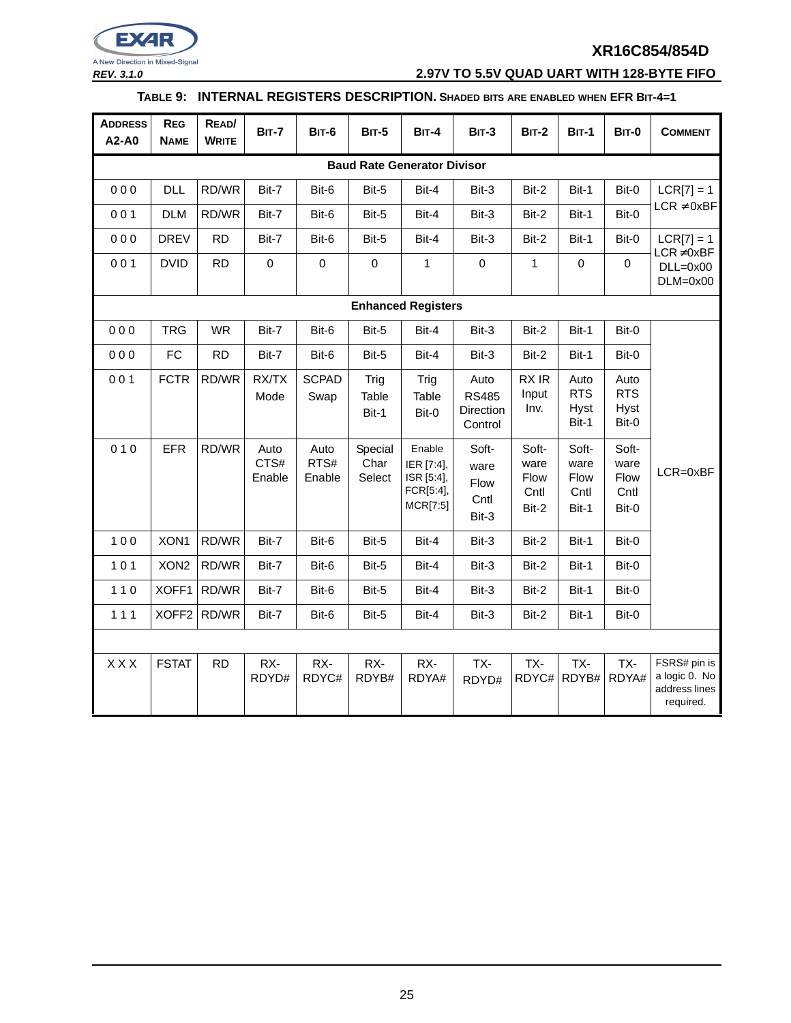

**REV. 3.1.0 2.97V TO 5.5V QUAD UART WITH 128-BYTE FIFO**

#### **TABLE 9: INTERNAL REGISTERS DESCRIPTION. SHADED BITS ARE ENABLED WHEN EFR BIT-4=1**

| <b>ADDRESS</b><br>A2-A0 | <b>REG</b><br><b>NAME</b>          | READ/<br><b>WRITE</b> | <b>BIT-7</b>           | <b>BIT-6</b>           | <b>BIT-5</b>              | <b>BIT-4</b>                                                | $BIT-3$                                      | <b>BIT-2</b>                           | <b>BIT-1</b>                                  | <b>BIT-0</b>                                  | <b>COMMENT</b>                                              |
|-------------------------|------------------------------------|-----------------------|------------------------|------------------------|---------------------------|-------------------------------------------------------------|----------------------------------------------|----------------------------------------|-----------------------------------------------|-----------------------------------------------|-------------------------------------------------------------|
|                         | <b>Baud Rate Generator Divisor</b> |                       |                        |                        |                           |                                                             |                                              |                                        |                                               |                                               |                                                             |
| 000                     | <b>DLL</b>                         | RD/WR                 | Bit-7                  | Bit-6                  | Bit-5                     | Bit-4                                                       | Bit-3                                        | Bit-2                                  | Bit-1                                         | Bit-0                                         | $LCR[7] = 1$                                                |
| 001                     | <b>DLM</b>                         | RD/WR                 | Bit-7                  | Bit-6                  | Bit-5                     | Bit-4                                                       | Bit-3                                        | Bit-2                                  | Bit-1                                         | Bit-0                                         | $LCR \neq 0xBF$                                             |
| 000                     | <b>DREV</b>                        | <b>RD</b>             | Bit-7                  | Bit-6                  | Bit-5                     | Bit-4                                                       | Bit-3                                        | Bit-2                                  | Bit-1                                         | Bit-0                                         | $LCR[7] = 1$                                                |
| 001                     | <b>DVID</b>                        | <b>RD</b>             | 0                      | $\mathbf 0$            | $\pmb{0}$                 | 1                                                           | $\pmb{0}$                                    | $\mathbf{1}$                           | $\pmb{0}$                                     | $\mathbf 0$                                   | $LCR \neq 0xBF$<br>$DLL=0x00$<br>$DLM=0x00$                 |
|                         |                                    |                       |                        |                        |                           | <b>Enhanced Registers</b>                                   |                                              |                                        |                                               |                                               |                                                             |
| 000                     | <b>TRG</b>                         | <b>WR</b>             | Bit-7                  | Bit-6                  | Bit-5                     | Bit-4                                                       | Bit-3                                        | Bit-2                                  | Bit-1                                         | Bit-0                                         |                                                             |
| 000                     | <b>FC</b>                          | <b>RD</b>             | Bit-7                  | Bit-6                  | Bit-5                     | Bit-4                                                       | Bit-3                                        | Bit-2                                  | Bit-1                                         | Bit-0                                         |                                                             |
| 001                     | <b>FCTR</b>                        | RD/WR                 | RX/TX<br>Mode          | <b>SCPAD</b><br>Swap   | Trig<br>Table<br>Bit-1    | Trig<br>Table<br>Bit-0                                      | Auto<br><b>RS485</b><br>Direction<br>Control | RX IR<br>Input<br>Inv.                 | Auto<br><b>RTS</b><br><b>Hyst</b><br>Bit-1    | Auto<br><b>RTS</b><br><b>Hyst</b><br>Bit-0    |                                                             |
| 010                     | <b>EFR</b>                         | RD/WR                 | Auto<br>CTS#<br>Enable | Auto<br>RTS#<br>Enable | Special<br>Char<br>Select | Enable<br>IER [7:4],<br>ISR [5:4],<br>FCR[5:4],<br>MCR[7:5] | Soft-<br>ware<br>Flow<br>Cntl<br>Bit-3       | Soft-<br>ware<br>Flow<br>Cntl<br>Bit-2 | Soft-<br>ware<br><b>Flow</b><br>Cntl<br>Bit-1 | Soft-<br>ware<br><b>Flow</b><br>Cntl<br>Bit-0 | LCR=0xBF                                                    |
| 100                     | XON1                               | RD/WR                 | Bit-7                  | Bit-6                  | Bit-5                     | Bit-4                                                       | Bit-3                                        | Bit-2                                  | Bit-1                                         | Bit-0                                         |                                                             |
| 101                     | XON <sub>2</sub>                   | RD/WR                 | Bit-7                  | Bit-6                  | Bit-5                     | Bit-4                                                       | Bit-3                                        | Bit-2                                  | Bit-1                                         | Bit-0                                         |                                                             |
| $110$                   | XOFF1                              | RD/WR                 | Bit-7                  | Bit-6                  | Bit-5                     | Bit-4                                                       | Bit-3                                        | Bit-2                                  | Bit-1                                         | Bit-0                                         |                                                             |
| 111                     | XOFF <sub>2</sub>                  | RD/WR                 | Bit-7                  | Bit-6                  | Bit-5                     | Bit-4                                                       | Bit-3                                        | Bit-2                                  | Bit-1                                         | Bit-0                                         |                                                             |
|                         |                                    |                       |                        |                        |                           |                                                             |                                              |                                        |                                               |                                               |                                                             |
| <b>XXX</b>              | <b>FSTAT</b>                       | <b>RD</b>             | RX-<br>RDYD#           | RX-<br>RDYC#           | RX-<br>RDYB#              | RX-<br>RDYA#                                                | TX-<br>RDYD#                                 | TX-<br>RDYC#                           | TX-<br>RDYB#                                  | TX-<br>RDYA#                                  | FSRS# pin is<br>a logic 0. No<br>address lines<br>required. |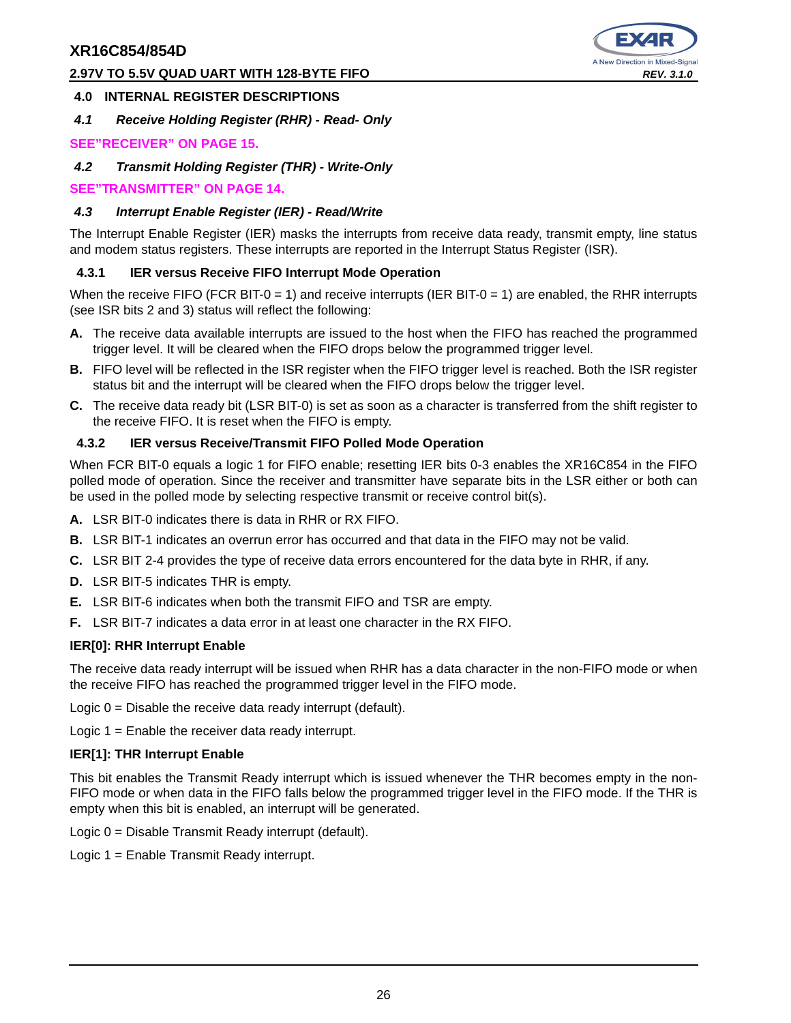#### **2.97V TO 5.5V QUAD UART WITH 128-BYTE FIFO REV. 3.1.0 REV. 3.1.0**



#### **4.0 INTERNAL REGISTER DESCRIPTIONS**

**4.1 Receive Holding Register (RHR) - Read- Only**

#### **SEE"RECEIVER" ON PAGE 15.**

**4.2 Transmit Holding Register (THR) - Write-Only**

**SEE"TRANSMITTER" ON PAGE 14.**

#### **4.3 Interrupt Enable Register (IER) - Read/Write**

The Interrupt Enable Register (IER) masks the interrupts from receive data ready, transmit empty, line status and modem status registers. These interrupts are reported in the Interrupt Status Register (ISR).

#### **4.3.1 IER versus Receive FIFO Interrupt Mode Operation**

When the receive FIFO (FCR BIT-0 = 1) and receive interrupts (IER BIT-0 = 1) are enabled, the RHR interrupts (see ISR bits 2 and 3) status will reflect the following:

- **A.** The receive data available interrupts are issued to the host when the FIFO has reached the programmed trigger level. It will be cleared when the FIFO drops below the programmed trigger level.
- **B.** FIFO level will be reflected in the ISR register when the FIFO trigger level is reached. Both the ISR register status bit and the interrupt will be cleared when the FIFO drops below the trigger level.
- **C.** The receive data ready bit (LSR BIT-0) is set as soon as a character is transferred from the shift register to the receive FIFO. It is reset when the FIFO is empty.

#### **4.3.2 IER versus Receive/Transmit FIFO Polled Mode Operation**

When FCR BIT-0 equals a logic 1 for FIFO enable; resetting IER bits 0-3 enables the XR16C854 in the FIFO polled mode of operation. Since the receiver and transmitter have separate bits in the LSR either or both can be used in the polled mode by selecting respective transmit or receive control bit(s).

- **A.** LSR BIT-0 indicates there is data in RHR or RX FIFO.
- **B.** LSR BIT-1 indicates an overrun error has occurred and that data in the FIFO may not be valid.
- **C.** LSR BIT 2-4 provides the type of receive data errors encountered for the data byte in RHR, if any.
- **D.** LSR BIT-5 indicates THR is empty.
- **E.** LSR BIT-6 indicates when both the transmit FIFO and TSR are empty.
- **F.** LSR BIT-7 indicates a data error in at least one character in the RX FIFO.

#### **IER[0]: RHR Interrupt Enable**

The receive data ready interrupt will be issued when RHR has a data character in the non-FIFO mode or when the receive FIFO has reached the programmed trigger level in the FIFO mode.

Logic 0 = Disable the receive data ready interrupt (default).

Logic 1 = Enable the receiver data ready interrupt.

#### **IER[1]: THR Interrupt Enable**

This bit enables the Transmit Ready interrupt which is issued whenever the THR becomes empty in the non-FIFO mode or when data in the FIFO falls below the programmed trigger level in the FIFO mode. If the THR is empty when this bit is enabled, an interrupt will be generated.

Logic 0 = Disable Transmit Ready interrupt (default).

Logic 1 = Enable Transmit Ready interrupt.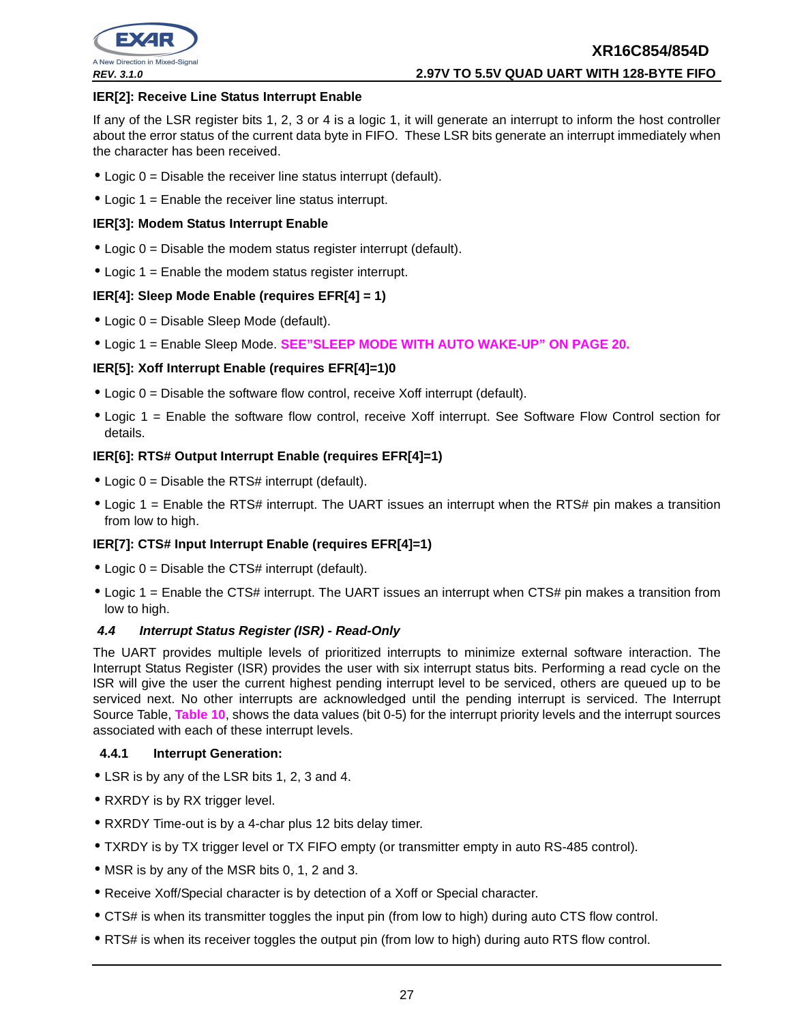

#### **IER[2]: Receive Line Status Interrupt Enable**

If any of the LSR register bits 1, 2, 3 or 4 is a logic 1, it will generate an interrupt to inform the host controller about the error status of the current data byte in FIFO. These LSR bits generate an interrupt immediately when the character has been received.

- $\bullet$  Logic  $0 =$  Disable the receiver line status interrupt (default).
- Logic  $1 =$  Enable the receiver line status interrupt.

#### **IER[3]: Modem Status Interrupt Enable**

- $\bullet$  Logic  $0 =$  Disable the modem status register interrupt (default).
- Logic 1 = Enable the modem status register interrupt.

#### **IER[4]: Sleep Mode Enable (requires EFR[4] = 1)**

- Logic 0 = Disable Sleep Mode (default).
- Logic 1 = Enable Sleep Mode. **SEE"SLEEP MODE WITH AUTO WAKE-UP" ON PAGE 20.**

#### **IER[5]: Xoff Interrupt Enable (requires EFR[4]=1)0**

- $\bullet$  Logic 0 = Disable the software flow control, receive Xoff interrupt (default).
- Logic 1 = Enable the software flow control, receive Xoff interrupt. See Software Flow Control section for details.

#### **IER[6]: RTS# Output Interrupt Enable (requires EFR[4]=1)**

- Logic  $0 =$  Disable the RTS# interrupt (default).
- Logic 1 = Enable the RTS# interrupt. The UART issues an interrupt when the RTS# pin makes a transition from low to high.

#### **IER[7]: CTS# Input Interrupt Enable (requires EFR[4]=1)**

- Logic  $0 =$  Disable the CTS# interrupt (default).
- Logic 1 = Enable the CTS# interrupt. The UART issues an interrupt when CTS# pin makes a transition from low to high.

#### **4.4 Interrupt Status Register (ISR) - Read-Only**

The UART provides multiple levels of prioritized interrupts to minimize external software interaction. The Interrupt Status Register (ISR) provides the user with six interrupt status bits. Performing a read cycle on the ISR will give the user the current highest pending interrupt level to be serviced, others are queued up to be serviced next. No other interrupts are acknowledged until the pending interrupt is serviced. The Interrupt Source Table, **Table 10**, shows the data values (bit 0-5) for the interrupt priority levels and the interrupt sources associated with each of these interrupt levels.

#### **4.4.1 Interrupt Generation:**

- LSR is by any of the LSR bits 1, 2, 3 and 4.
- RXRDY is by RX trigger level.
- RXRDY Time-out is by a 4-char plus 12 bits delay timer.
- TXRDY is by TX trigger level or TX FIFO empty (or transmitter empty in auto RS-485 control).
- MSR is by any of the MSR bits 0, 1, 2 and 3.
- Receive Xoff/Special character is by detection of a Xoff or Special character.
- CTS# is when its transmitter toggles the input pin (from low to high) during auto CTS flow control.
- RTS# is when its receiver toggles the output pin (from low to high) during auto RTS flow control.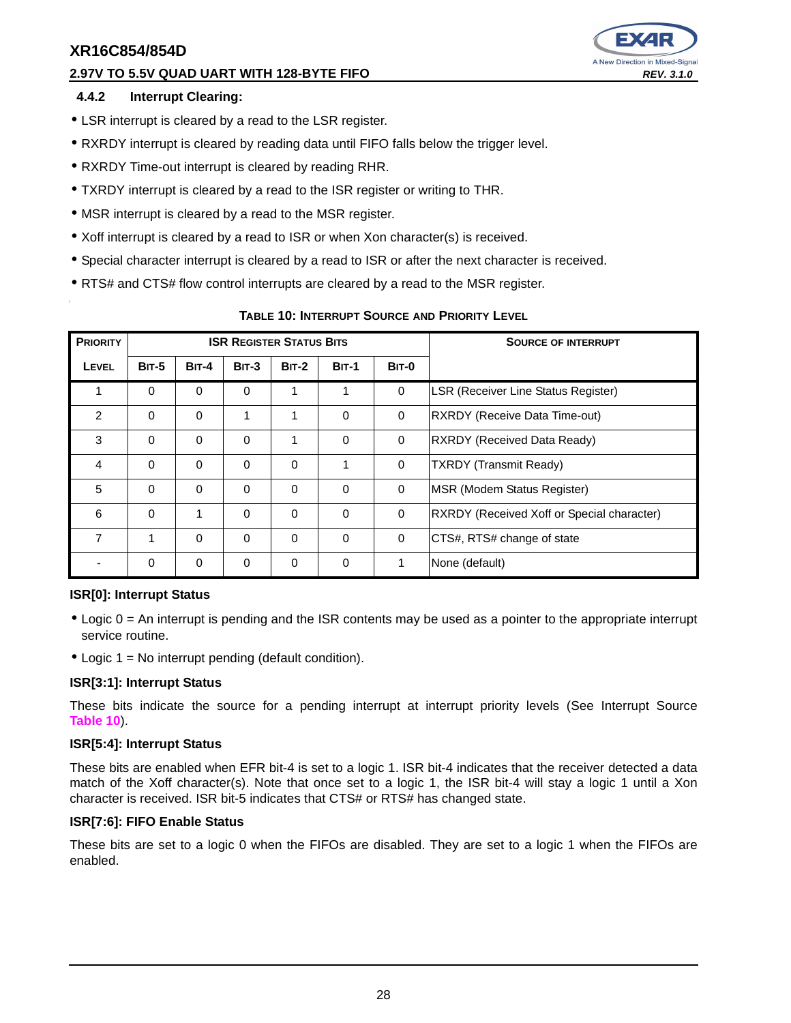#### **2.97V TO 5.5V QUAD UART WITH 128-BYTE FIFO REV. 3.1.0**



#### **4.4.2 Interrupt Clearing:**

- LSR interrupt is cleared by a read to the LSR register.
- RXRDY interrupt is cleared by reading data until FIFO falls below the trigger level.
- RXRDY Time-out interrupt is cleared by reading RHR.
- TXRDY interrupt is cleared by a read to the ISR register or writing to THR.
- MSR interrupt is cleared by a read to the MSR register.
- Xoff interrupt is cleared by a read to ISR or when Xon character(s) is received.
- Special character interrupt is cleared by a read to ISR or after the next character is received.
- RTS# and CTS# flow control interrupts are cleared by a read to the MSR register.

| <b>PRIORITY</b> |             |              | <b>ISR REGISTER STATUS BITS</b> |              |              | <b>SOURCE OF INTERRUPT</b> |                                            |
|-----------------|-------------|--------------|---------------------------------|--------------|--------------|----------------------------|--------------------------------------------|
| LEVEL           | $BIT-5$     | <b>BIT-4</b> | $BIT-3$                         | <b>BIT-2</b> | <b>BIT-1</b> | <b>BIT-0</b>               |                                            |
| 1               | $\Omega$    | $\mathbf 0$  | $\Omega$                        | 1            | 1            | 0                          | LSR (Receiver Line Status Register)        |
| $\mathfrak{p}$  | $\Omega$    | $\Omega$     | 1                               | 1            | $\Omega$     | $\mathbf 0$                | RXRDY (Receive Data Time-out)              |
| 3               | $\Omega$    | $\Omega$     | $\Omega$                        | 1            | $\Omega$     | $\mathbf 0$                | RXRDY (Received Data Ready)                |
| $\overline{4}$  | $\Omega$    | $\mathbf 0$  | $\Omega$                        | $\Omega$     | 1            | $\mathbf 0$                | <b>TXRDY (Transmit Ready)</b>              |
| 5               | $\Omega$    | $\Omega$     | $\Omega$                        | $\Omega$     | $\Omega$     | 0                          | MSR (Modem Status Register)                |
| 6               | $\Omega$    | 1            | $\Omega$                        | $\Omega$     | $\Omega$     | 0                          | RXRDY (Received Xoff or Special character) |
| $\overline{7}$  | 1           | $\Omega$     | $\Omega$                        | $\Omega$     | $\Omega$     | $\mathbf 0$                | CTS#, RTS# change of state                 |
|                 | $\mathbf 0$ | $\mathbf 0$  | 0                               | 0            | $\mathbf 0$  | 1                          | None (default)                             |

#### **TABLE 10: INTERRUPT SOURCE AND PRIORITY LEVEL**

#### **ISR[0]: Interrupt Status**

- Logic 0 = An interrupt is pending and the ISR contents may be used as a pointer to the appropriate interrupt service routine.
- Logic  $1 = No$  interrupt pending (default condition).

#### **ISR[3:1]: Interrupt Status**

These bits indicate the source for a pending interrupt at interrupt priority levels (See Interrupt Source **Table 10**).

#### **ISR[5:4]: Interrupt Status**

These bits are enabled when EFR bit-4 is set to a logic 1. ISR bit-4 indicates that the receiver detected a data match of the Xoff character(s). Note that once set to a logic 1, the ISR bit-4 will stay a logic 1 until a Xon character is received. ISR bit-5 indicates that CTS# or RTS# has changed state.

#### **ISR[7:6]: FIFO Enable Status**

These bits are set to a logic 0 when the FIFOs are disabled. They are set to a logic 1 when the FIFOs are enabled.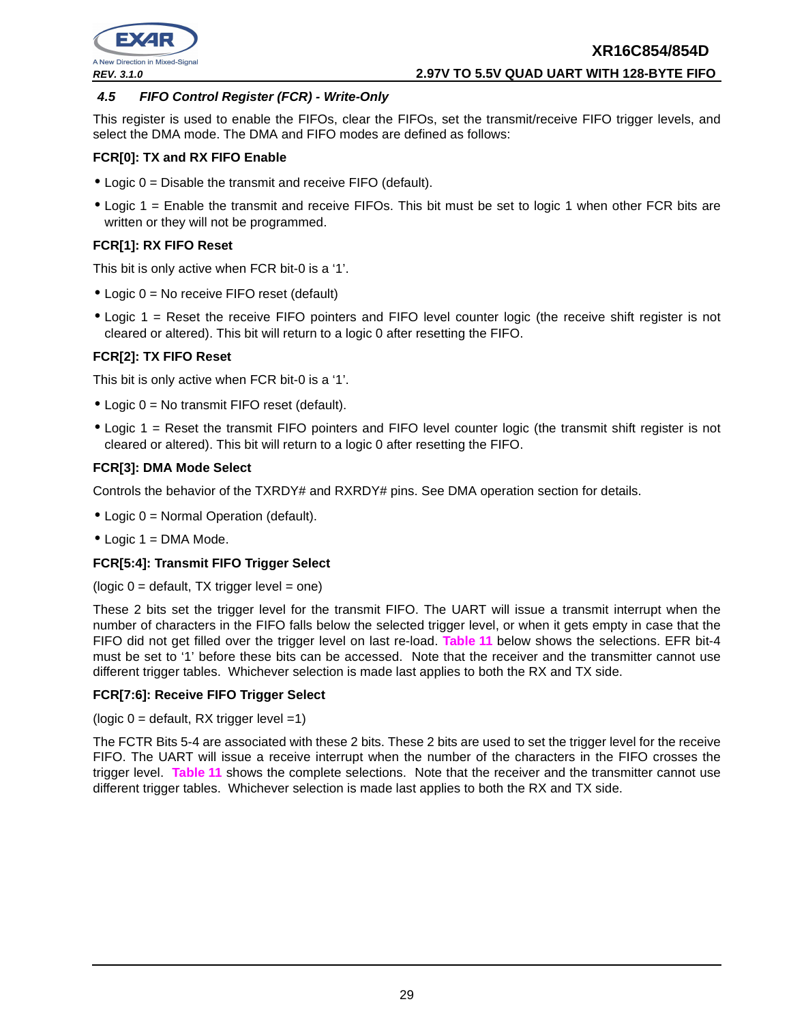

**REV. 3.1.0 2.97V TO 5.5V QUAD UART WITH 128-BYTE FIFO**

#### **4.5 FIFO Control Register (FCR) - Write-Only**

This register is used to enable the FIFOs, clear the FIFOs, set the transmit/receive FIFO trigger levels, and select the DMA mode. The DMA and FIFO modes are defined as follows:

#### **FCR[0]: TX and RX FIFO Enable**

- Logic 0 = Disable the transmit and receive FIFO (default).
- Logic 1 = Enable the transmit and receive FIFOs. This bit must be set to logic 1 when other FCR bits are written or they will not be programmed.

#### **FCR[1]: RX FIFO Reset**

This bit is only active when FCR bit-0 is a '1'.

- Logic 0 = No receive FIFO reset (default)
- Logic 1 = Reset the receive FIFO pointers and FIFO level counter logic (the receive shift register is not cleared or altered). This bit will return to a logic 0 after resetting the FIFO.

#### **FCR[2]: TX FIFO Reset**

This bit is only active when FCR bit-0 is a '1'.

- Logic 0 = No transmit FIFO reset (default).
- Logic 1 = Reset the transmit FIFO pointers and FIFO level counter logic (the transmit shift register is not cleared or altered). This bit will return to a logic 0 after resetting the FIFO.

#### **FCR[3]: DMA Mode Select**

Controls the behavior of the TXRDY# and RXRDY# pins. See DMA operation section for details.

- Logic 0 = Normal Operation (default).
- $\bullet$  Logic 1 = DMA Mode.

#### **FCR[5:4]: Transmit FIFO Trigger Select**

 $(logic 0 =$  default, TX trigger level = one)

These 2 bits set the trigger level for the transmit FIFO. The UART will issue a transmit interrupt when the number of characters in the FIFO falls below the selected trigger level, or when it gets empty in case that the FIFO did not get filled over the trigger level on last re-load. **Table 11** below shows the selections. EFR bit-4 must be set to '1' before these bits can be accessed. Note that the receiver and the transmitter cannot use different trigger tables. Whichever selection is made last applies to both the RX and TX side.

#### **FCR[7:6]: Receive FIFO Trigger Select**

(logic  $0 =$  default, RX trigger level =1)

The FCTR Bits 5-4 are associated with these 2 bits. These 2 bits are used to set the trigger level for the receive FIFO. The UART will issue a receive interrupt when the number of the characters in the FIFO crosses the trigger level. **Table 11** shows the complete selections. Note that the receiver and the transmitter cannot use different trigger tables. Whichever selection is made last applies to both the RX and TX side.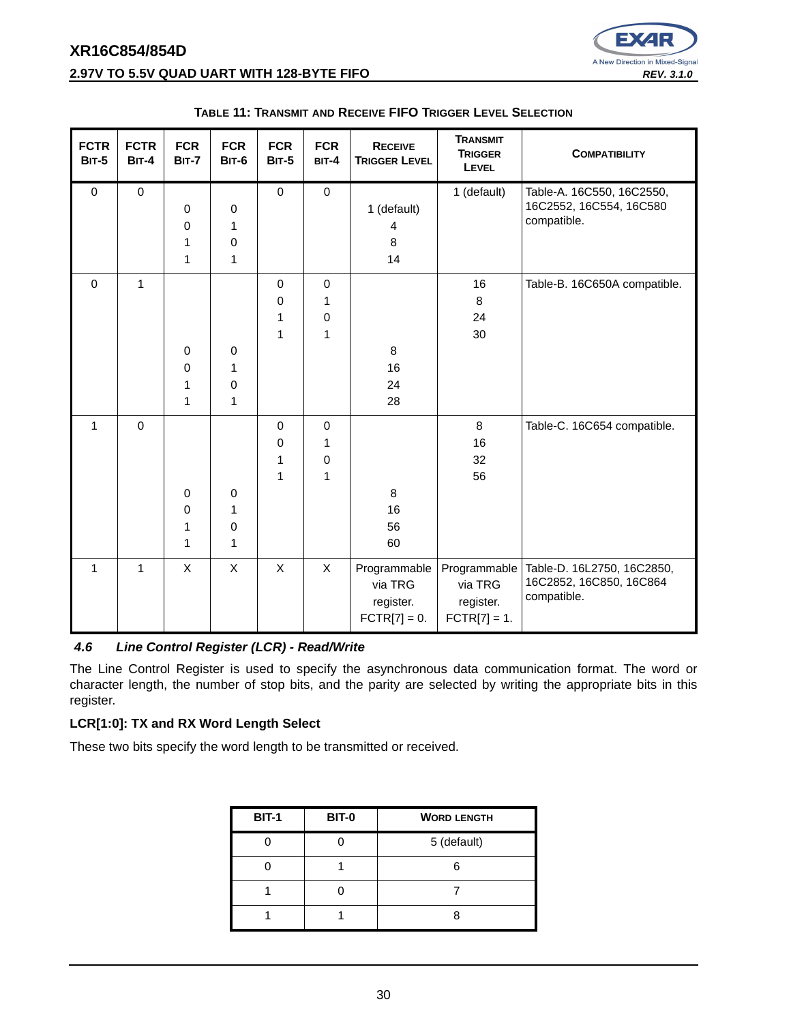### **XR16C854/854D 2.97V TO 5.5V QUAD UART WITH 128-BYTE FIFO REV. 3.1.0 REV. 3.1.0**



| <b>FCTR</b><br><b>BIT-5</b> | <b>FCTR</b><br><b>BIT-4</b> | <b>FCR</b><br><b>BIT-7</b> | <b>FCR</b><br><b>BIT-6</b> | <b>FCR</b><br><b>BIT-5</b> | <b>FCR</b><br>$BIT-4$ | <b>RECEIVE</b><br><b>TRIGGER LEVEL</b> | <b>TRANSMIT</b><br><b>TRIGGER</b><br><b>LEVEL</b> | <b>COMPATIBILITY</b>                   |
|-----------------------------|-----------------------------|----------------------------|----------------------------|----------------------------|-----------------------|----------------------------------------|---------------------------------------------------|----------------------------------------|
| $\pmb{0}$                   | $\mathbf 0$                 |                            |                            | $\pmb{0}$                  | $\mathbf 0$           |                                        | 1 (default)                                       | Table-A. 16C550, 16C2550,              |
|                             |                             | $\mathbf 0$                | $\pmb{0}$                  |                            |                       | 1 (default)                            |                                                   | 16C2552, 16C554, 16C580<br>compatible. |
|                             |                             | 0                          | 1                          |                            |                       | $\overline{4}$                         |                                                   |                                        |
|                             |                             | 1                          | 0                          |                            |                       | 8                                      |                                                   |                                        |
|                             |                             | 1                          | $\mathbf 1$                |                            |                       | 14                                     |                                                   |                                        |
| $\mathbf 0$                 | $\mathbf{1}$                |                            |                            | $\mathbf 0$                | $\pmb{0}$             |                                        | 16                                                | Table-B. 16C650A compatible.           |
|                             |                             |                            |                            | 0                          | 1                     |                                        | 8                                                 |                                        |
|                             |                             |                            |                            | 1                          | 0                     |                                        | 24                                                |                                        |
|                             |                             |                            |                            | 1                          | $\mathbf{1}$          |                                        | 30                                                |                                        |
|                             |                             | $\mathbf 0$                | $\pmb{0}$                  |                            |                       | 8                                      |                                                   |                                        |
|                             |                             | $\pmb{0}$                  | 1                          |                            |                       | 16                                     |                                                   |                                        |
|                             |                             | 1                          | $\pmb{0}$                  |                            |                       | 24                                     |                                                   |                                        |
|                             |                             | 1                          | $\mathbf 1$                |                            |                       | 28                                     |                                                   |                                        |
| $\mathbf{1}$                | $\mathbf 0$                 |                            |                            | $\mathbf 0$                | $\mathbf 0$           |                                        | 8                                                 | Table-C. 16C654 compatible.            |
|                             |                             |                            |                            | 0                          | 1                     |                                        | 16                                                |                                        |
|                             |                             |                            |                            | 1                          | 0                     |                                        | 32                                                |                                        |
|                             |                             |                            |                            | 1                          | $\mathbf{1}$          |                                        | 56                                                |                                        |
|                             |                             | $\mathbf 0$                | $\pmb{0}$                  |                            |                       | 8                                      |                                                   |                                        |
|                             |                             | 0                          | 1                          |                            |                       | 16                                     |                                                   |                                        |
|                             |                             | 1                          | $\pmb{0}$                  |                            |                       | 56                                     |                                                   |                                        |
|                             |                             | 1                          | $\mathbf{1}$               |                            |                       | 60                                     |                                                   |                                        |
| $\mathbf{1}$                | $\mathbf{1}$                | X                          | $\mathsf X$                | X                          | X                     | Programmable                           | Programmable                                      | Table-D. 16L2750, 16C2850,             |
|                             |                             |                            |                            |                            |                       | via TRG                                | via TRG                                           | 16C2852, 16C850, 16C864                |
|                             |                             |                            |                            |                            |                       | register.                              | register.                                         | compatible.                            |
|                             |                             |                            |                            |                            |                       | $\text{FCTR}[7] = 0.$                  | $FCTR[7] = 1.$                                    |                                        |

#### **TABLE 11: TRANSMIT AND RECEIVE FIFO TRIGGER LEVEL SELECTION**

#### **4.6 Line Control Register (LCR) - Read/Write**

The Line Control Register is used to specify the asynchronous data communication format. The word or character length, the number of stop bits, and the parity are selected by writing the appropriate bits in this register.

#### **LCR[1:0]: TX and RX Word Length Select**

These two bits specify the word length to be transmitted or received.

| <b>BIT-1</b> | <b>BIT-0</b> | <b>WORD LENGTH</b> |
|--------------|--------------|--------------------|
|              |              | 5 (default)        |
|              |              |                    |
|              |              |                    |
|              |              |                    |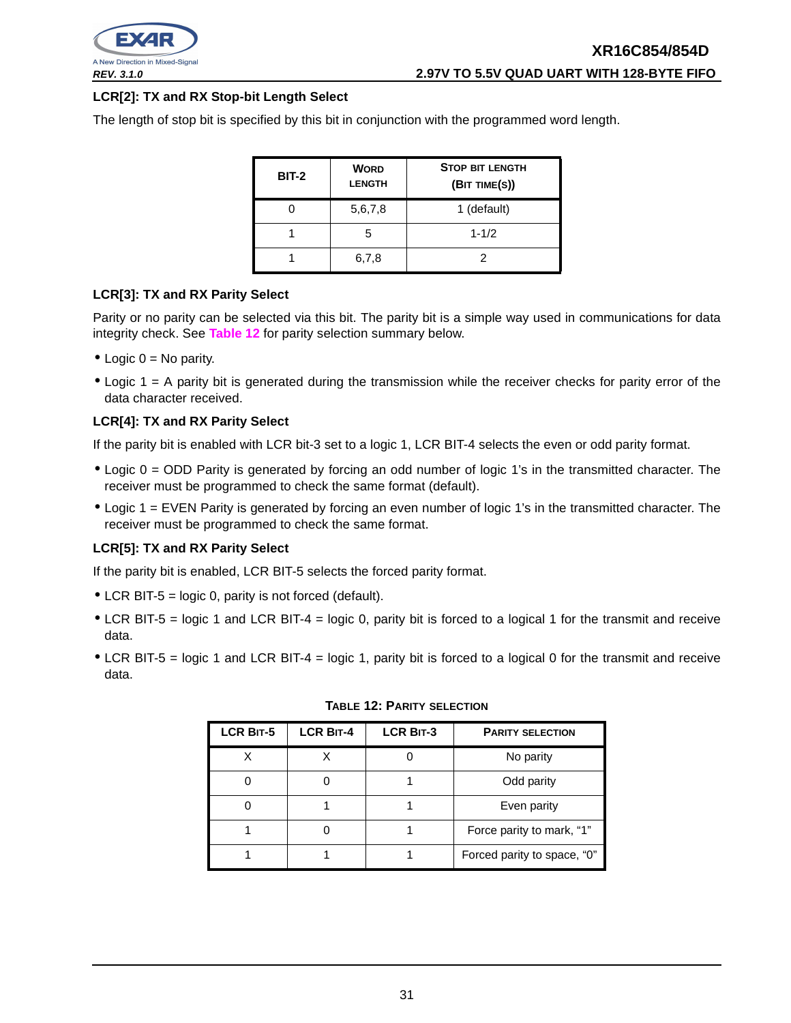

#### **LCR[2]: TX and RX Stop-bit Length Select**

The length of stop bit is specified by this bit in conjunction with the programmed word length.

| <b>BIT-2</b> | <b>WORD</b><br><b>LENGTH</b> | <b>STOP BIT LENGTH</b><br>(BIT TIME(S)) |
|--------------|------------------------------|-----------------------------------------|
|              | 5,6,7,8                      | 1 (default)                             |
|              | 5                            | $1 - 1/2$                               |
|              | 6,7,8                        |                                         |

#### **LCR[3]: TX and RX Parity Select**

Parity or no parity can be selected via this bit. The parity bit is a simple way used in communications for data integrity check. See **Table 12** for parity selection summary below.

- Logic  $0 = No$  parity.
- Logic 1 = A parity bit is generated during the transmission while the receiver checks for parity error of the data character received.

#### **LCR[4]: TX and RX Parity Select**

If the parity bit is enabled with LCR bit-3 set to a logic 1, LCR BIT-4 selects the even or odd parity format.

- Logic 0 = ODD Parity is generated by forcing an odd number of logic 1's in the transmitted character. The receiver must be programmed to check the same format (default).
- Logic 1 = EVEN Parity is generated by forcing an even number of logic 1's in the transmitted character. The receiver must be programmed to check the same format.

#### **LCR[5]: TX and RX Parity Select**

If the parity bit is enabled, LCR BIT-5 selects the forced parity format.

- LCR BIT-5 = logic 0, parity is not forced (default).
- LCR BIT-5 = logic 1 and LCR BIT-4 = logic 0, parity bit is forced to a logical 1 for the transmit and receive data.
- LCR BIT-5 = logic 1 and LCR BIT-4 = logic 1, parity bit is forced to a logical 0 for the transmit and receive data.

| <b>LCR BIT-5</b> | <b>LCR BIT-4</b> | <b>LCR BIT-3</b> | <b>PARITY SELECTION</b>     |
|------------------|------------------|------------------|-----------------------------|
|                  |                  |                  | No parity                   |
|                  |                  |                  | Odd parity                  |
|                  |                  |                  | Even parity                 |
|                  |                  |                  | Force parity to mark, "1"   |
|                  |                  |                  | Forced parity to space, "0" |

|  | Table 12: Parity selection |
|--|----------------------------|
|  |                            |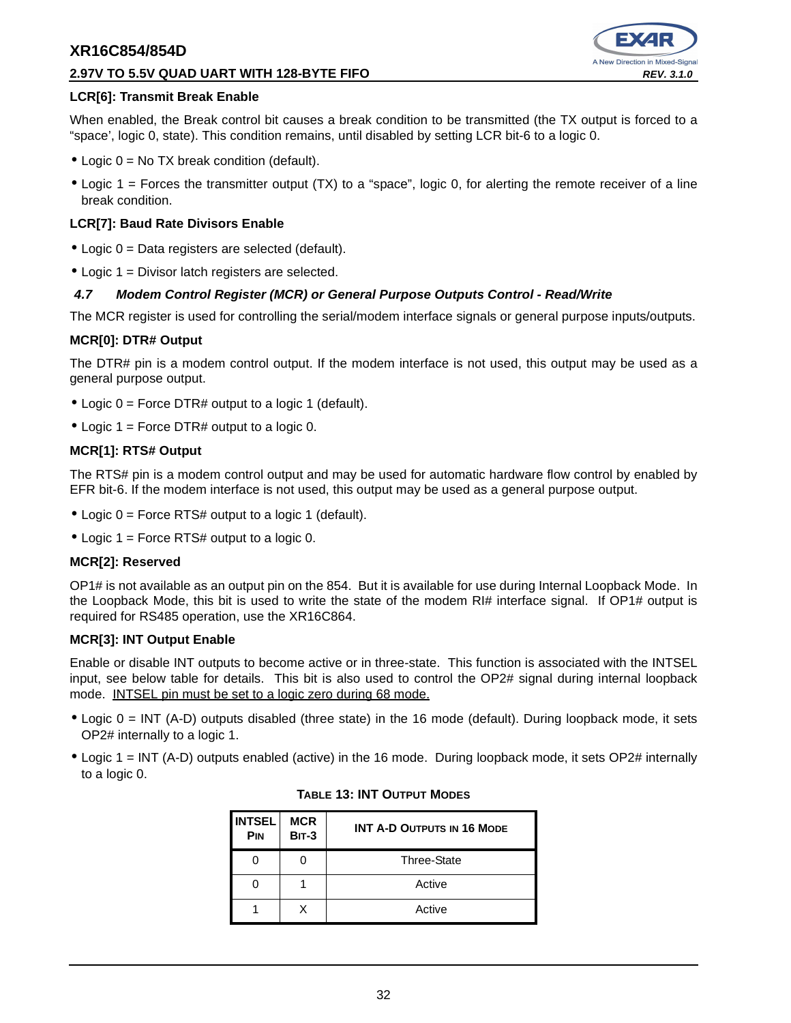#### **2.97V TO 5.5V QUAD UART WITH 128-BYTE FIFO REV. 3.1.0**



#### **LCR[6]: Transmit Break Enable**

When enabled, the Break control bit causes a break condition to be transmitted (the TX output is forced to a "space', logic 0, state). This condition remains, until disabled by setting LCR bit-6 to a logic 0.

- Logic  $0 = No$  TX break condition (default).
- Logic 1 = Forces the transmitter output (TX) to a "space", logic 0, for alerting the remote receiver of a line break condition.

#### **LCR[7]: Baud Rate Divisors Enable**

- Logic 0 = Data registers are selected (default).
- Logic 1 = Divisor latch registers are selected.

#### **4.7 Modem Control Register (MCR) or General Purpose Outputs Control - Read/Write**

The MCR register is used for controlling the serial/modem interface signals or general purpose inputs/outputs.

#### **MCR[0]: DTR# Output**

The DTR# pin is a modem control output. If the modem interface is not used, this output may be used as a general purpose output.

- Logic 0 = Force DTR# output to a logic 1 (default).
- Logic 1 = Force DTR# output to a logic 0.

#### **MCR[1]: RTS# Output**

The RTS# pin is a modem control output and may be used for automatic hardware flow control by enabled by EFR bit-6. If the modem interface is not used, this output may be used as a general purpose output.

- Logic  $0 =$  Force RTS# output to a logic 1 (default).
- Logic 1 = Force RTS# output to a logic 0.

#### **MCR[2]: Reserved**

OP1# is not available as an output pin on the 854. But it is available for use during Internal Loopback Mode. In the Loopback Mode, this bit is used to write the state of the modem RI# interface signal. If OP1# output is required for RS485 operation, use the XR16C864.

#### **MCR[3]: INT Output Enable**

Enable or disable INT outputs to become active or in three-state. This function is associated with the INTSEL input, see below table for details. This bit is also used to control the OP2# signal during internal loopback mode. INTSEL pin must be set to a logic zero during 68 mode.

- Logic 0 = INT (A-D) outputs disabled (three state) in the 16 mode (default). During loopback mode, it sets OP2# internally to a logic 1.
- Logic 1 = INT (A-D) outputs enabled (active) in the 16 mode. During loopback mode, it sets OP2# internally to a logic 0.

| <b>INTSEL</b><br><b>PIN</b> | <b>MCR</b><br><b>BIT-3</b> | <b>INT A-D OUTPUTS IN 16 MODE</b> |
|-----------------------------|----------------------------|-----------------------------------|
|                             |                            | Three-State                       |
|                             |                            | Active                            |
|                             |                            | Active                            |

#### **TABLE 13: INT OUTPUT MODES**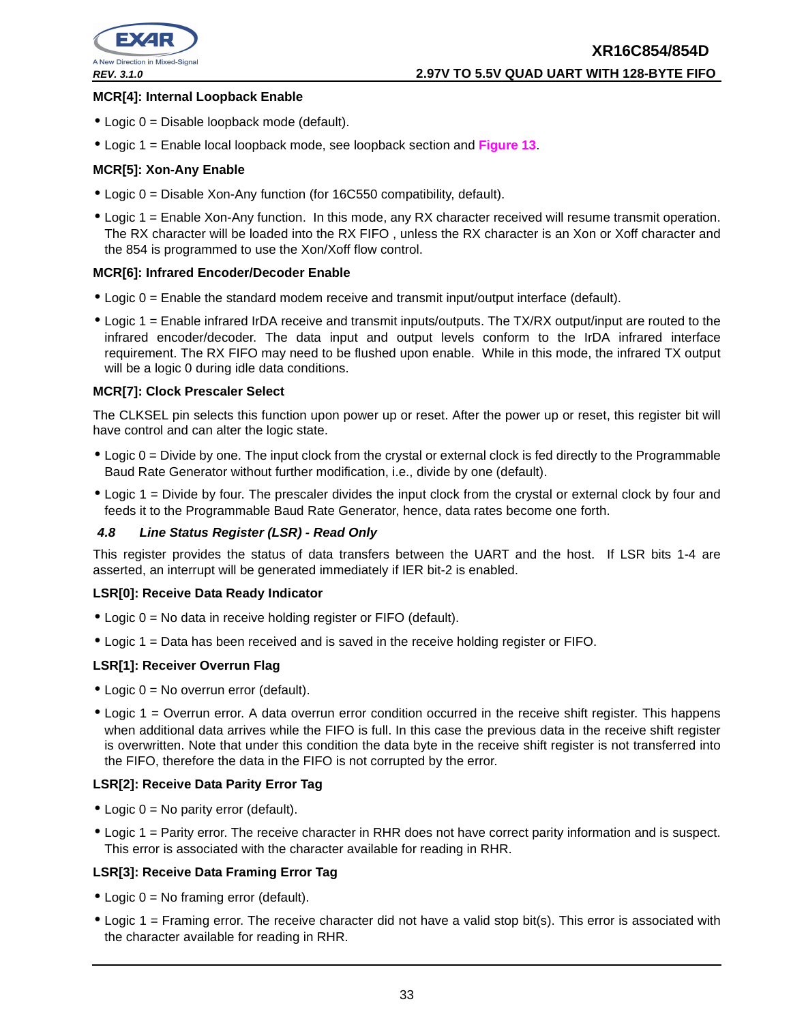

#### **MCR[4]: Internal Loopback Enable**

- Logic 0 = Disable loopback mode (default).
- Logic 1 = Enable local loopback mode, see loopback section and **Figure 13**.

#### **MCR[5]: Xon-Any Enable**

- Logic 0 = Disable Xon-Any function (for 16C550 compatibility, default).
- Logic 1 = Enable Xon-Any function. In this mode, any RX character received will resume transmit operation. The RX character will be loaded into the RX FIFO , unless the RX character is an Xon or Xoff character and the 854 is programmed to use the Xon/Xoff flow control.

#### **MCR[6]: Infrared Encoder/Decoder Enable**

- Logic 0 = Enable the standard modem receive and transmit input/output interface (default).
- Logic 1 = Enable infrared IrDA receive and transmit inputs/outputs. The TX/RX output/input are routed to the infrared encoder/decoder. The data input and output levels conform to the IrDA infrared interface requirement. The RX FIFO may need to be flushed upon enable. While in this mode, the infrared TX output will be a logic 0 during idle data conditions.

#### **MCR[7]: Clock Prescaler Select**

The CLKSEL pin selects this function upon power up or reset. After the power up or reset, this register bit will have control and can alter the logic state.

- Logic 0 = Divide by one. The input clock from the crystal or external clock is fed directly to the Programmable Baud Rate Generator without further modification, i.e., divide by one (default).
- Logic 1 = Divide by four. The prescaler divides the input clock from the crystal or external clock by four and feeds it to the Programmable Baud Rate Generator, hence, data rates become one forth.

#### **4.8 Line Status Register (LSR) - Read Only**

This register provides the status of data transfers between the UART and the host. If LSR bits 1-4 are asserted, an interrupt will be generated immediately if IER bit-2 is enabled.

#### **LSR[0]: Receive Data Ready Indicator**

- Logic 0 = No data in receive holding register or FIFO (default).
- Logic 1 = Data has been received and is saved in the receive holding register or FIFO.

#### **LSR[1]: Receiver Overrun Flag**

- $\bullet$  Logic 0 = No overrun error (default).
- Logic 1 = Overrun error. A data overrun error condition occurred in the receive shift register. This happens when additional data arrives while the FIFO is full. In this case the previous data in the receive shift register is overwritten. Note that under this condition the data byte in the receive shift register is not transferred into the FIFO, therefore the data in the FIFO is not corrupted by the error.

#### **LSR[2]: Receive Data Parity Error Tag**

- Logic 0 = No parity error (default).
- Logic 1 = Parity error. The receive character in RHR does not have correct parity information and is suspect. This error is associated with the character available for reading in RHR.

#### **LSR[3]: Receive Data Framing Error Tag**

- Logic  $0 = No$  framing error (default).
- Logic 1 = Framing error. The receive character did not have a valid stop bit(s). This error is associated with the character available for reading in RHR.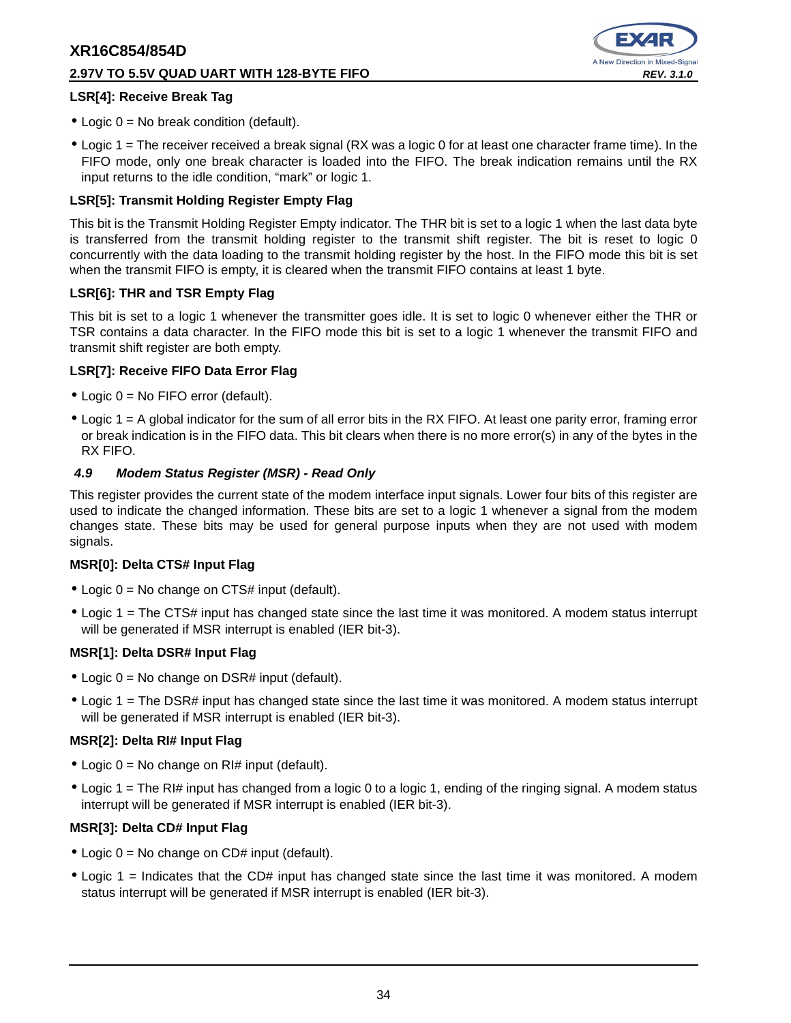#### **2.97V TO 5.5V QUAD UART WITH 128-BYTE FIFO REV. 3.1.0**



#### **LSR[4]: Receive Break Tag**

- Logic 0 = No break condition (default).
- Logic 1 = The receiver received a break signal (RX was a logic 0 for at least one character frame time). In the FIFO mode, only one break character is loaded into the FIFO. The break indication remains until the RX input returns to the idle condition, "mark" or logic 1.

#### **LSR[5]: Transmit Holding Register Empty Flag**

This bit is the Transmit Holding Register Empty indicator. The THR bit is set to a logic 1 when the last data byte is transferred from the transmit holding register to the transmit shift register. The bit is reset to logic 0 concurrently with the data loading to the transmit holding register by the host. In the FIFO mode this bit is set when the transmit FIFO is empty, it is cleared when the transmit FIFO contains at least 1 byte.

#### **LSR[6]: THR and TSR Empty Flag**

This bit is set to a logic 1 whenever the transmitter goes idle. It is set to logic 0 whenever either the THR or TSR contains a data character. In the FIFO mode this bit is set to a logic 1 whenever the transmit FIFO and transmit shift register are both empty.

#### **LSR[7]: Receive FIFO Data Error Flag**

- Logic 0 = No FIFO error (default).
- Logic 1 = A global indicator for the sum of all error bits in the RX FIFO. At least one parity error, framing error or break indication is in the FIFO data. This bit clears when there is no more error(s) in any of the bytes in the RX FIFO.

#### **4.9 Modem Status Register (MSR) - Read Only**

This register provides the current state of the modem interface input signals. Lower four bits of this register are used to indicate the changed information. These bits are set to a logic 1 whenever a signal from the modem changes state. These bits may be used for general purpose inputs when they are not used with modem signals.

#### **MSR[0]: Delta CTS# Input Flag**

- $\bullet$  Logic  $0 = No$  change on CTS# input (default).
- Logic 1 = The CTS# input has changed state since the last time it was monitored. A modem status interrupt will be generated if MSR interrupt is enabled (IER bit-3).

#### **MSR[1]: Delta DSR# Input Flag**

- Logic  $0 = No$  change on DSR# input (default).
- Logic 1 = The DSR# input has changed state since the last time it was monitored. A modem status interrupt will be generated if MSR interrupt is enabled (IER bit-3).

#### **MSR[2]: Delta RI# Input Flag**

- Logic  $0 = No$  change on RI# input (default).
- Logic 1 = The RI# input has changed from a logic 0 to a logic 1, ending of the ringing signal. A modem status interrupt will be generated if MSR interrupt is enabled (IER bit-3).

#### **MSR[3]: Delta CD# Input Flag**

- $\bullet$  Logic 0 = No change on CD# input (default).
- Logic 1 = Indicates that the CD# input has changed state since the last time it was monitored. A modem status interrupt will be generated if MSR interrupt is enabled (IER bit-3).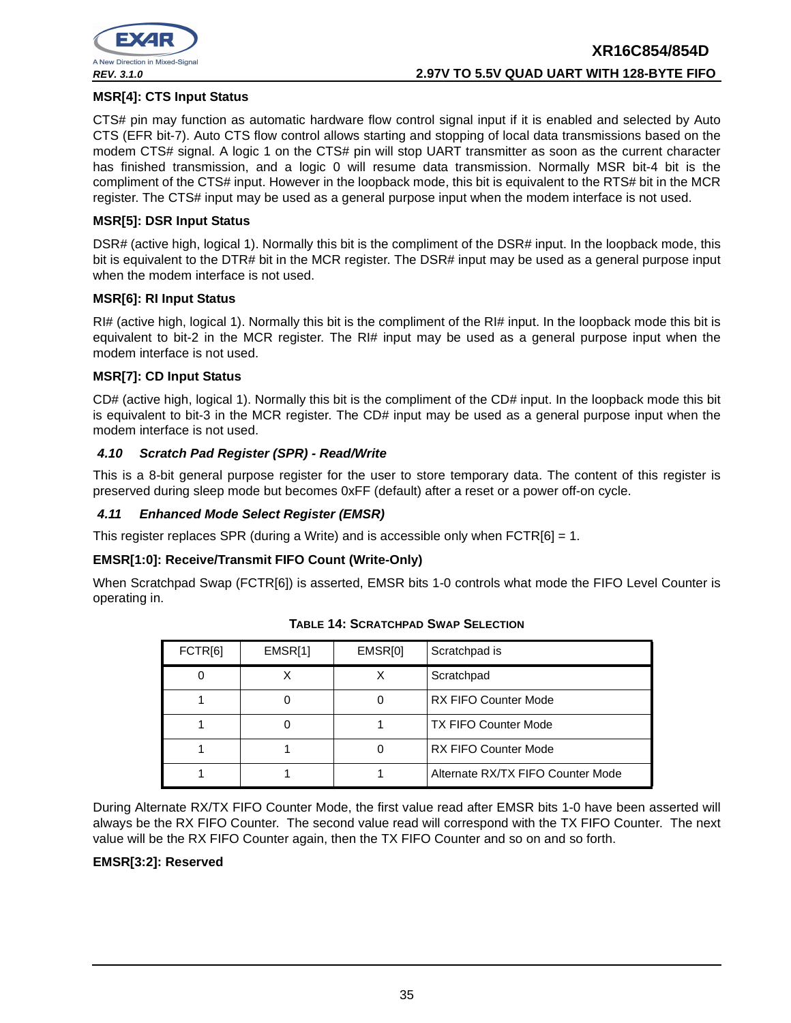

#### **MSR[4]: CTS Input Status**

CTS# pin may function as automatic hardware flow control signal input if it is enabled and selected by Auto CTS (EFR bit-7). Auto CTS flow control allows starting and stopping of local data transmissions based on the modem CTS# signal. A logic 1 on the CTS# pin will stop UART transmitter as soon as the current character has finished transmission, and a logic 0 will resume data transmission. Normally MSR bit-4 bit is the compliment of the CTS# input. However in the loopback mode, this bit is equivalent to the RTS# bit in the MCR register. The CTS# input may be used as a general purpose input when the modem interface is not used.

#### **MSR[5]: DSR Input Status**

DSR# (active high, logical 1). Normally this bit is the compliment of the DSR# input. In the loopback mode, this bit is equivalent to the DTR# bit in the MCR register. The DSR# input may be used as a general purpose input when the modem interface is not used.

#### **MSR[6]: RI Input Status**

RI# (active high, logical 1). Normally this bit is the compliment of the RI# input. In the loopback mode this bit is equivalent to bit-2 in the MCR register. The RI# input may be used as a general purpose input when the modem interface is not used.

#### **MSR[7]: CD Input Status**

CD# (active high, logical 1). Normally this bit is the compliment of the CD# input. In the loopback mode this bit is equivalent to bit-3 in the MCR register. The CD# input may be used as a general purpose input when the modem interface is not used.

#### **4.10 Scratch Pad Register (SPR) - Read/Write**

This is a 8-bit general purpose register for the user to store temporary data. The content of this register is preserved during sleep mode but becomes 0xFF (default) after a reset or a power off-on cycle.

#### **4.11 Enhanced Mode Select Register (EMSR)**

This register replaces SPR (during a Write) and is accessible only when  $FCTR[6] = 1$ .

#### **EMSR[1:0]: Receive/Transmit FIFO Count (Write-Only)**

When Scratchpad Swap (FCTR[6]) is asserted, EMSR bits 1-0 controls what mode the FIFO Level Counter is operating in.

| FCTR[6] | EMSR[1] | EMSR[0] | Scratchpad is                     |
|---------|---------|---------|-----------------------------------|
| 0       |         | х       | Scratchpad                        |
|         |         |         | <b>RX FIFO Counter Mode</b>       |
|         |         |         | <b>TX FIFO Counter Mode</b>       |
|         |         |         | <b>RX FIFO Counter Mode</b>       |
|         |         |         | Alternate RX/TX FIFO Counter Mode |

**TABLE 14: SCRATCHPAD SWAP SELECTION**

During Alternate RX/TX FIFO Counter Mode, the first value read after EMSR bits 1-0 have been asserted will always be the RX FIFO Counter. The second value read will correspond with the TX FIFO Counter. The next value will be the RX FIFO Counter again, then the TX FIFO Counter and so on and so forth.

#### **EMSR[3:2]: Reserved**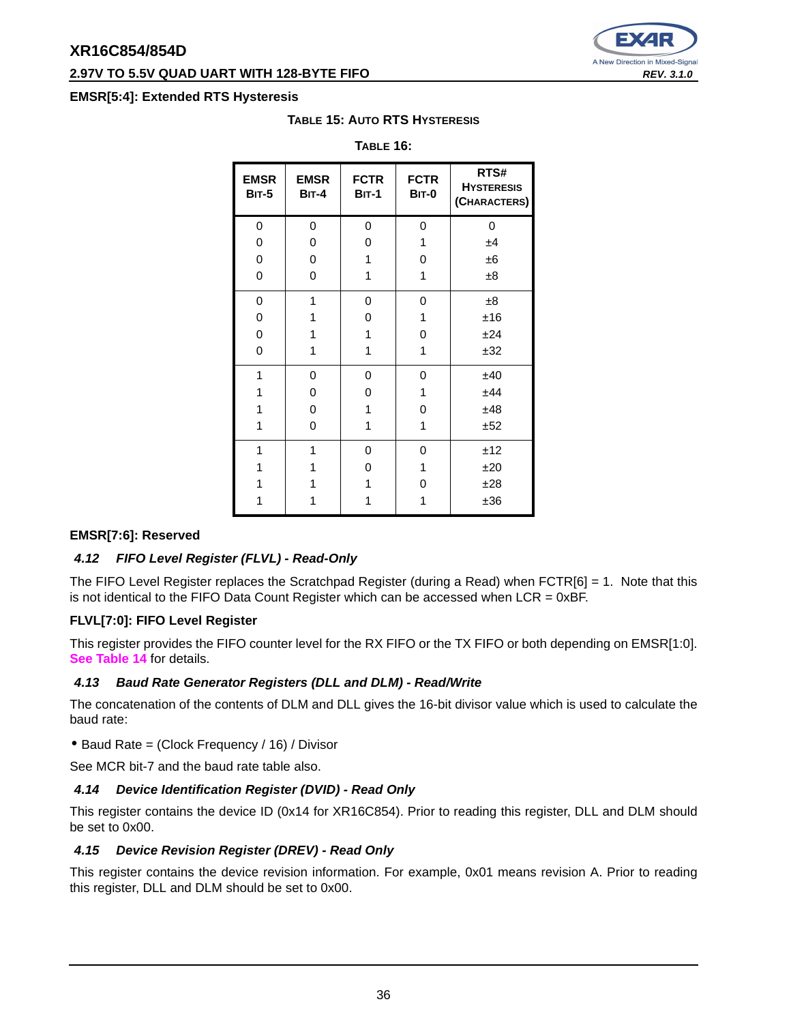#### **2.97V TO 5.5V QUAD UART WITH 128-BYTE FIFO REV. 3.1.0 REV. 3.1.0**

#### **EMSR[5:4]: Extended RTS Hysteresis**

| <b>EMSR</b><br><b>BIT-5</b> | <b>EMSR</b><br>$BIT-4$ | <b>FCTR</b><br>$BIT-1$ | <b>FCTR</b><br>BIT-0 | RTS#<br><b>HYSTERESIS</b><br>(CHARACTERS) |
|-----------------------------|------------------------|------------------------|----------------------|-------------------------------------------|
| 0                           | 0                      | 0                      | 0                    | 0                                         |
| 0                           | 0                      | 0                      | 1                    | ±4                                        |
| 0                           | 0                      | 1                      | 0                    | ±6                                        |
| $\mathbf 0$                 | 0                      | 1                      | 1                    | ±8                                        |
| 0                           | 1                      | 0                      | 0                    | ±8                                        |
| 0                           | 1                      | 0                      | 1                    | ±16                                       |
| 0                           | 1                      | 1                      | 0                    | ±24                                       |
| 0                           | 1                      | 1                      | 1                    | ±32                                       |
| 1                           | 0                      | 0                      | 0                    | ±40                                       |
| 1                           | 0                      | 0                      | 1                    | ±44                                       |
| 1                           | 0                      | 1                      | 0                    | ±48                                       |
| 1                           | 0                      | 1                      | 1                    | ±52                                       |
| 1                           | 1                      | 0                      | 0                    | ±12                                       |
| 1                           | 1                      | 0                      | 1                    | ±20                                       |
| 1                           | 1                      | 1                      | 0                    | ±28                                       |
|                             |                        |                        | 1                    | ±36                                       |

### **TABLE 15: AUTO RTS HYSTERESIS TABLE 16:**

#### **EMSR[7:6]: Reserved**

#### **4.12 FIFO Level Register (FLVL) - Read-Only**

The FIFO Level Register replaces the Scratchpad Register (during a Read) when  $FCTR[6] = 1$ . Note that this is not identical to the FIFO Data Count Register which can be accessed when  $LCR = 0xBF$ .

#### **FLVL[7:0]: FIFO Level Register**

This register provides the FIFO counter level for the RX FIFO or the TX FIFO or both depending on EMSR[1:0]. **See Table 14** for details.

#### **4.13 Baud Rate Generator Registers (DLL and DLM) - Read/Write**

The concatenation of the contents of DLM and DLL gives the 16-bit divisor value which is used to calculate the baud rate:

• Baud Rate = (Clock Frequency / 16) / Divisor

See MCR bit-7 and the baud rate table also.

#### **4.14 Device Identification Register (DVID) - Read Only**

This register contains the device ID (0x14 for XR16C854). Prior to reading this register, DLL and DLM should be set to 0x00.

#### **4.15 Device Revision Register (DREV) - Read Only**

This register contains the device revision information. For example, 0x01 means revision A. Prior to reading this register, DLL and DLM should be set to 0x00.

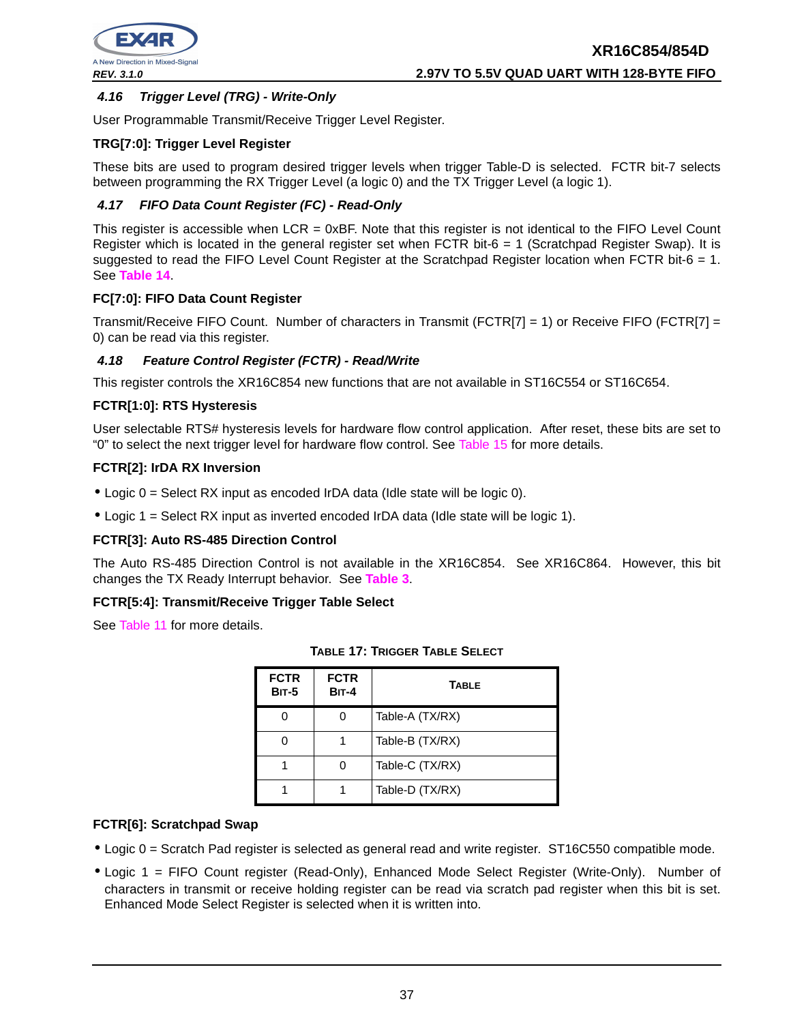

### **4.16 Trigger Level (TRG) - Write-Only**

User Programmable Transmit/Receive Trigger Level Register.

#### **TRG[7:0]: Trigger Level Register**

These bits are used to program desired trigger levels when trigger Table-D is selected. FCTR bit-7 selects between programming the RX Trigger Level (a logic 0) and the TX Trigger Level (a logic 1).

#### **4.17 FIFO Data Count Register (FC) - Read-Only**

This register is accessible when LCR = 0xBF. Note that this register is not identical to the FIFO Level Count Register which is located in the general register set when FCTR bit-6 = 1 (Scratchpad Register Swap). It is suggested to read the FIFO Level Count Register at the Scratchpad Register location when FCTR bit-6 = 1. See **Table 14**.

#### **FC[7:0]: FIFO Data Count Register**

Transmit/Receive FIFO Count. Number of characters in Transmit (FCTR[7] = 1) or Receive FIFO (FCTR[7] = 0) can be read via this register.

#### **4.18 Feature Control Register (FCTR) - Read/Write**

This register controls the XR16C854 new functions that are not available in ST16C554 or ST16C654.

#### **FCTR[1:0]: RTS Hysteresis**

User selectable RTS# hysteresis levels for hardware flow control application. After reset, these bits are set to "0" to select the next trigger level for hardware flow control. See Table 15 for more details.

#### **FCTR[2]: IrDA RX Inversion**

- $\bullet$  Logic  $0 =$  Select RX input as encoded IrDA data (Idle state will be logic 0).
- Logic 1 = Select RX input as inverted encoded IrDA data (Idle state will be logic 1).

#### **FCTR[3]: Auto RS-485 Direction Control**

The Auto RS-485 Direction Control is not available in the XR16C854. See XR16C864. However, this bit changes the TX Ready Interrupt behavior. See **Table 3**.

#### **FCTR[5:4]: Transmit/Receive Trigger Table Select**

See Table 11 for more details.

| <b>FCTR</b><br><b>BIT-5</b> | <b>FCTR</b><br><b>BIT-4</b> | <b>TABLE</b>    |
|-----------------------------|-----------------------------|-----------------|
|                             |                             | Table-A (TX/RX) |
|                             |                             | Table-B (TX/RX) |
|                             |                             | Table-C (TX/RX) |
|                             |                             | Table-D (TX/RX) |

| <b>TABLE 17: TRIGGER TABLE SELECT</b> |  |  |  |
|---------------------------------------|--|--|--|
|---------------------------------------|--|--|--|

#### **FCTR[6]: Scratchpad Swap**

- Logic 0 = Scratch Pad register is selected as general read and write register. ST16C550 compatible mode.
- Logic 1 = FIFO Count register (Read-Only), Enhanced Mode Select Register (Write-Only). Number of characters in transmit or receive holding register can be read via scratch pad register when this bit is set. Enhanced Mode Select Register is selected when it is written into.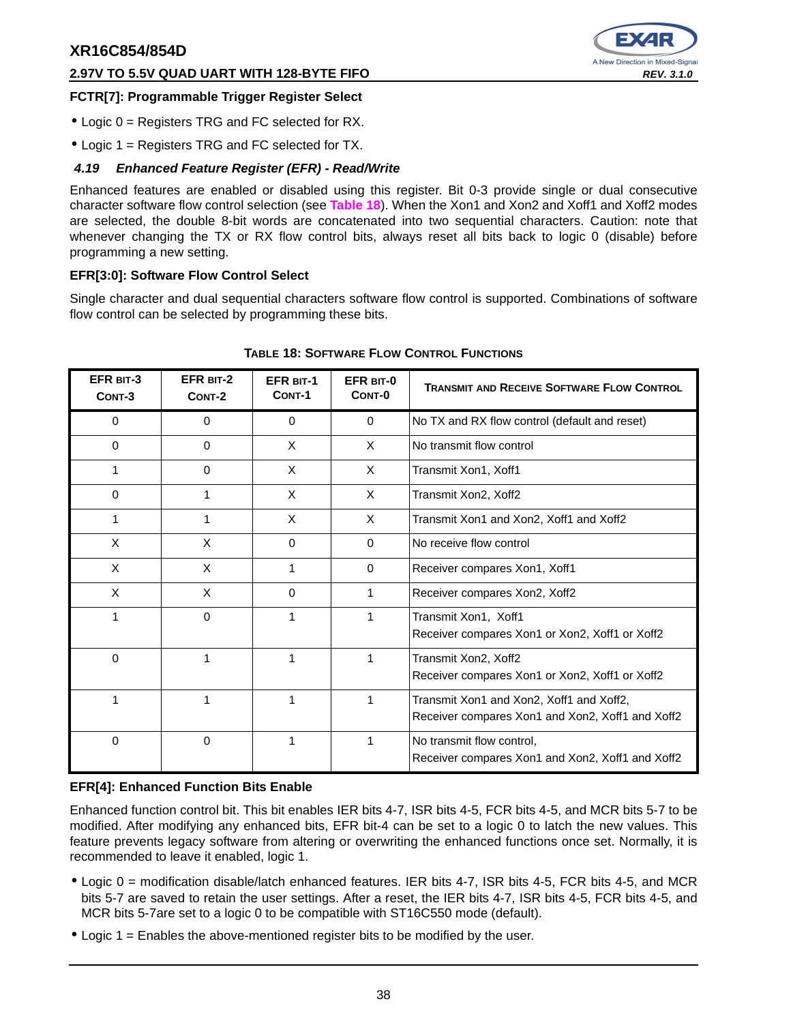#### **2.97V TO 5.5V QUAD UART WITH 128-BYTE FIFO REV. 3.1.0**



#### **FCTR[7]: Programmable Trigger Register Select**

- Logic 0 = Registers TRG and FC selected for RX.
- Logic 1 = Registers TRG and FC selected for TX.

#### **4.19 Enhanced Feature Register (EFR) - Read/Write**

Enhanced features are enabled or disabled using this register. Bit 0-3 provide single or dual consecutive character software flow control selection (see **Table 18**). When the Xon1 and Xon2 and Xoff1 and Xoff2 modes are selected, the double 8-bit words are concatenated into two sequential characters. Caution: note that whenever changing the TX or RX flow control bits, always reset all bits back to logic 0 (disable) before programming a new setting.

#### **EFR[3:0]: Software Flow Control Select**

Single character and dual sequential characters software flow control is supported. Combinations of software flow control can be selected by programming these bits.

| EFR BIT-3<br>CONT-3 | EFR BIT-2<br>CONT-2 | <b>EFR BIT-1</b><br>CONT-1 | EFR BIT-0<br>CONT-0 | <b>TRANSMIT AND RECEIVE SOFTWARE FLOW CONTROL</b>                                            |
|---------------------|---------------------|----------------------------|---------------------|----------------------------------------------------------------------------------------------|
| 0                   | 0                   | $\Omega$                   | $\Omega$            | No TX and RX flow control (default and reset)                                                |
| $\Omega$            | $\Omega$            | X                          | X                   | No transmit flow control                                                                     |
| 1                   | $\mathbf 0$         | X                          | X                   | Transmit Xon1, Xoff1                                                                         |
| $\Omega$            | 1                   | X                          | X                   | Transmit Xon2, Xoff2                                                                         |
| 1                   | 1                   | X                          | X                   | Transmit Xon1 and Xon2, Xoff1 and Xoff2                                                      |
| X                   | X                   | $\Omega$                   | $\Omega$            | No receive flow control                                                                      |
| X                   | X                   | 1                          | $\Omega$            | Receiver compares Xon1, Xoff1                                                                |
| X                   | X                   | $\Omega$                   | 1                   | Receiver compares Xon2, Xoff2                                                                |
| 1                   | $\Omega$            | 1                          | 1                   | Transmit Xon1, Xoff1<br>Receiver compares Xon1 or Xon2, Xoff1 or Xoff2                       |
| $\Omega$            | 1                   | 1                          | 1                   | Transmit Xon2, Xoff2<br>Receiver compares Xon1 or Xon2, Xoff1 or Xoff2                       |
| 1                   |                     | 1                          | 1                   | Transmit Xon1 and Xon2, Xoff1 and Xoff2,<br>Receiver compares Xon1 and Xon2, Xoff1 and Xoff2 |
| 0                   | $\mathbf 0$         | 1                          | 1                   | No transmit flow control,<br>Receiver compares Xon1 and Xon2, Xoff1 and Xoff2                |

#### **TABLE 18: SOFTWARE FLOW CONTROL FUNCTIONS**

#### **EFR[4]: Enhanced Function Bits Enable**

Enhanced function control bit. This bit enables IER bits 4-7, ISR bits 4-5, FCR bits 4-5, and MCR bits 5-7 to be modified. After modifying any enhanced bits, EFR bit-4 can be set to a logic 0 to latch the new values. This feature prevents legacy software from altering or overwriting the enhanced functions once set. Normally, it is recommended to leave it enabled, logic 1.

- Logic 0 = modification disable/latch enhanced features. IER bits 4-7, ISR bits 4-5, FCR bits 4-5, and MCR bits 5-7 are saved to retain the user settings. After a reset, the IER bits 4-7, ISR bits 4-5, FCR bits 4-5, and MCR bits 5-7are set to a logic 0 to be compatible with ST16C550 mode (default).
- Logic 1 = Enables the above-mentioned register bits to be modified by the user.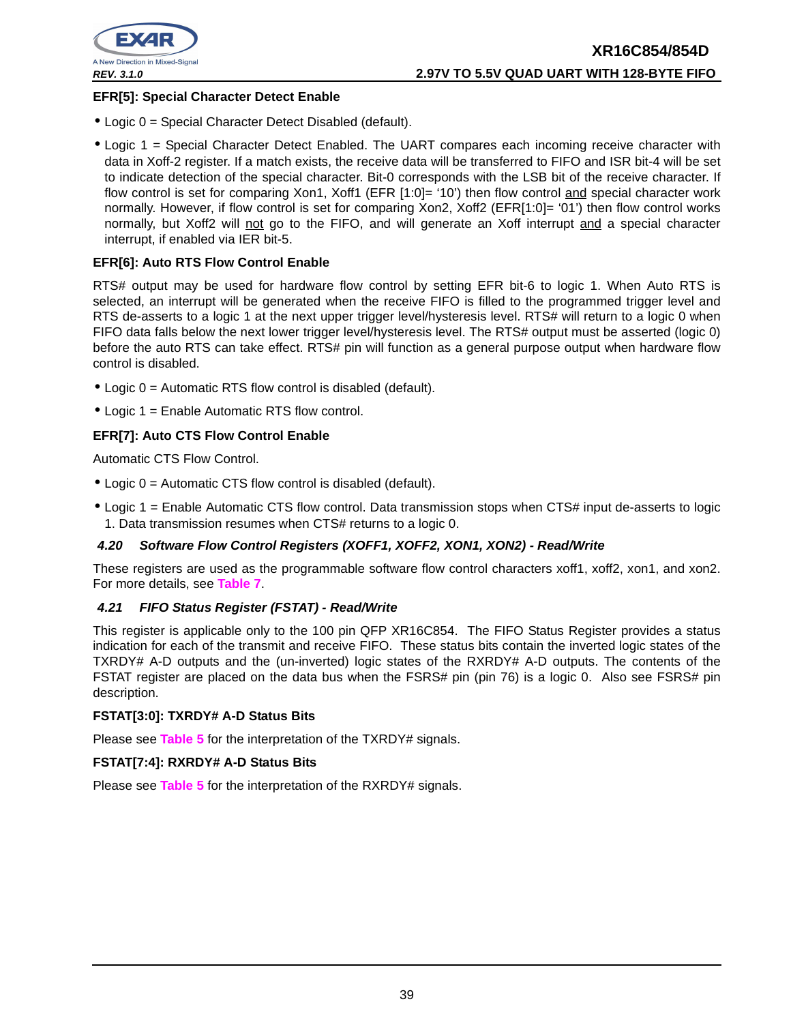

#### **EFR[5]: Special Character Detect Enable**

- Logic 0 = Special Character Detect Disabled (default).
- Logic 1 = Special Character Detect Enabled. The UART compares each incoming receive character with data in Xoff-2 register. If a match exists, the receive data will be transferred to FIFO and ISR bit-4 will be set to indicate detection of the special character. Bit-0 corresponds with the LSB bit of the receive character. If flow control is set for comparing Xon1, Xoff1 (EFR [1:0]= '10') then flow control and special character work normally. However, if flow control is set for comparing Xon2, Xoff2 (EFR[1:0]= '01') then flow control works normally, but Xoff2 will not go to the FIFO, and will generate an Xoff interrupt and a special character interrupt, if enabled via IER bit-5.

#### **EFR[6]: Auto RTS Flow Control Enable**

RTS# output may be used for hardware flow control by setting EFR bit-6 to logic 1. When Auto RTS is selected, an interrupt will be generated when the receive FIFO is filled to the programmed trigger level and RTS de-asserts to a logic 1 at the next upper trigger level/hysteresis level. RTS# will return to a logic 0 when FIFO data falls below the next lower trigger level/hysteresis level. The RTS# output must be asserted (logic 0) before the auto RTS can take effect. RTS# pin will function as a general purpose output when hardware flow control is disabled.

- Logic 0 = Automatic RTS flow control is disabled (default).
- Logic 1 = Enable Automatic RTS flow control.

#### **EFR[7]: Auto CTS Flow Control Enable**

Automatic CTS Flow Control.

- Logic 0 = Automatic CTS flow control is disabled (default).
- Logic 1 = Enable Automatic CTS flow control. Data transmission stops when CTS# input de-asserts to logic 1. Data transmission resumes when CTS# returns to a logic 0.

#### **4.20 Software Flow Control Registers (XOFF1, XOFF2, XON1, XON2) - Read/Write**

These registers are used as the programmable software flow control characters xoff1, xoff2, xon1, and xon2. For more details, see **Table 7**.

#### **4.21 FIFO Status Register (FSTAT) - Read/Write**

This register is applicable only to the 100 pin QFP XR16C854. The FIFO Status Register provides a status indication for each of the transmit and receive FIFO. These status bits contain the inverted logic states of the TXRDY# A-D outputs and the (un-inverted) logic states of the RXRDY# A-D outputs. The contents of the FSTAT register are placed on the data bus when the FSRS# pin (pin 76) is a logic 0. Also see FSRS# pin description.

#### **FSTAT[3:0]: TXRDY# A-D Status Bits**

Please see **Table 5** for the interpretation of the TXRDY# signals.

#### **FSTAT[7:4]: RXRDY# A-D Status Bits**

Please see **Table 5** for the interpretation of the RXRDY# signals.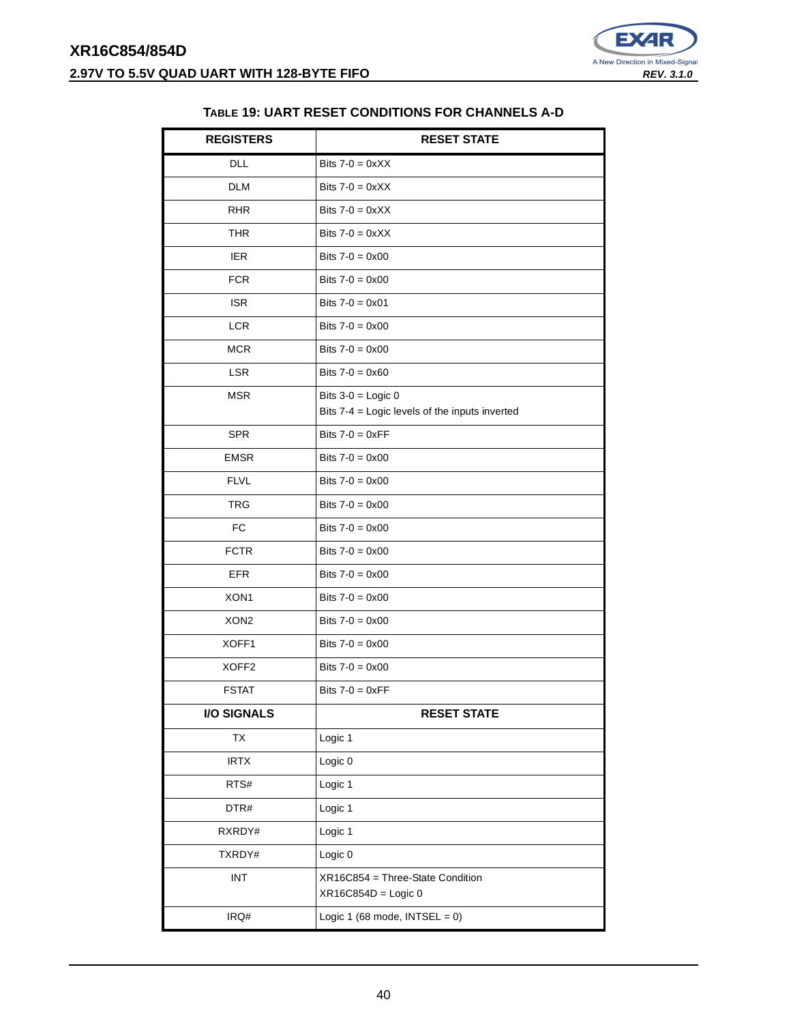

#### **TABLE 19: UART RESET CONDITIONS FOR CHANNELS A-D**

| <b>REGISTERS</b>  | <b>RESET STATE</b>                                        |
|-------------------|-----------------------------------------------------------|
| <b>DLL</b>        | Bits $7-0 = 0 \times XX$                                  |
| <b>DLM</b>        | Bits $7-0 = 0 \times XX$                                  |
| <b>RHR</b>        | Bits $7-0 = 0 \times XX$                                  |
| <b>THR</b>        | Bits $7-0 = 0 \times XX$                                  |
| <b>IER</b>        | Bits $7-0 = 0 \times 00$                                  |
| <b>FCR</b>        | Bits $7 - 0 = 0 \times 00$                                |
| <b>ISR</b>        | Bits $7 - 0 = 0 \times 01$                                |
| <b>LCR</b>        | Bits $7 - 0 = 0 \times 00$                                |
| <b>MCR</b>        | Bits $7 - 0 = 0 \times 00$                                |
| <b>LSR</b>        | Bits $7 - 0 = 0 \times 60$                                |
| <b>MSR</b>        | Bits $3-0 =$ Logic 0                                      |
|                   | Bits 7-4 = Logic levels of the inputs inverted            |
| <b>SPR</b>        | Bits $7-0 = 0 \times FF$                                  |
| <b>EMSR</b>       | Bits $7 - 0 = 0 \times 00$                                |
| <b>FLVL</b>       | Bits $7-0 = 0 \times 00$                                  |
| <b>TRG</b>        | Bits $7 - 0 = 0 \times 00$                                |
| <b>FC</b>         | Bits $7 - 0 = 0 \times 00$                                |
| <b>FCTR</b>       | Bits $7 - 0 = 0 \times 00$                                |
| <b>EFR</b>        | Bits $7 - 0 = 0 \times 00$                                |
| XON1              | Bits $7 - 0 = 0 \times 00$                                |
| XON <sub>2</sub>  | Bits $7 - 0 = 0 \times 00$                                |
| XOFF1             | Bits $7 - 0 = 0 \times 00$                                |
| XOFF <sub>2</sub> | Bits $7 - 0 = 0 \times 00$                                |
| <b>FSTAT</b>      | Bits $7-0 = 0 \times FF$                                  |
| I/O SIGNALS       | <b>RESET STATE</b>                                        |
| <b>TX</b>         | Logic 1                                                   |
| <b>IRTX</b>       | Logic 0                                                   |
| RTS#              | Logic 1                                                   |
| DTR#              | Logic 1                                                   |
| RXRDY#            | Logic 1                                                   |
| TXRDY#            | Logic 0                                                   |
| <b>INT</b>        | XR16C854 = Three-State Condition<br>$XR16C854D = Logic 0$ |
| IRQ#              | Logic 1 (68 mode, $INTSEL = 0$ )                          |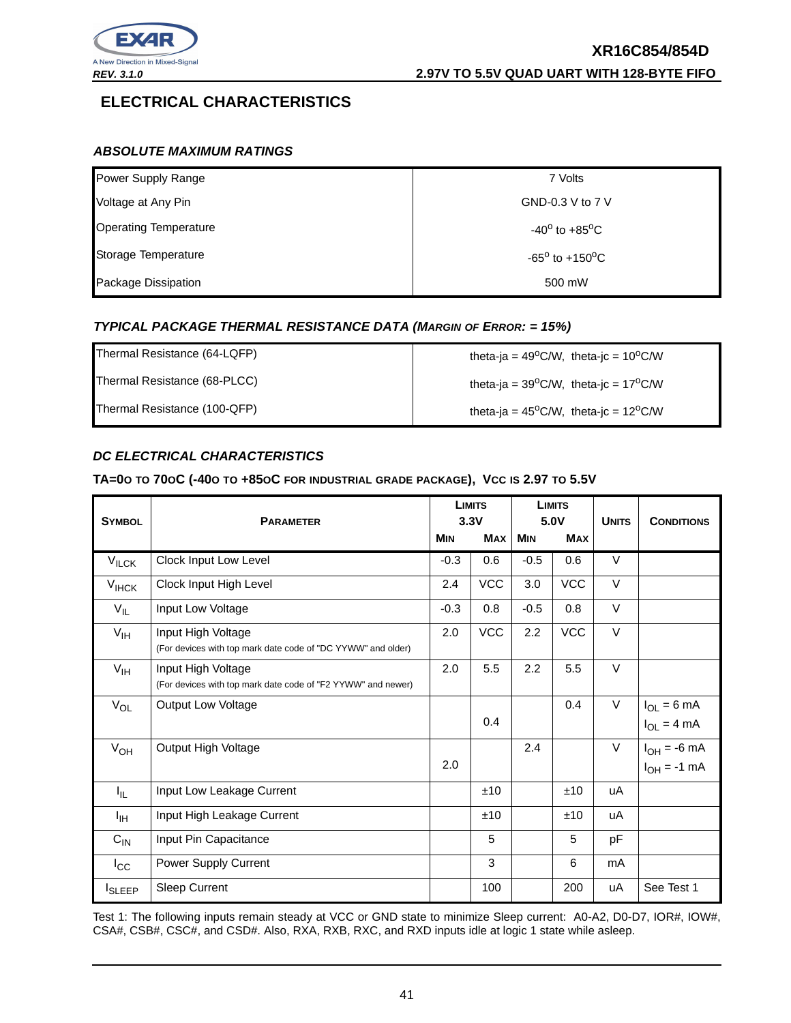

### **ELECTRICAL CHARACTERISTICS**

#### **ABSOLUTE MAXIMUM RATINGS**

| Power Supply Range           | 7 Volts                           |
|------------------------------|-----------------------------------|
| Voltage at Any Pin           | GND-0.3 V to 7 V                  |
| <b>Operating Temperature</b> | $-40^{\circ}$ to $+85^{\circ}$ C  |
| Storage Temperature          | $-65^{\circ}$ to $+150^{\circ}$ C |
| Package Dissipation          | 500 mW                            |

#### **TYPICAL PACKAGE THERMAL RESISTANCE DATA (MARGIN OF ERROR: = 15%)**

| Thermal Resistance (64-LQFP) | theta-ja = $49^{\circ}$ C/W, theta-jc = $10^{\circ}$ C/W |
|------------------------------|----------------------------------------------------------|
| Thermal Resistance (68-PLCC) | theta-ja = $39^{\circ}$ C/W, theta-jc = $17^{\circ}$ C/W |
| Thermal Resistance (100-QFP) | theta-ja = $45^{\circ}$ C/W, theta-jc = $12^{\circ}$ C/W |

#### **DC ELECTRICAL CHARACTERISTICS**

#### TA=00 TO 700C (-400 TO +850C FOR INDUSTRIAL GRADE PACKAGE), VCC IS 2.97 TO 5.5V

| <b>SYMBOL</b>     | <b>PARAMETER</b>                                                                   |            | <b>LIMITS</b><br>3.3V | <b>LIMITS</b><br>5.0V |            | <b>UNITS</b> | <b>CONDITIONS</b>                    |
|-------------------|------------------------------------------------------------------------------------|------------|-----------------------|-----------------------|------------|--------------|--------------------------------------|
|                   |                                                                                    | <b>MIN</b> | <b>MAX</b>            | <b>MIN</b>            | <b>MAX</b> |              |                                      |
| $V_{\text{ILCK}}$ | Clock Input Low Level                                                              | $-0.3$     | 0.6                   | $-0.5$                | 0.6        | $\vee$       |                                      |
| $V_{\text{IHCK}}$ | Clock Input High Level                                                             | 2.4        | <b>VCC</b>            | 3.0                   | <b>VCC</b> | $\vee$       |                                      |
| $V_{IL}$          | Input Low Voltage                                                                  | $-0.3$     | 0.8                   | $-0.5$                | 0.8        | $\vee$       |                                      |
| $V_{\text{IH}}$   | Input High Voltage<br>(For devices with top mark date code of "DC YYWW" and older) | 2.0        | <b>VCC</b>            | 2.2                   | <b>VCC</b> | $\vee$       |                                      |
| $V_{\text{IH}}$   | Input High Voltage<br>(For devices with top mark date code of "F2 YYWW" and newer) | 2.0        | 5.5                   | 2.2                   | 5.5        | $\vee$       |                                      |
| $V_{OL}$          | Output Low Voltage                                                                 |            | 0.4                   |                       | 0.4        | $\vee$       | $I_{OL} = 6 mA$<br>$I_{OL} = 4 mA$   |
| $V_{OH}$          | Output High Voltage                                                                | 2.0        |                       | 2.4                   |            | $\vee$       | $I_{OH} = -6$ mA<br>$I_{OH} = -1$ mA |
| I <sub>IL</sub>   | Input Low Leakage Current                                                          |            | ±10                   |                       | ±10        | uA           |                                      |
| ŀщ                | Input High Leakage Current                                                         |            | ±10                   |                       | ±10        | uA           |                                      |
| $C_{IN}$          | Input Pin Capacitance                                                              |            | 5                     |                       | 5          | pF           |                                      |
| $I_{\rm CC}$      | Power Supply Current                                                               |            | 3                     |                       | 6          | mA           |                                      |
| <b>I</b> SLEEP    | Sleep Current                                                                      |            | 100                   |                       | 200        | uA           | See Test 1                           |

Test 1: The following inputs remain steady at VCC or GND state to minimize Sleep current: A0-A2, D0-D7, IOR#, IOW#, CSA#, CSB#, CSC#, and CSD#. Also, RXA, RXB, RXC, and RXD inputs idle at logic 1 state while asleep.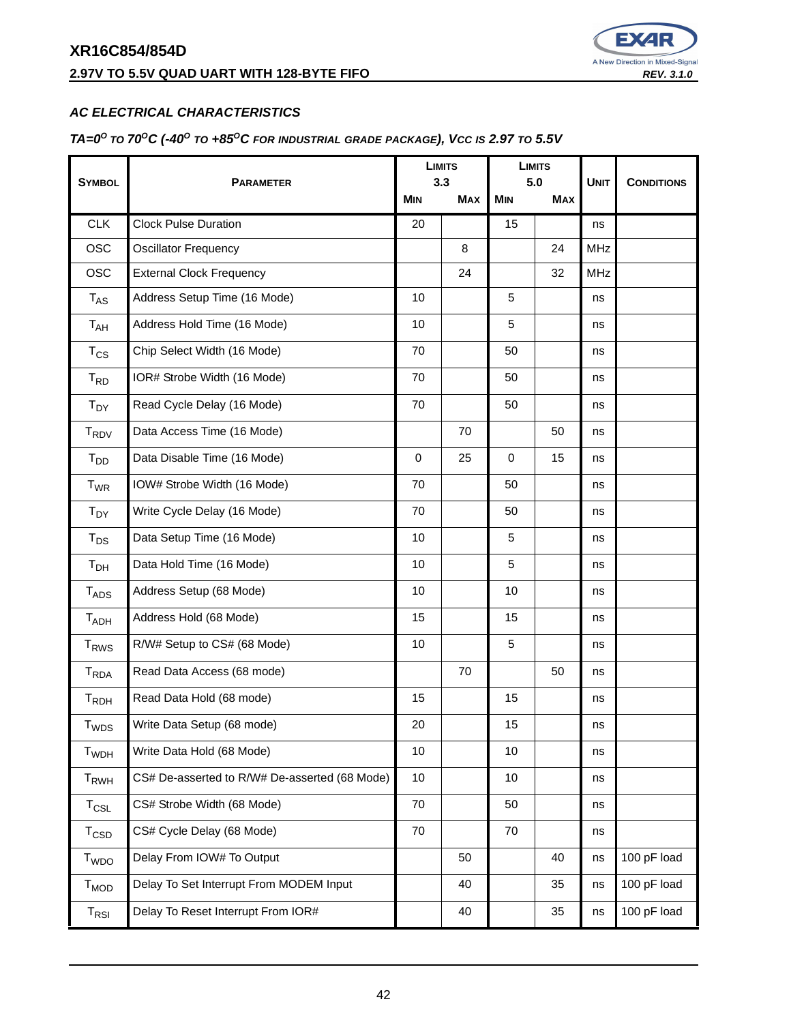### **2.97V TO 5.5V QUAD UART WITH 128-BYTE FIFO REV. 3.1.0 REV. 3.1.0**



#### **AC ELECTRICAL CHARACTERISTICS**

#### TA= $0^{\circ}$  to 70<sup>o</sup>C (-40<sup>o</sup> to +85<sup>o</sup>C for industrial grade package), Vcc is 2.97 to 5.5V

|                             |                                               |          | <b>LIMITS</b><br>3.3 | <b>LIMITS</b><br>5.0 |            | <b>UNIT</b> |                   |
|-----------------------------|-----------------------------------------------|----------|----------------------|----------------------|------------|-------------|-------------------|
| <b>SYMBOL</b>               | <b>PARAMETER</b><br><b>MIN</b>                |          | <b>MAX</b>           | <b>MIN</b>           | <b>MAX</b> |             | <b>CONDITIONS</b> |
| <b>CLK</b>                  | <b>Clock Pulse Duration</b>                   | 20       |                      | 15                   |            | ns          |                   |
| <b>OSC</b>                  | <b>Oscillator Frequency</b>                   |          | 8                    |                      | 24         | <b>MHz</b>  |                   |
| <b>OSC</b>                  | <b>External Clock Frequency</b>               |          | 24                   |                      | 32         | <b>MHz</b>  |                   |
| $T_{AS}$                    | Address Setup Time (16 Mode)                  | 10       |                      | 5                    |            | ns          |                   |
| $T_{AH}$                    | Address Hold Time (16 Mode)                   | 10       |                      | 5                    |            | ns          |                   |
| $T_{CS}$                    | Chip Select Width (16 Mode)                   | 70       |                      | 50                   |            | ns          |                   |
| $T_{RD}$                    | IOR# Strobe Width (16 Mode)                   | 70       |                      | 50                   |            | ns          |                   |
| T <sub>DY</sub>             | Read Cycle Delay (16 Mode)                    | 70       |                      | 50                   |            | ns          |                   |
| T <sub>RDV</sub>            | Data Access Time (16 Mode)                    |          | 70                   |                      | 50         | ns          |                   |
| T <sub>DD</sub>             | Data Disable Time (16 Mode)                   | $\Omega$ | 25                   | $\Omega$             | 15         | ns          |                   |
| $T_{WR}$                    | IOW# Strobe Width (16 Mode)                   | 70       |                      | 50                   |            | ns          |                   |
| $T_{DY}$                    | Write Cycle Delay (16 Mode)                   | 70       |                      | 50                   |            | ns          |                   |
| $T_{DS}$                    | Data Setup Time (16 Mode)                     | 10       |                      | 5                    |            | ns          |                   |
| T <sub>DH</sub>             | Data Hold Time (16 Mode)                      | 10       |                      | 5                    |            | ns          |                   |
| $T_{ADS}$                   | Address Setup (68 Mode)                       | 10       |                      | 10                   |            | ns          |                   |
| $T_{ADH}$                   | Address Hold (68 Mode)                        | 15       |                      | 15                   |            | ns          |                   |
| <b>T<sub>RWS</sub></b>      | R/W# Setup to CS# (68 Mode)                   | $10$     |                      | 5                    |            | ns          |                   |
| $T_{RDA}$                   | Read Data Access (68 mode)                    |          | 70                   |                      | 50         | ns          |                   |
| $T_{RDH}$                   | Read Data Hold (68 mode)                      | 15       |                      | 15                   |            | ns          |                   |
| $\mathsf{T}_{\mathsf{WDS}}$ | Write Data Setup (68 mode)                    | 20       |                      | 15                   |            | ns          |                   |
| T <sub>WDH</sub>            | Write Data Hold (68 Mode)                     | 10       |                      | 10                   |            | ns          |                   |
| T <sub>RWH</sub>            | CS# De-asserted to R/W# De-asserted (68 Mode) | 10       |                      | 10                   |            | ns          |                   |
| $T_{CSL}$                   | CS# Strobe Width (68 Mode)                    | 70       |                      | 50                   |            | ns          |                   |
| $T_{\text{CSD}}$            | CS# Cycle Delay (68 Mode)                     | 70       |                      | 70                   |            | ns          |                   |
| $T_{WDO}$                   | Delay From IOW# To Output                     |          | 50                   |                      | 40         | ns          | 100 pF load       |
| $T_{MOD}$                   | Delay To Set Interrupt From MODEM Input       |          | 40                   |                      | 35         | ns          | 100 pF load       |
| $T_{RSI}$                   | Delay To Reset Interrupt From IOR#            |          | 40                   |                      | 35         | ns          | 100 pF load       |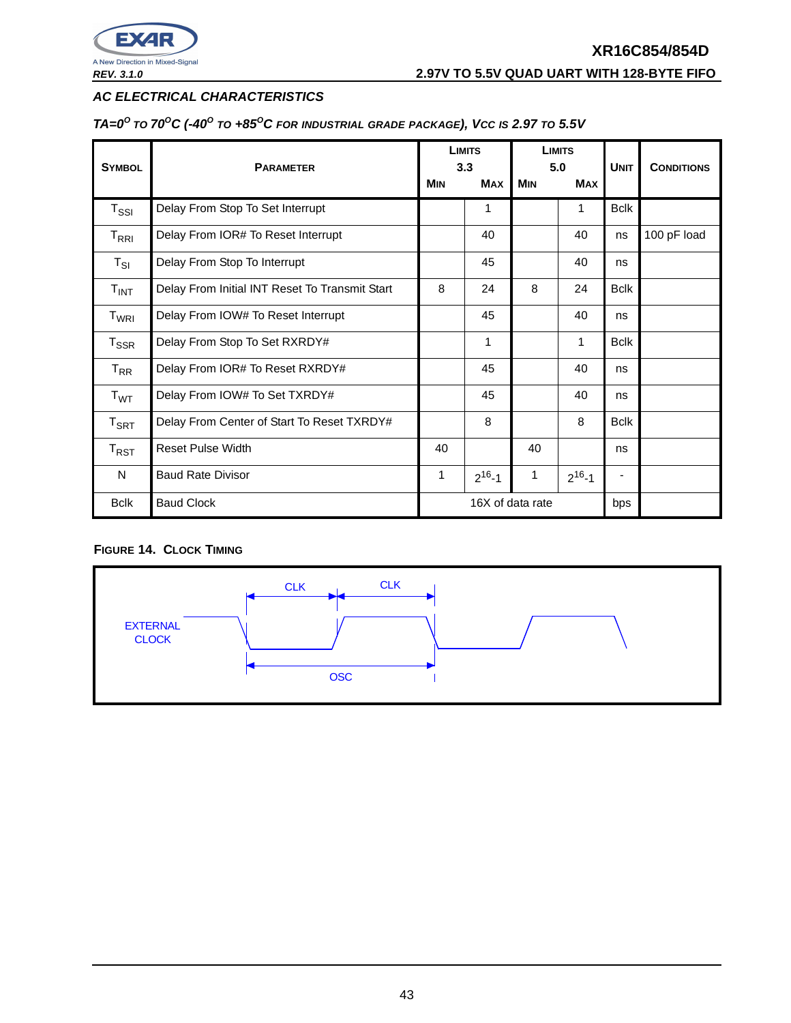

**REV. 3.1.0 2.97V TO 5.5V QUAD UART WITH 128-BYTE FIFO**

### **AC ELECTRICAL CHARACTERISTICS**

TA= $0^{\circ}$  to 70<sup>o</sup>C (-40<sup>o</sup> to +85<sup>o</sup>C for industrial grade package), Vcc is 2.97 to 5.5V

| <b>SYMBOL</b>               | <b>PARAMETER</b>                               |                         | <b>LIMITS</b><br>3.3 |            | <b>LIMITS</b><br>5.0 |             | <b>CONDITIONS</b> |
|-----------------------------|------------------------------------------------|-------------------------|----------------------|------------|----------------------|-------------|-------------------|
|                             |                                                | <b>MIN</b>              | <b>MAX</b>           | <b>MIN</b> | <b>MAX</b>           | <b>UNIT</b> |                   |
| $T_{\rm SSI}$               | Delay From Stop To Set Interrupt               |                         | 1                    |            | 1                    | <b>Bclk</b> |                   |
| $T_{\sf RRI}$               | Delay From IOR# To Reset Interrupt             |                         | 40                   |            | 40                   | ns          | 100 pF load       |
| $T_{SI}$                    | Delay From Stop To Interrupt                   |                         | 45                   |            | 40                   | ns          |                   |
| $T_{INT}$                   | Delay From Initial INT Reset To Transmit Start | 8                       | 24                   | 8          | 24                   | <b>Bclk</b> |                   |
| T <sub>WRI</sub>            | Delay From IOW# To Reset Interrupt             |                         | 45                   |            | 40                   | ns          |                   |
| $T_{\rm SSR}$               | Delay From Stop To Set RXRDY#                  |                         | 1                    |            | 1                    | <b>Bclk</b> |                   |
| $T_{\sf RR}$                | Delay From IOR# To Reset RXRDY#                |                         | 45                   |            | 40                   | ns          |                   |
| T <sub>WT</sub>             | Delay From IOW# To Set TXRDY#                  |                         | 45                   |            | 40                   | ns          |                   |
| $T_{\sf SRT}$               | Delay From Center of Start To Reset TXRDY#     | 8                       |                      |            | 8                    | <b>Bclk</b> |                   |
| $\mathsf{T}_{\mathsf{RST}}$ | <b>Reset Pulse Width</b>                       | 40                      |                      | 40         |                      | ns          |                   |
| $\mathsf{N}$                | <b>Baud Rate Divisor</b>                       | 1                       | $2^{16} - 1$         | 1          | $2^{16} - 1$         |             |                   |
| <b>Bclk</b>                 | <b>Baud Clock</b>                              | 16X of data rate<br>bps |                      |            |                      |             |                   |

### **FIGURE 14. CLOCK TIMING**

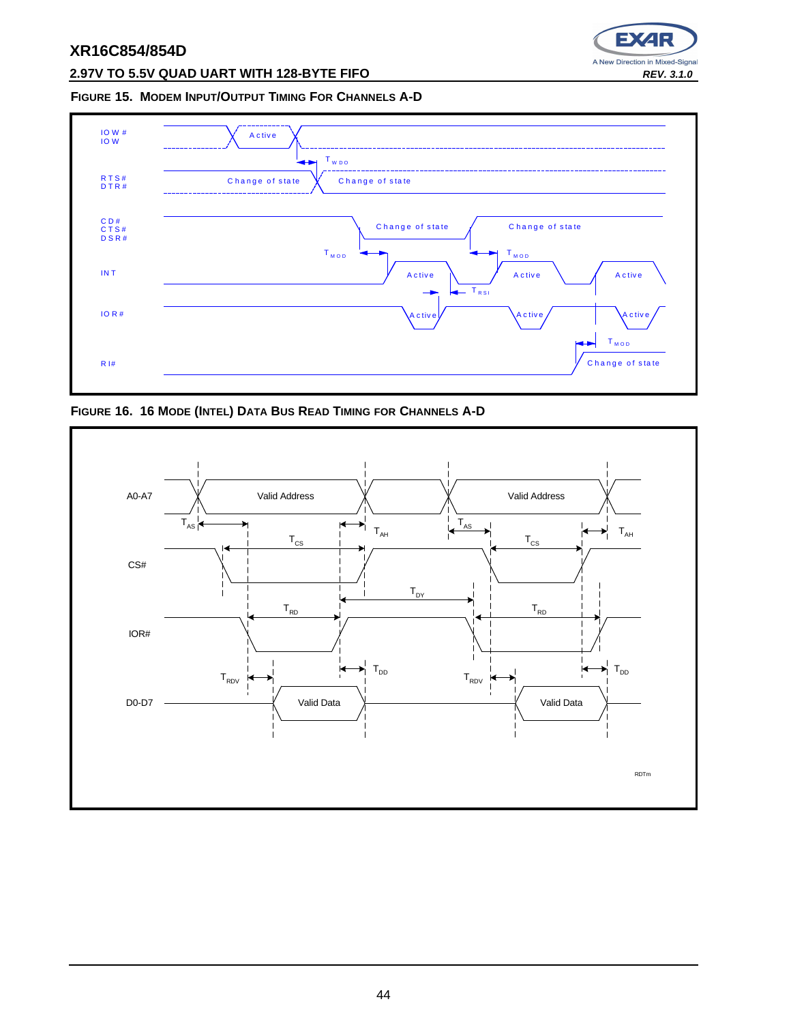

### **2.97V TO 5.5V QUAD UART WITH 128-BYTE FIFO REV. 3.1.0**

#### **FIGURE 15. MODEM INPUT/OUTPUT TIMING FOR CHANNELS A-D**



**FIGURE 16. 16 MODE (INTEL) DATA BUS READ TIMING FOR CHANNELS A-D**

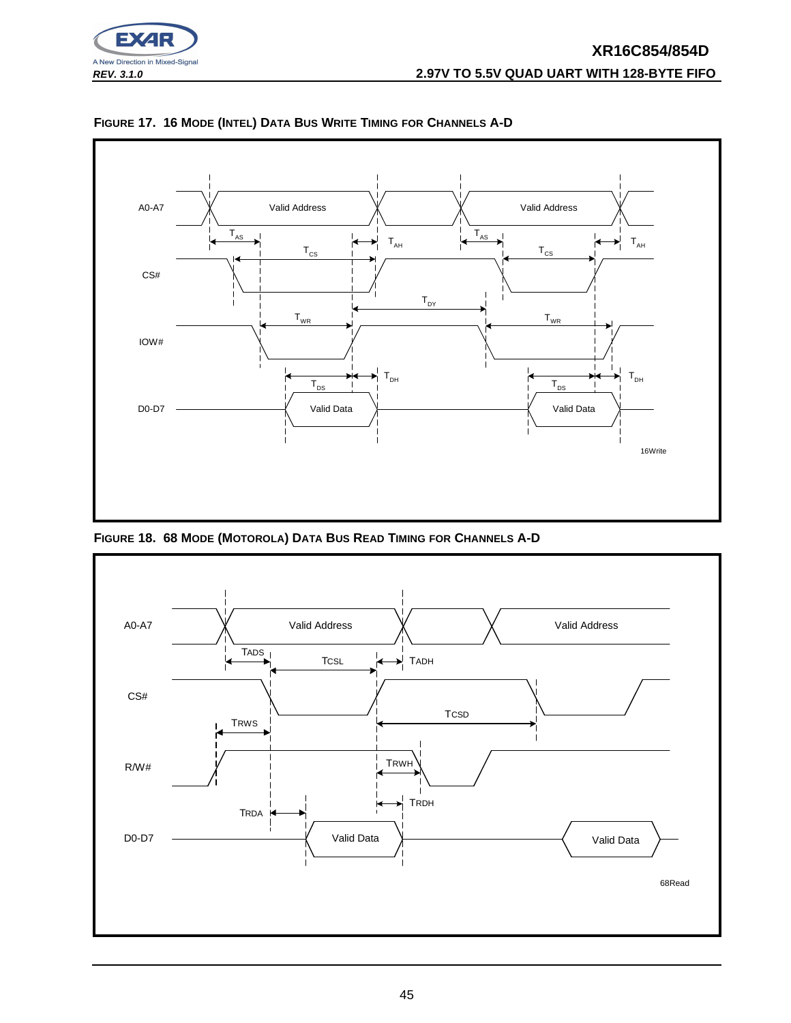



**FIGURE 17. 16 MODE (INTEL) DATA BUS WRITE TIMING FOR CHANNELS A-D**

**FIGURE 18. 68 MODE (MOTOROLA) DATA BUS READ TIMING FOR CHANNELS A-D**

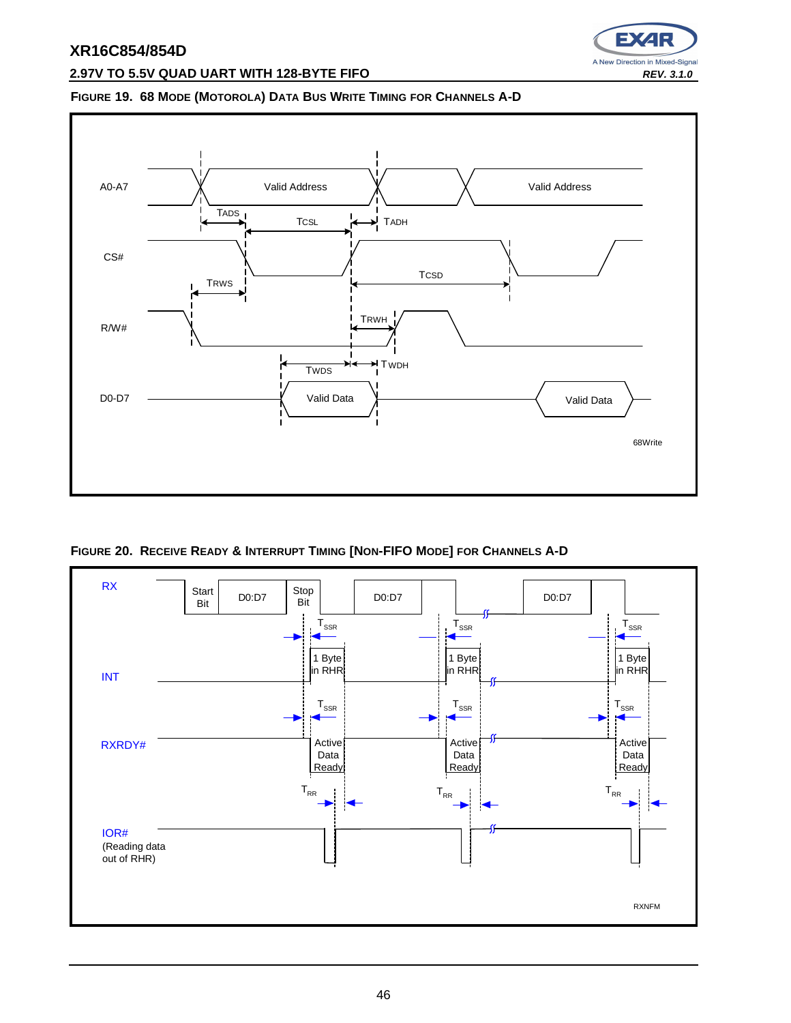

#### **2.97V TO 5.5V QUAD UART WITH 128-BYTE FIFO REV. 3.1.0 REV. 3.1.0**

#### **FIGURE 19. 68 MODE (MOTOROLA) DATA BUS WRITE TIMING FOR CHANNELS A-D**



**FIGURE 20. RECEIVE READY & INTERRUPT TIMING [NON-FIFO MODE] FOR CHANNELS A-D**

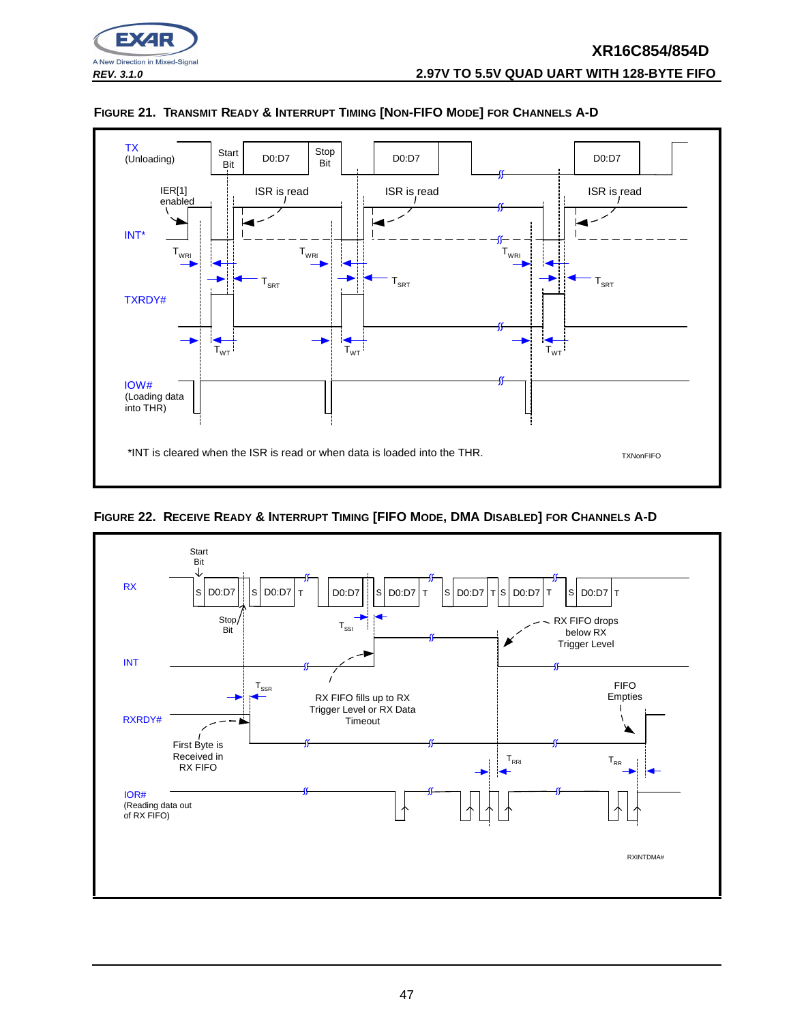





**FIGURE 22. RECEIVE READY & INTERRUPT TIMING [FIFO MODE, DMA DISABLED] FOR CHANNELS A-D**

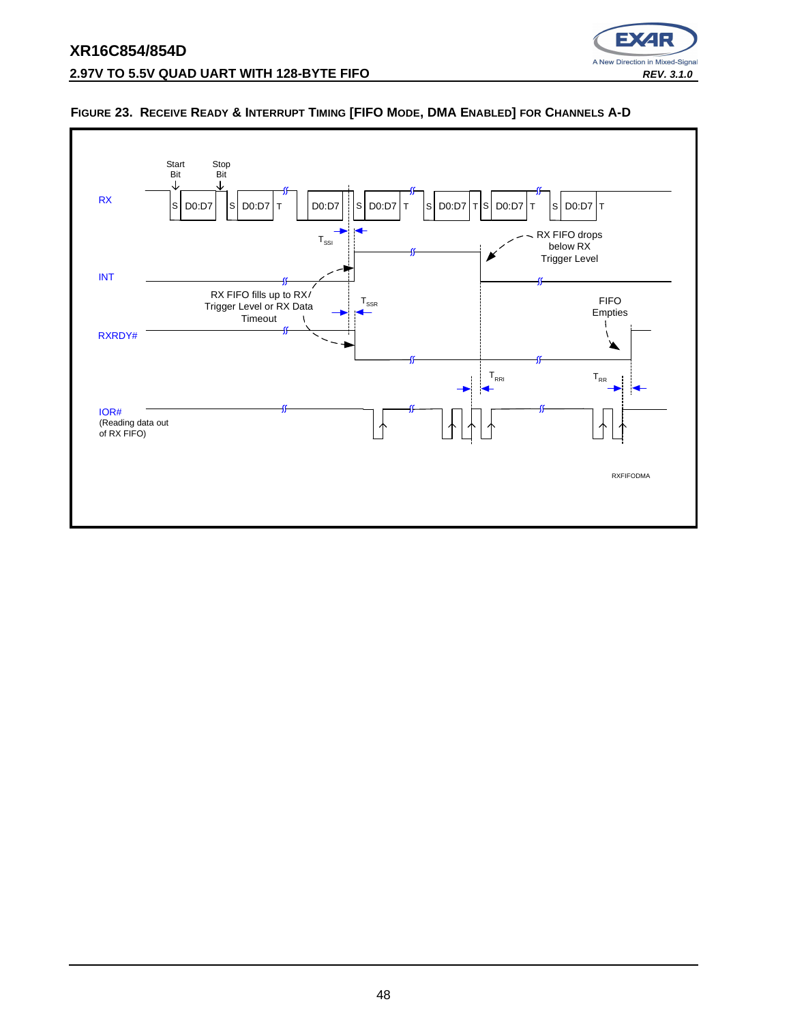



#### **FIGURE 23. RECEIVE READY & INTERRUPT TIMING [FIFO MODE, DMA ENABLED] FOR CHANNELS A-D**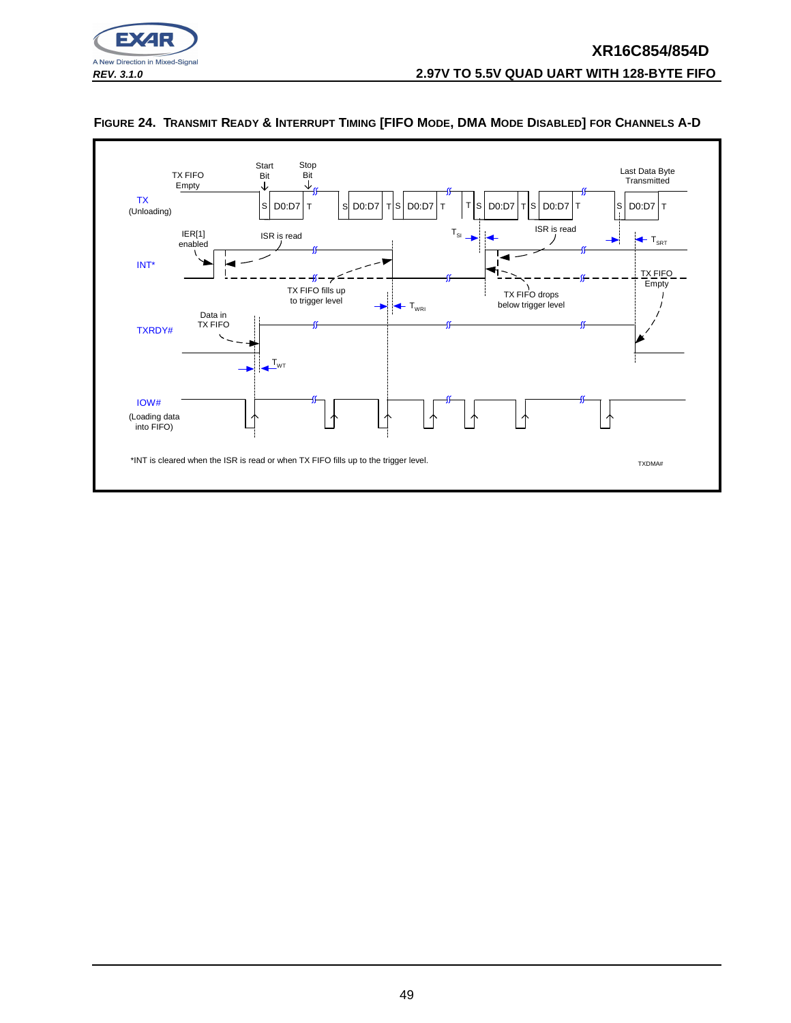



#### FIGURE 24. TRANSMIT READY & INTERRUPT TIMING [FIFO MODE, DMA MODE DISABLED] FOR CHANNELS A-D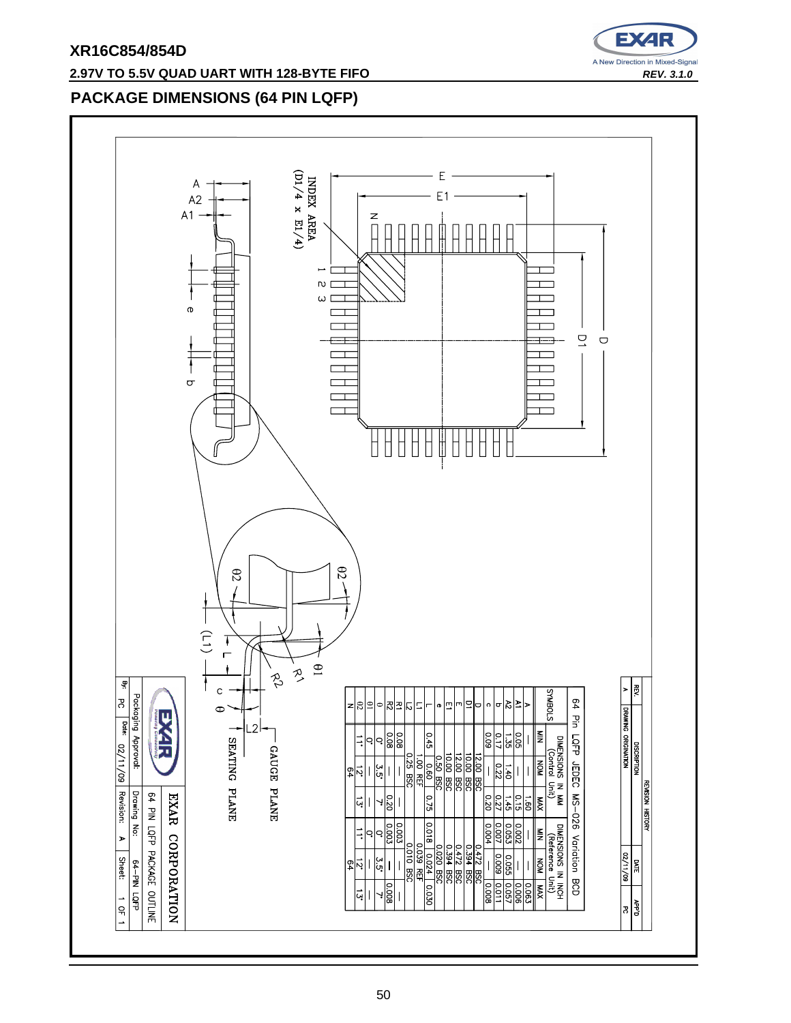# E) A New Direction in Mixed-Signal

### **2.97V TO 5.5V QUAD UART WITH 128-BYTE FIFO REV. 3.1.0 REV. 3.1.0**

### **PACKAGE DIMENSIONS (64 PIN LQFP)**

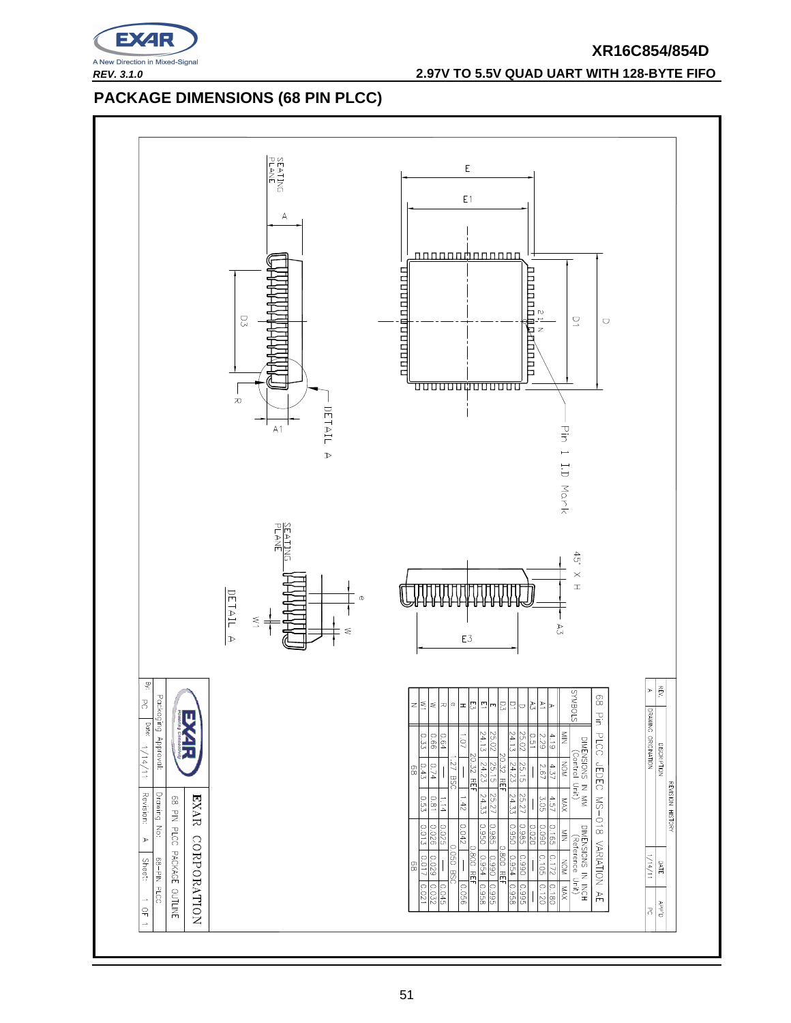

**REV. 3.1.0 2.97V TO 5.5V QUAD UART WITH 128-BYTE FIFO**

### **PACKAGE DIMENSIONS (68 PIN PLCC)**

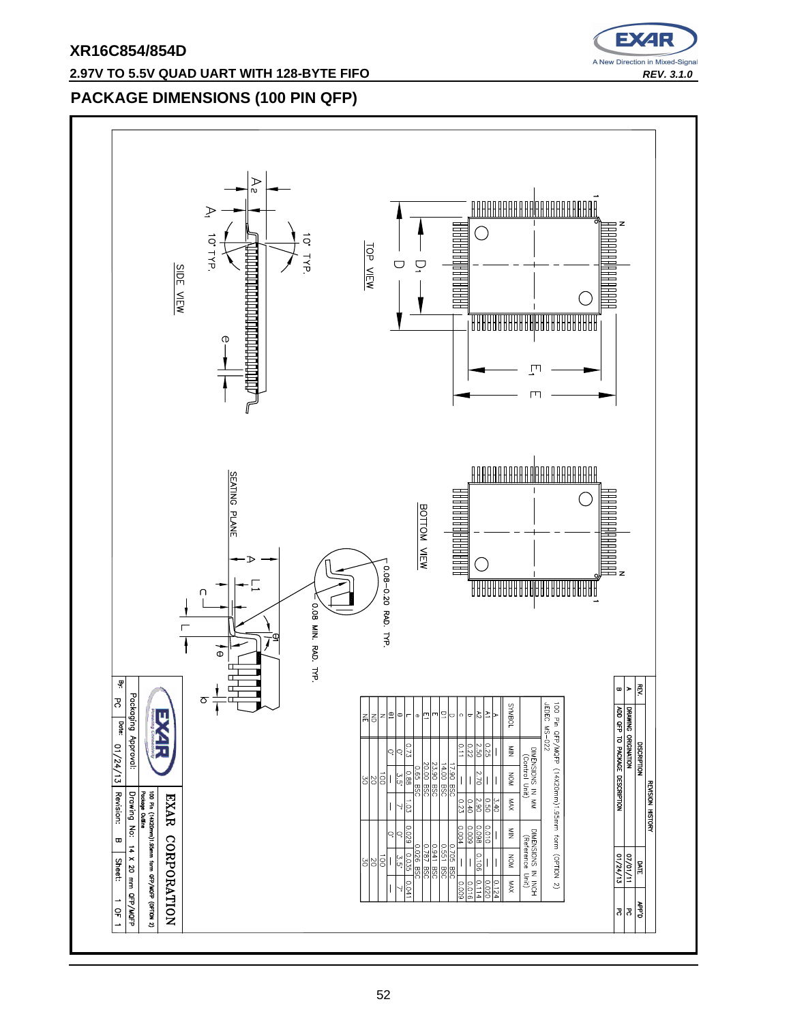

### **2.97V TO 5.5V QUAD UART WITH 128-BYTE FIFO** REV. 3.1.0

### **PACKAGE DIMENSIONS (100 PIN QFP)**